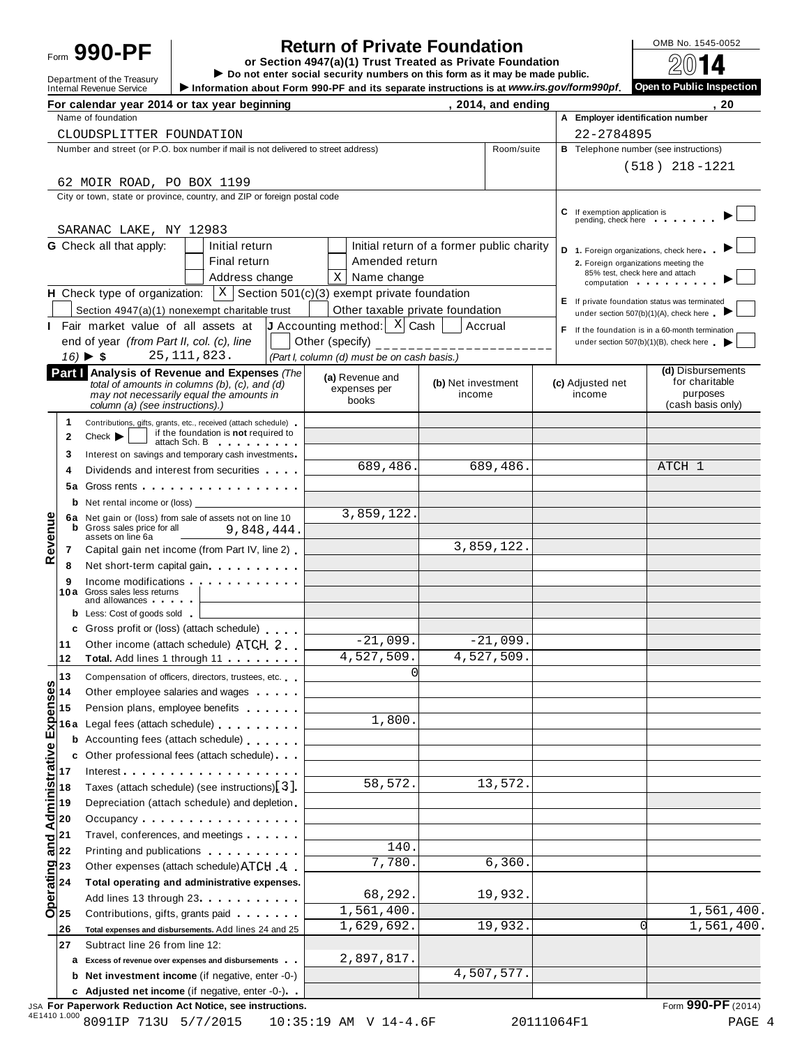# **Return of Private Foundation**<br> **etion 4947(a)(1) Trust Treated as Private Foundation**

Form  $\begin{array}{r|l}\n\end{array} \begin{array}{r|l}\n\end{array} \begin{array}{r|l}\n\end{array} \begin{array}{r|l}\n\end{array}$   $\begin{array}{r|l}\n\end{array}$   $\begin{array}{r|l}\n\end{array}$   $\begin{array}{r|l}\n\end{array}$   $\begin{array}{r|l}\n\end{array}$   $\begin{array}{r|l}\n\end{array}$   $\begin{array}{r|l}\n\end{array}$   $\begin{array}{r|l}\n\end{array}$   $\begin{array}{r|l}\n\end{array}$   $\begin{array}{r|l$ 

|                         |                             | Department of the Treasury<br><b>Internal Revenue Service</b>                                                                                                                                                                 | $\triangleright$ Do not enter social security numbers on this form as it may be made public.<br>Information about Form 990-PF and its separate instructions is at www.irs.gov/form990pf. |                    |                               |                                        | س د<br>Open to Public Inspection                                                          |
|-------------------------|-----------------------------|-------------------------------------------------------------------------------------------------------------------------------------------------------------------------------------------------------------------------------|------------------------------------------------------------------------------------------------------------------------------------------------------------------------------------------|--------------------|-------------------------------|----------------------------------------|-------------------------------------------------------------------------------------------|
|                         |                             | For calendar year 2014 or tax year beginning                                                                                                                                                                                  |                                                                                                                                                                                          |                    | , 2014, and ending            |                                        | -20                                                                                       |
|                         |                             | Name of foundation                                                                                                                                                                                                            |                                                                                                                                                                                          |                    |                               | A Employer identification number       |                                                                                           |
|                         |                             | CLOUDSPLITTER FOUNDATION                                                                                                                                                                                                      |                                                                                                                                                                                          |                    |                               | 22-2784895                             |                                                                                           |
|                         |                             | Number and street (or P.O. box number if mail is not delivered to street address)                                                                                                                                             |                                                                                                                                                                                          |                    | Room/suite                    |                                        | <b>B</b> Telephone number (see instructions)                                              |
|                         |                             |                                                                                                                                                                                                                               |                                                                                                                                                                                          |                    |                               |                                        | $(518)$ 218-1221                                                                          |
|                         |                             | 62 MOIR ROAD, PO BOX 1199                                                                                                                                                                                                     |                                                                                                                                                                                          |                    |                               |                                        |                                                                                           |
|                         |                             | City or town, state or province, country, and ZIP or foreign postal code                                                                                                                                                      |                                                                                                                                                                                          |                    |                               |                                        |                                                                                           |
|                         |                             |                                                                                                                                                                                                                               |                                                                                                                                                                                          |                    |                               | C If exemption application is          |                                                                                           |
|                         |                             | SARANAC LAKE, NY 12983                                                                                                                                                                                                        |                                                                                                                                                                                          |                    |                               | pending, check here                    |                                                                                           |
|                         |                             | <b>G</b> Check all that apply:<br>Initial return                                                                                                                                                                              | Initial return of a former public charity                                                                                                                                                |                    |                               | D 1. Foreign organizations, check here |                                                                                           |
|                         |                             | Final return                                                                                                                                                                                                                  | Amended return                                                                                                                                                                           |                    |                               |                                        | 2. Foreign organizations meeting the                                                      |
|                         |                             | Address change                                                                                                                                                                                                                | $X$ Name change                                                                                                                                                                          |                    |                               | computation                            | 85% test, check here and attach                                                           |
|                         |                             | <b>H</b> Check type of organization: $\vert X \vert$ Section 501(c)(3) exempt private foundation                                                                                                                              |                                                                                                                                                                                          |                    |                               |                                        |                                                                                           |
|                         |                             | Section 4947(a)(1) nonexempt charitable trust                                                                                                                                                                                 | Other taxable private foundation                                                                                                                                                         |                    |                               |                                        | E If private foundation status was terminated<br>under section 507(b)(1)(A), check here . |
|                         |                             | Fair market value of all assets at                                                                                                                                                                                            | <b>J</b> Accounting method: $\begin{bmatrix} X \end{bmatrix}$ Cash                                                                                                                       |                    | Accrual                       |                                        | $F$ If the foundation is in a 60-month termination                                        |
|                         |                             | end of year (from Part II, col. (c), line                                                                                                                                                                                     | Other (specify)                                                                                                                                                                          |                    | <u> - - - - - - - - - - -</u> |                                        | under section $507(b)(1)(B)$ , check here                                                 |
|                         |                             | 25, 111, 823.<br>$16)$ $\blacktriangleright$ \$                                                                                                                                                                               | (Part I, column (d) must be on cash basis.)                                                                                                                                              |                    |                               |                                        |                                                                                           |
|                         |                             | Part   Analysis of Revenue and Expenses (The                                                                                                                                                                                  |                                                                                                                                                                                          |                    |                               |                                        | (d) Disbursements                                                                         |
|                         |                             | total of amounts in columns (b), $(c)$ , and $(d)$                                                                                                                                                                            | (a) Revenue and<br>expenses per                                                                                                                                                          | (b) Net investment |                               | (c) Adjusted net                       | for charitable<br>purposes                                                                |
|                         |                             | may not necessarily equal the amounts in<br>column (a) (see instructions).)                                                                                                                                                   | books                                                                                                                                                                                    | income             |                               | income                                 | (cash basis only)                                                                         |
|                         | 1                           | Contributions, gifts, grants, etc., received (attach schedule)                                                                                                                                                                |                                                                                                                                                                                          |                    |                               |                                        |                                                                                           |
|                         | $\mathbf{2}$                | if the foundation is not required to<br>Check<br>attach Sch. B attach Sch. B                                                                                                                                                  |                                                                                                                                                                                          |                    |                               |                                        |                                                                                           |
|                         | 3                           | Interest on savings and temporary cash investments                                                                                                                                                                            |                                                                                                                                                                                          |                    |                               |                                        |                                                                                           |
|                         | 4                           | Dividends and interest from securities                                                                                                                                                                                        | 689,486.                                                                                                                                                                                 |                    | 689,486.                      |                                        | ATCH 1                                                                                    |
|                         | 5а                          | Gross rents                                                                                                                                                                                                                   |                                                                                                                                                                                          |                    |                               |                                        |                                                                                           |
|                         |                             |                                                                                                                                                                                                                               |                                                                                                                                                                                          |                    |                               |                                        |                                                                                           |
|                         |                             | 6a Net gain or (loss) from sale of assets not on line 10                                                                                                                                                                      | 3,859,122.                                                                                                                                                                               |                    |                               |                                        |                                                                                           |
|                         |                             | <b>b</b> Gross sales price for all<br>9,848,444.<br>assets on line 6a                                                                                                                                                         |                                                                                                                                                                                          |                    |                               |                                        |                                                                                           |
| Revenue                 | 7                           | Capital gain net income (from Part IV, line 2)                                                                                                                                                                                |                                                                                                                                                                                          |                    | 3,859,122.                    |                                        |                                                                                           |
|                         | 8                           | Net short-term capital gain                                                                                                                                                                                                   |                                                                                                                                                                                          |                    |                               |                                        |                                                                                           |
|                         | 9                           | Income modifications experience and the state of the state of the state of the state of the state of the state of the state of the state of the state of the state of the state of the state of the state of the state of the |                                                                                                                                                                                          |                    |                               |                                        |                                                                                           |
|                         |                             | 10a Gross sales less returns<br>and allowances <b>and allowances</b>                                                                                                                                                          |                                                                                                                                                                                          |                    |                               |                                        |                                                                                           |
|                         |                             | <b>b</b> Less: Cost of goods sold                                                                                                                                                                                             |                                                                                                                                                                                          |                    |                               |                                        |                                                                                           |
|                         |                             | c Gross profit or (loss) (attach schedule)                                                                                                                                                                                    |                                                                                                                                                                                          |                    |                               |                                        |                                                                                           |
|                         | 11                          | Other income (attach schedule) ATCH 2                                                                                                                                                                                         | $-21,099.$                                                                                                                                                                               |                    | $-21,099.$                    |                                        |                                                                                           |
|                         | 12                          | <b>Total.</b> Add lines 1 through 11                                                                                                                                                                                          | 4,527,509.                                                                                                                                                                               |                    | 4,527,509.                    |                                        |                                                                                           |
|                         | 13                          | Compensation of officers, directors, trustees, etc.                                                                                                                                                                           | 0                                                                                                                                                                                        |                    |                               |                                        |                                                                                           |
|                         | 14                          | Other employee salaries and wages                                                                                                                                                                                             |                                                                                                                                                                                          |                    |                               |                                        |                                                                                           |
|                         | 15                          | Pension plans, employee benefits                                                                                                                                                                                              |                                                                                                                                                                                          |                    |                               |                                        |                                                                                           |
|                         | 16 a                        | Legal fees (attach schedule)                                                                                                                                                                                                  | 1,800.                                                                                                                                                                                   |                    |                               |                                        |                                                                                           |
|                         | b                           | Accounting fees (attach schedule)                                                                                                                                                                                             |                                                                                                                                                                                          |                    |                               |                                        |                                                                                           |
|                         | c                           | Other professional fees (attach schedule)                                                                                                                                                                                     |                                                                                                                                                                                          |                    |                               |                                        |                                                                                           |
|                         | 17                          | $Interest$ .                                                                                                                                                                                                                  |                                                                                                                                                                                          |                    |                               |                                        |                                                                                           |
|                         | 18                          | Taxes (attach schedule) (see instructions)[3].                                                                                                                                                                                | 58,572.                                                                                                                                                                                  |                    | 13,572.                       |                                        |                                                                                           |
|                         | 19                          | Depreciation (attach schedule) and depletion                                                                                                                                                                                  |                                                                                                                                                                                          |                    |                               |                                        |                                                                                           |
| Administrative Expenses | 20                          | Occupancy                                                                                                                                                                                                                     |                                                                                                                                                                                          |                    |                               |                                        |                                                                                           |
|                         | 21                          | Travel, conferences, and meetings                                                                                                                                                                                             |                                                                                                                                                                                          |                    |                               |                                        |                                                                                           |
| and                     | 22                          | Printing and publications <b>Exercise 2.1 Fig. 1.1</b>                                                                                                                                                                        | 140.                                                                                                                                                                                     |                    |                               |                                        |                                                                                           |
|                         | Operating<br>23<br>25<br>25 | Other expenses (attach schedule) ATCH 4                                                                                                                                                                                       | 7,780.                                                                                                                                                                                   |                    | 6,360.                        |                                        |                                                                                           |
|                         |                             | Total operating and administrative expenses.                                                                                                                                                                                  |                                                                                                                                                                                          |                    |                               |                                        |                                                                                           |
|                         |                             | Add lines 13 through 23                                                                                                                                                                                                       | 68,292.                                                                                                                                                                                  |                    | 19,932.                       |                                        |                                                                                           |
|                         |                             | Contributions, gifts, grants paid                                                                                                                                                                                             | 1,561,400.                                                                                                                                                                               |                    |                               |                                        | 1,561,400.                                                                                |
|                         | 26                          | Total expenses and disbursements. Add lines 24 and 25                                                                                                                                                                         | 1,629,692.                                                                                                                                                                               |                    | 19,932.                       |                                        | 1,561,400.<br>$\Omega$                                                                    |
|                         | 27                          | Subtract line 26 from line 12:                                                                                                                                                                                                |                                                                                                                                                                                          |                    |                               |                                        |                                                                                           |
|                         | а                           | Excess of revenue over expenses and disbursements                                                                                                                                                                             | 2,897,817.                                                                                                                                                                               |                    |                               |                                        |                                                                                           |
|                         | b                           | Net investment income (if negative, enter -0-)                                                                                                                                                                                |                                                                                                                                                                                          |                    | 4,507,577.                    |                                        |                                                                                           |
|                         |                             | c Adjusted net income (if negative, enter -0-).                                                                                                                                                                               |                                                                                                                                                                                          |                    |                               |                                        |                                                                                           |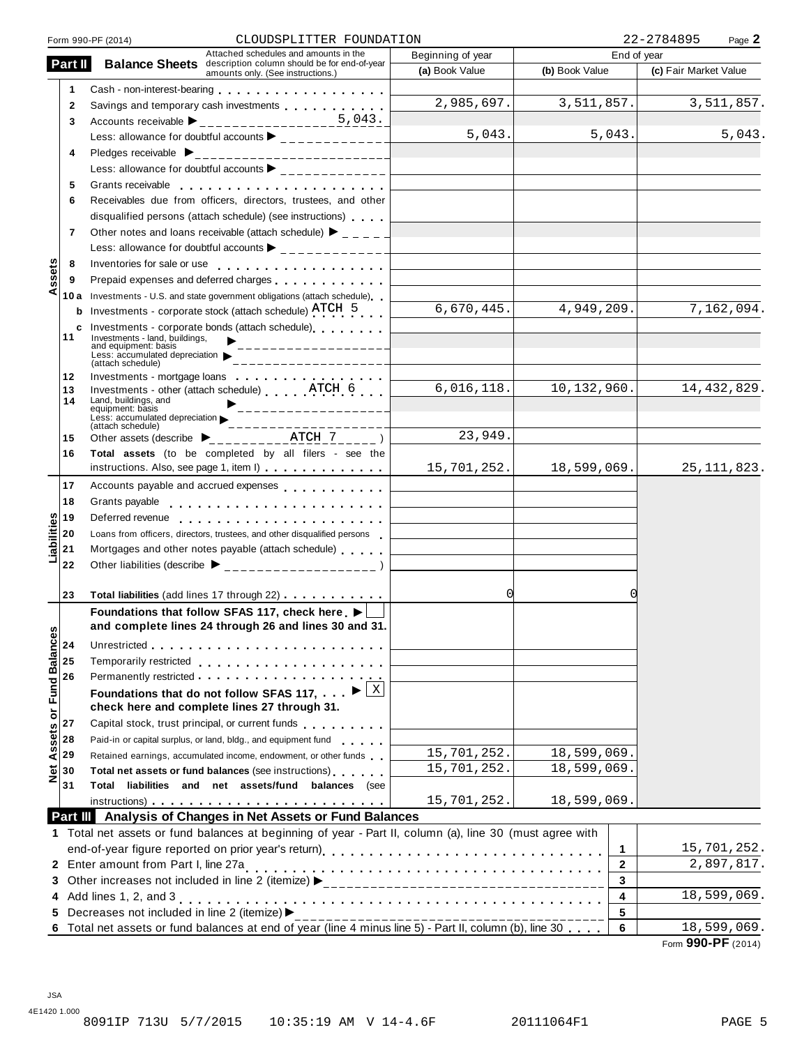|                  |              | CLOUDSPLITTER FOUNDATION<br>Form 990-PF (2014)                                                                                                                                                                                 |                                                                            |                | 22-2784895<br>Page 2  |
|------------------|--------------|--------------------------------------------------------------------------------------------------------------------------------------------------------------------------------------------------------------------------------|----------------------------------------------------------------------------|----------------|-----------------------|
|                  | Part II      | Attached schedules and amounts in the<br><b>Balance Sheets</b> description column should be for end-of-year                                                                                                                    | Beginning of year                                                          | End of year    |                       |
|                  |              | amounts only. (See instructions.)                                                                                                                                                                                              | (a) Book Value                                                             | (b) Book Value | (c) Fair Market Value |
|                  | 1            |                                                                                                                                                                                                                                |                                                                            |                |                       |
|                  | $\mathbf{2}$ | Savings and temporary cash investments                                                                                                                                                                                         | 2,985,697.                                                                 | 3,511,857.     | 3,511,857.            |
|                  | 3            | 5.043.<br>Accounts receivable $\triangleright$ __________________                                                                                                                                                              |                                                                            |                |                       |
|                  |              | Less: allowance for doubtful accounts $\blacktriangleright$ ______________                                                                                                                                                     | 5,043.                                                                     | 5,043.         | 5,043.                |
|                  | 4            |                                                                                                                                                                                                                                |                                                                            |                |                       |
|                  |              | Less: allowance for doubtful accounts $\blacktriangleright$ ______________                                                                                                                                                     |                                                                            |                |                       |
|                  | 5            |                                                                                                                                                                                                                                |                                                                            |                |                       |
|                  | 6            | Receivables due from officers, directors, trustees, and other                                                                                                                                                                  |                                                                            |                |                       |
|                  |              | disqualified persons (attach schedule) (see instructions)                                                                                                                                                                      |                                                                            |                |                       |
|                  | 7            | Other notes and loans receivable (attach schedule) $\triangleright$ _ _ _ _                                                                                                                                                    |                                                                            |                |                       |
|                  |              |                                                                                                                                                                                                                                |                                                                            |                |                       |
|                  | 8            |                                                                                                                                                                                                                                | the control of the control of the control of the control of the control of |                |                       |
| ssets            | 9            | Prepaid expenses and deferred charges entitled as a series of the set of the set of the set of the set of the                                                                                                                  |                                                                            |                |                       |
| ⋖                | 10 a         | Investments - U.S. and state government obligations (attach schedule)                                                                                                                                                          |                                                                            |                |                       |
|                  | b            | Investments - corporate stock (attach schedule) ATCH 5                                                                                                                                                                         | 6,670,445.                                                                 | 4,949,209.     | 7,162,094.            |
|                  | c            | Investments - corporate bonds (attach schedule)                                                                                                                                                                                |                                                                            |                |                       |
|                  | 11           | Investments - land, buildings,<br>_________________<br>and equipment: basis                                                                                                                                                    |                                                                            |                |                       |
|                  |              | Less: accumulated depreciation<br>(attach schedule)                                                                                                                                                                            |                                                                            |                |                       |
|                  | 12           | Investments - mortgage loans                                                                                                                                                                                                   |                                                                            |                |                       |
|                  | 13           | Investments - other (attach schedule) ATCH 6                                                                                                                                                                                   | 6,016,118.                                                                 | 10,132,960.    | 14, 432, 829.         |
|                  | 14           | Land, buildings, and<br>equipment: basis<br>_________________                                                                                                                                                                  |                                                                            |                |                       |
|                  |              | Less: accumulated depreciation<br>. _ _ _ _ _ _ _ _<br>(attach schedule)                                                                                                                                                       |                                                                            |                |                       |
|                  | 15           | Other assets (describe $\sum_{-2}$ = $\sum_{-2}$ = $\sum_{-2}$ = $\sum_{-2}$ = $\sum_{-2}$ = $\sum_{-2}$ = $\sum$ )                                                                                                            | 23,949.                                                                    |                |                       |
|                  | 16           | Total assets (to be completed by all filers - see the                                                                                                                                                                          |                                                                            |                |                       |
|                  |              | instructions. Also, see page 1, item I)                                                                                                                                                                                        | 15,701,252.                                                                | 18,599,069.    | 25, 111, 823.         |
|                  | 17           | Accounts payable and accrued expenses entitled as a set of the set of the set of the set of the set of the set of the set of the set of the set of the set of the set of the set of the set of the set of the set of the set o |                                                                            |                |                       |
|                  | 18           | Grants payable                                                                                                                                                                                                                 |                                                                            |                |                       |
|                  | 19           |                                                                                                                                                                                                                                |                                                                            |                |                       |
| Liabilities      | 20           | Loans from officers, directors, trustees, and other disqualified persons                                                                                                                                                       |                                                                            |                |                       |
|                  | 21           | Mortgages and other notes payable (attach schedule)                                                                                                                                                                            |                                                                            |                |                       |
|                  | 22           |                                                                                                                                                                                                                                |                                                                            |                |                       |
|                  |              |                                                                                                                                                                                                                                |                                                                            |                |                       |
|                  | 23           | Total liabilities (add lines 17 through 22)                                                                                                                                                                                    | 0                                                                          |                |                       |
|                  |              | Foundations that follow SFAS 117, check here ▶                                                                                                                                                                                 |                                                                            |                |                       |
|                  |              | and complete lines 24 through 26 and lines 30 and 31.                                                                                                                                                                          |                                                                            |                |                       |
|                  | 24           |                                                                                                                                                                                                                                |                                                                            |                |                       |
|                  | 25           | Temporarily restricted experience and the set of the set of the set of the set of the set of the set of the set of the set of the set of the set of the set of the set of the set of the set of the set of the set of the set  |                                                                            |                |                       |
|                  | 26           |                                                                                                                                                                                                                                |                                                                            |                |                       |
|                  |              | Foundations that do not follow SFAS 117, $\ldots$ $\blacktriangleright \boxed{\times}$                                                                                                                                         |                                                                            |                |                       |
| or Fund Balances |              | check here and complete lines 27 through 31.                                                                                                                                                                                   |                                                                            |                |                       |
|                  | 27           | Capital stock, trust principal, or current funds                                                                                                                                                                               |                                                                            |                |                       |
| Assets           | 28           | Paid-in or capital surplus, or land, bldg., and equipment fund                                                                                                                                                                 |                                                                            |                |                       |
|                  | 29           | Retained earnings, accumulated income, endowment, or other funds                                                                                                                                                               | 15,701,252.                                                                | 18,599,069.    |                       |
| $\frac{1}{2}$    | 30           | Total net assets or fund balances (see instructions)                                                                                                                                                                           | 15,701,252.                                                                | 18,599,069.    |                       |
|                  | 31           | Total liabilities and net assets/fund balances (see                                                                                                                                                                            |                                                                            |                |                       |
|                  |              |                                                                                                                                                                                                                                | 15,701,252.                                                                | 18,599,069.    |                       |
|                  |              | Part III Analysis of Changes in Net Assets or Fund Balances                                                                                                                                                                    |                                                                            |                |                       |
|                  |              | 1 Total net assets or fund balances at beginning of year - Part II, column (a), line 30 (must agree with                                                                                                                       |                                                                            |                |                       |
|                  |              |                                                                                                                                                                                                                                |                                                                            | 1              | 15,701,252.           |
|                  |              | 2 Enter amount from Part I, line 27a                                                                                                                                                                                           |                                                                            | $\mathbf{2}$   | 2,897,817.            |
|                  |              |                                                                                                                                                                                                                                |                                                                            | 3              |                       |
|                  |              | 4 Add lines 1, 2, and 3                                                                                                                                                                                                        |                                                                            | 4              | 18,599,069.           |
|                  |              | 5 Decreases not included in line 2 (itemize) >                                                                                                                                                                                 |                                                                            | 5              |                       |
|                  |              | 6 Total net assets or fund balances at end of year (line 4 minus line 5) - Part II, column (b), line 30                                                                                                                        |                                                                            | 6              | 18,599,069.           |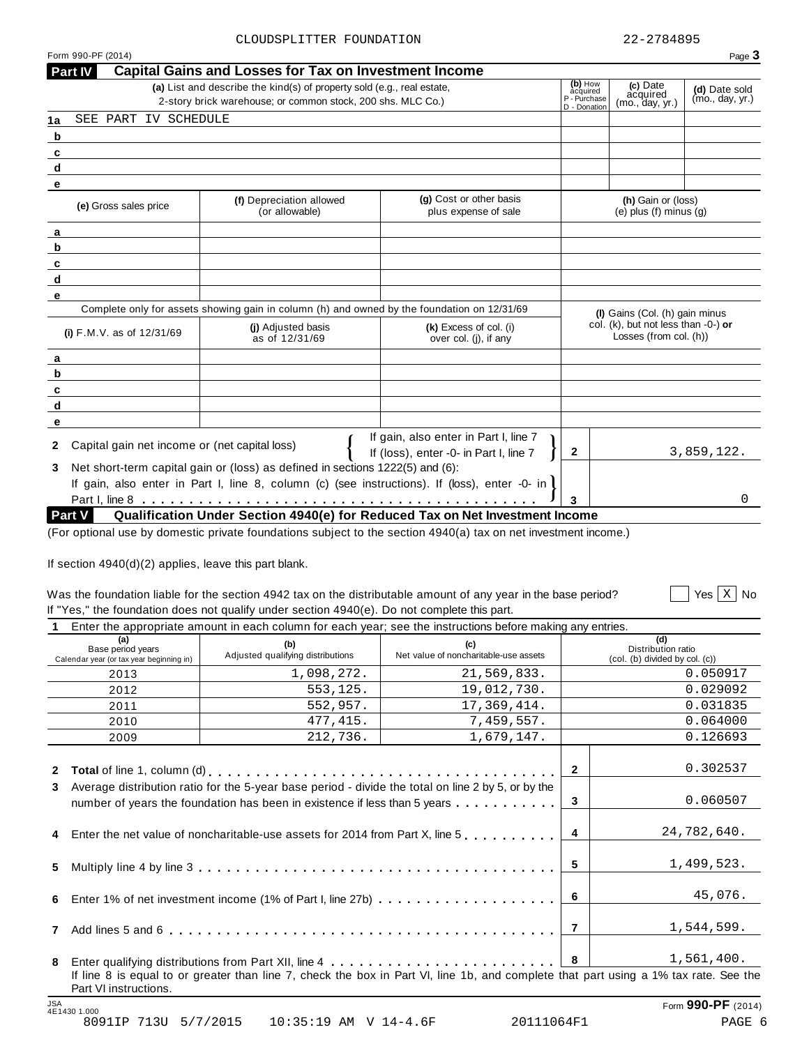| Form 990-PF (2014)<br><b>Part IV</b>                          | <b>Capital Gains and Losses for Tax on Investment Income</b>                                                                          |                                                                                                                 |                                                     |                                                               | Page 3                           |
|---------------------------------------------------------------|---------------------------------------------------------------------------------------------------------------------------------------|-----------------------------------------------------------------------------------------------------------------|-----------------------------------------------------|---------------------------------------------------------------|----------------------------------|
|                                                               | (a) List and describe the kind(s) of property sold (e.g., real estate,<br>2-story brick warehouse; or common stock, 200 shs. MLC Co.) |                                                                                                                 | (b) How<br>acquired<br>P - Purchase<br>D - Donation | (c) Date<br>acquired<br>(mo., day, yr.)                       | (d) Date sold<br>(mo., day, yr.) |
| SEE PART IV SCHEDULE<br>1a                                    |                                                                                                                                       |                                                                                                                 |                                                     |                                                               |                                  |
| b                                                             |                                                                                                                                       |                                                                                                                 |                                                     |                                                               |                                  |
| c                                                             |                                                                                                                                       |                                                                                                                 |                                                     |                                                               |                                  |
| d                                                             |                                                                                                                                       |                                                                                                                 |                                                     |                                                               |                                  |
| e                                                             |                                                                                                                                       |                                                                                                                 |                                                     |                                                               |                                  |
| (e) Gross sales price                                         | (f) Depreciation allowed<br>(or allowable)                                                                                            | (g) Cost or other basis<br>plus expense of sale                                                                 |                                                     | (h) Gain or (loss)<br>(e) plus $(f)$ minus $(g)$              |                                  |
| а                                                             |                                                                                                                                       |                                                                                                                 |                                                     |                                                               |                                  |
| b                                                             |                                                                                                                                       |                                                                                                                 |                                                     |                                                               |                                  |
| c                                                             |                                                                                                                                       |                                                                                                                 |                                                     |                                                               |                                  |
| d                                                             |                                                                                                                                       |                                                                                                                 |                                                     |                                                               |                                  |
| e                                                             |                                                                                                                                       |                                                                                                                 |                                                     |                                                               |                                  |
|                                                               |                                                                                                                                       | Complete only for assets showing gain in column (h) and owned by the foundation on 12/31/69                     |                                                     | (I) Gains (Col. (h) gain minus                                |                                  |
| (i) F.M.V. as of 12/31/69                                     | (i) Adjusted basis<br>as of 12/31/69                                                                                                  | (k) Excess of col. (i)<br>over col. (i), if any                                                                 |                                                     | col. (k), but not less than -0-) or<br>Losses (from col. (h)) |                                  |
| а                                                             |                                                                                                                                       |                                                                                                                 |                                                     |                                                               |                                  |
| b                                                             |                                                                                                                                       |                                                                                                                 |                                                     |                                                               |                                  |
| c                                                             |                                                                                                                                       |                                                                                                                 |                                                     |                                                               |                                  |
| d                                                             |                                                                                                                                       |                                                                                                                 |                                                     |                                                               |                                  |
| e                                                             |                                                                                                                                       |                                                                                                                 |                                                     |                                                               |                                  |
| Capital gain net income or (net capital loss)<br>$\mathbf{2}$ |                                                                                                                                       | If gain, also enter in Part I, line 7<br>If (loss), enter -0- in Part I, line 7                                 | $\mathbf{2}$                                        |                                                               | 3,859,122.                       |
| 3.                                                            | Net short-term capital gain or (loss) as defined in sections 1222(5) and (6):                                                         |                                                                                                                 |                                                     |                                                               |                                  |
|                                                               |                                                                                                                                       | If gain, also enter in Part I, line 8, column (c) (see instructions). If (loss), enter -0- in                   |                                                     |                                                               |                                  |
|                                                               |                                                                                                                                       |                                                                                                                 | 3                                                   |                                                               | 0                                |
| Part V                                                        |                                                                                                                                       | Qualification Under Section 4940(e) for Reduced Tax on Net Investment Income                                    |                                                     |                                                               |                                  |
|                                                               |                                                                                                                                       | (For optional use by domestic private foundations subject to the section 4940(a) tax on net investment income.) |                                                     |                                                               |                                  |
|                                                               |                                                                                                                                       |                                                                                                                 |                                                     |                                                               |                                  |
| If section $4940(d)(2)$ applies, leave this part blank.       |                                                                                                                                       |                                                                                                                 |                                                     |                                                               |                                  |
|                                                               |                                                                                                                                       |                                                                                                                 |                                                     |                                                               |                                  |
|                                                               |                                                                                                                                       | Was the foundation liable for the section 4942 tax on the distributable amount of any year in the base period?  |                                                     |                                                               | Yes $x \mid \text{No}$           |
|                                                               | If "Yes," the foundation does not qualify under section 4940(e). Do not complete this part.                                           |                                                                                                                 |                                                     |                                                               |                                  |

|  |                                                                                                                                                                                                                                       |  | A Tatas the consequente concurst in sook entropy for sook voors ook the instructions hofers motive on souther |  |
|--|---------------------------------------------------------------------------------------------------------------------------------------------------------------------------------------------------------------------------------------|--|---------------------------------------------------------------------------------------------------------------|--|
|  | $\blacksquare$ . The set of the set of the set of the set of the set of the set of the set of the set of the set of the set of the set of the set of the set of the set of the set of the set of the set of the set of the set of the |  |                                                                                                               |  |

|              |                                                                      |                                                                                                                                                                                 | Enter the appropriate amount in each column for each year; see the instructions before making any entries.                           |              |                                                             |
|--------------|----------------------------------------------------------------------|---------------------------------------------------------------------------------------------------------------------------------------------------------------------------------|--------------------------------------------------------------------------------------------------------------------------------------|--------------|-------------------------------------------------------------|
|              | (a)<br>Base period years<br>Calendar year (or tax year beginning in) | (b)<br>Adjusted qualifying distributions                                                                                                                                        | (c)<br>Net value of noncharitable-use assets                                                                                         |              | (d)<br>Distribution ratio<br>(col. (b) divided by col. (c)) |
|              | 2013                                                                 | 1,098,272.                                                                                                                                                                      | 21,569,833.                                                                                                                          |              | 0.050917                                                    |
|              | 2012                                                                 | 553,125.                                                                                                                                                                        | 19,012,730.                                                                                                                          |              | 0.029092                                                    |
|              | 2011                                                                 | 552,957.                                                                                                                                                                        | 17,369,414.                                                                                                                          |              | 0.031835                                                    |
|              | 2010                                                                 | 477,415.                                                                                                                                                                        | 7,459,557.                                                                                                                           |              | 0.064000                                                    |
|              | 2009                                                                 | 212,736.                                                                                                                                                                        | 1,679,147.                                                                                                                           |              | 0.126693                                                    |
| $\mathbf{2}$ |                                                                      |                                                                                                                                                                                 |                                                                                                                                      | $\mathbf{2}$ | 0.302537                                                    |
| 3            |                                                                      | Average distribution ratio for the 5-year base period - divide the total on line 2 by 5, or by the<br>number of years the foundation has been in existence if less than 5 years |                                                                                                                                      | 3            | 0.060507                                                    |
|              |                                                                      | 4 Enter the net value of noncharitable-use assets for 2014 from Part X, line 5                                                                                                  |                                                                                                                                      | 4            | 24,782,640.                                                 |
| 5.           |                                                                      |                                                                                                                                                                                 |                                                                                                                                      | 5            | 1,499,523.                                                  |
| 6.           |                                                                      |                                                                                                                                                                                 |                                                                                                                                      | 6            | 45,076.                                                     |
| $\mathbf{7}$ |                                                                      |                                                                                                                                                                                 |                                                                                                                                      | 7            | 1,544,599.                                                  |
| 8            | Part VI instructions.                                                |                                                                                                                                                                                 | If line 8 is equal to or greater than line 7, check the box in Part VI, line 1b, and complete that part using a 1% tax rate. See the | 8            | 1,561,400.                                                  |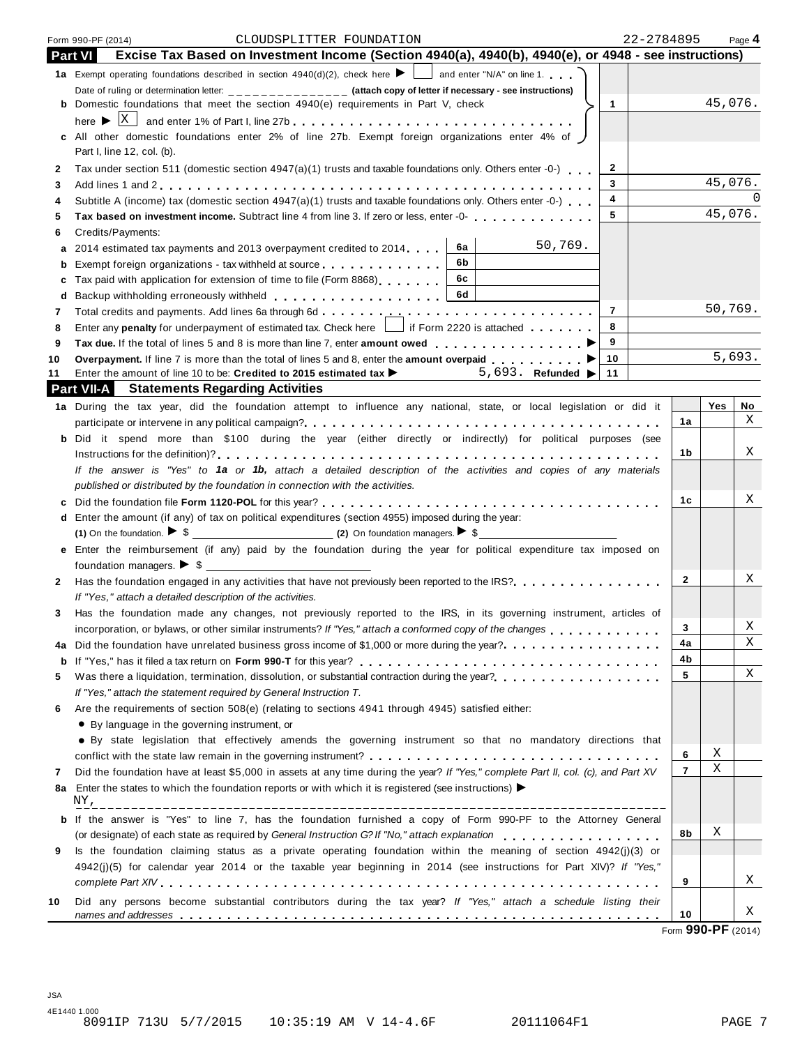|        | 22-2784895<br>CLOUDSPLITTER FOUNDATION<br>Form 990-PF (2014)                                                                                                                                     |                |         | Page 4 |
|--------|--------------------------------------------------------------------------------------------------------------------------------------------------------------------------------------------------|----------------|---------|--------|
|        | Excise Tax Based on Investment Income (Section 4940(a), 4940(b), 4940(e), or 4948 - see instructions)<br>Part VI                                                                                 |                |         |        |
|        | 1a Exempt operating foundations described in section 4940(d)(2), check here $\blacktriangleright$ and enter "N/A" on line 1.                                                                     |                |         |        |
|        | Date of ruling or determination letter: _____________ (attach copy of letter if necessary - see instructions)                                                                                    |                |         |        |
|        | <b>b</b> Domestic foundations that meet the section 4940(e) requirements in Part V, check<br>$\mathbf{1}$                                                                                        |                | 45,076. |        |
|        |                                                                                                                                                                                                  |                |         |        |
|        | c All other domestic foundations enter 2% of line 27b. Exempt foreign organizations enter 4% of )                                                                                                |                |         |        |
|        | Part I, line 12, col. (b).                                                                                                                                                                       |                |         |        |
| 2      | $\mathbf{2}$<br>Tax under section 511 (domestic section 4947(a)(1) trusts and taxable foundations only. Others enter -0-)<br>3                                                                   |                | 45,076. |        |
| 3      | 4<br>Subtitle A (income) tax (domestic section 4947(a)(1) trusts and taxable foundations only. Others enter -0-)                                                                                 |                |         |        |
| 4<br>5 | 5<br>Tax based on investment income. Subtract line 4 from line 3. If zero or less, enter -0-                                                                                                     |                | 45,076. |        |
| 6      | Credits/Payments:                                                                                                                                                                                |                |         |        |
| а      | 50,769.<br>6а<br>2014 estimated tax payments and 2013 overpayment credited to 2014.                                                                                                              |                |         |        |
| b      | 6b<br>Exempt foreign organizations - tax withheld at source <b>container and the entirely of the entirely of the entirely</b>                                                                    |                |         |        |
| с      | 6c<br>Tax paid with application for extension of time to file (Form 8868)                                                                                                                        |                |         |        |
| d      | 6d<br>Backup withholding erroneously withheld                                                                                                                                                    |                |         |        |
| 7      | $\overline{7}$                                                                                                                                                                                   |                | 50,769. |        |
| 8      | Enter any penalty for underpayment of estimated tax. Check here     if Form 2220 is attached<br>8                                                                                                |                |         |        |
| 9      | 9                                                                                                                                                                                                |                |         |        |
| 10     | Overpayment. If line 7 is more than the total of lines 5 and 8, enter the amount overpaid $\ldots$<br>10                                                                                         |                |         | 5,693. |
| 11     | Enter the amount of line 10 to be: Credited to 2015 estimated tax ><br>5,693. Refunded   11                                                                                                      |                |         |        |
|        | <b>Part VII-A</b> Statements Regarding Activities                                                                                                                                                |                |         |        |
|        | 1a During the tax year, did the foundation attempt to influence any national, state, or local legislation or did it                                                                              |                | Yes     | No     |
|        |                                                                                                                                                                                                  | 1a             |         | X      |
|        | b Did it spend more than \$100 during the year (either directly or indirectly) for political purposes (see                                                                                       |                |         |        |
|        |                                                                                                                                                                                                  | 1b             |         | Χ      |
|        | If the answer is "Yes" to 1a or 1b, attach a detailed description of the activities and copies of any materials                                                                                  |                |         |        |
|        | published or distributed by the foundation in connection with the activities.                                                                                                                    |                |         | Χ      |
| c      |                                                                                                                                                                                                  | 1c             |         |        |
| d      | Enter the amount (if any) of tax on political expenditures (section 4955) imposed during the year:<br>(1) On the foundation. $\triangleright$ \$ (2) On foundation managers. $\triangleright$ \$ |                |         |        |
|        | e Enter the reimbursement (if any) paid by the foundation during the year for political expenditure tax imposed on                                                                               |                |         |        |
|        |                                                                                                                                                                                                  |                |         |        |
| 2      | Has the foundation engaged in any activities that have not previously been reported to the IRS?.                                                                                                 | $\overline{2}$ |         | Χ      |
|        | If "Yes," attach a detailed description of the activities.                                                                                                                                       |                |         |        |
| 3      | Has the foundation made any changes, not previously reported to the IRS, in its governing instrument, articles of                                                                                |                |         |        |
|        | incorporation, or bylaws, or other similar instruments? If "Yes," attach a conformed copy of the changes                                                                                         | 3              |         | Χ      |
| 4a     | Did the foundation have unrelated business gross income of \$1,000 or more during the year?                                                                                                      | 4a             |         | X      |
| b      |                                                                                                                                                                                                  | 4b             |         |        |
| 5      | Was there a liquidation, termination, dissolution, or substantial contraction during the year?<br>                                                                                               | 5              |         | Χ      |
|        | If "Yes," attach the statement required by General Instruction T.                                                                                                                                |                |         |        |
| 6      | Are the requirements of section 508(e) (relating to sections 4941 through 4945) satisfied either:                                                                                                |                |         |        |
|        | • By language in the governing instrument, or                                                                                                                                                    |                |         |        |
|        | • By state legislation that effectively amends the governing instrument so that no mandatory directions that                                                                                     |                |         |        |
|        |                                                                                                                                                                                                  | 6              | Χ       |        |
| 7      | Did the foundation have at least \$5,000 in assets at any time during the year? If "Yes," complete Part II, col. (c), and Part XV                                                                | $\overline{7}$ | Χ       |        |
| 8а     | Enter the states to which the foundation reports or with which it is registered (see instructions)                                                                                               |                |         |        |
|        | NY,                                                                                                                                                                                              |                |         |        |
| b      | If the answer is "Yes" to line 7, has the foundation furnished a copy of Form 990-PF to the Attorney General                                                                                     |                |         |        |
|        | (or designate) of each state as required by General Instruction G? If "No," attach explanation                                                                                                   | 8b             | Χ       |        |
| 9      | Is the foundation claiming status as a private operating foundation within the meaning of section 4942(j)(3) or                                                                                  |                |         |        |
|        | 4942(j)(5) for calendar year 2014 or the taxable year beginning in 2014 (see instructions for Part XIV)? If "Yes,"                                                                               |                |         | Χ      |
|        |                                                                                                                                                                                                  | 9              |         |        |
| 10     | Did any persons become substantial contributors during the tax year? If "Yes," attach a schedule listing their                                                                                   | 10             |         | Χ      |
|        |                                                                                                                                                                                                  |                |         |        |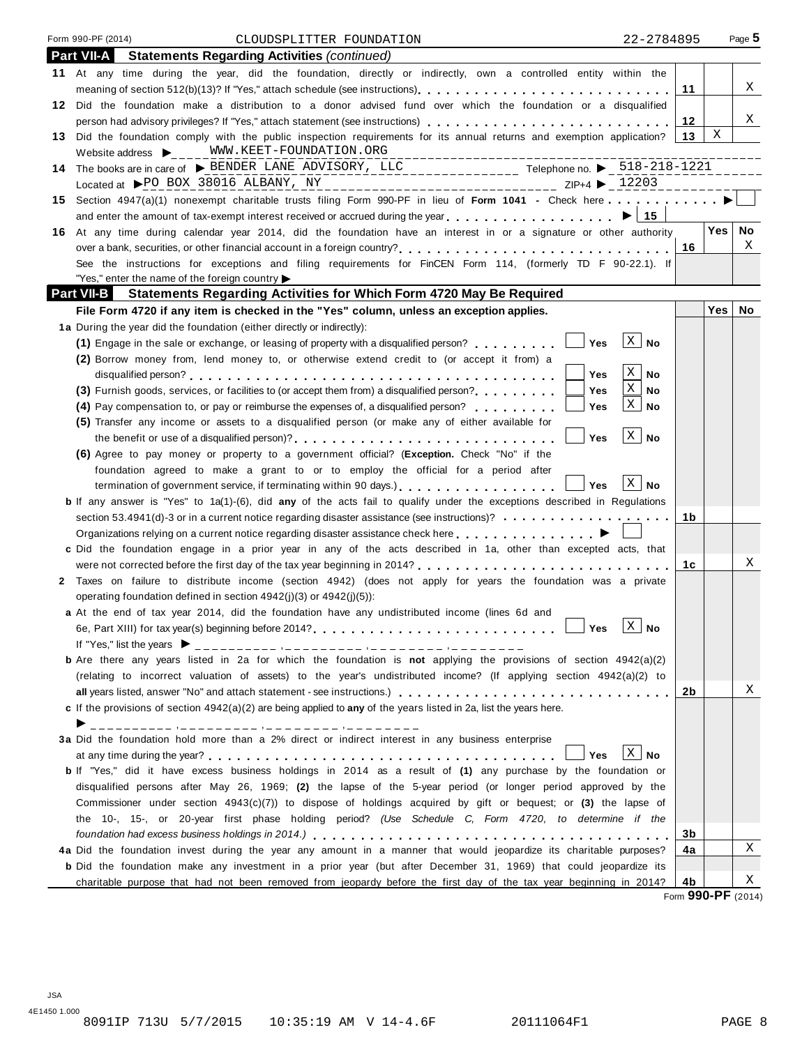| Form 990-PF (2014)                                                 | CLOUDSPLITTER FOUNDATION                                                                                                                                                                    | 22-2784895             |         | Page $5$ |
|--------------------------------------------------------------------|---------------------------------------------------------------------------------------------------------------------------------------------------------------------------------------------|------------------------|---------|----------|
| <b>Part VII-A</b>                                                  | <b>Statements Regarding Activities (continued)</b>                                                                                                                                          |                        |         |          |
|                                                                    | 11 At any time during the year, did the foundation, directly or indirectly, own a controlled entity within the                                                                              |                        |         |          |
|                                                                    | meaning of section 512(b)(13)? If "Yes," attach schedule (see instructions).                                                                                                                |                        | 11      | Χ        |
|                                                                    | 12 Did the foundation make a distribution to a donor advised fund over which the foundation or a disqualified                                                                               |                        |         |          |
|                                                                    |                                                                                                                                                                                             |                        | 12      | Χ        |
|                                                                    | 13 Did the foundation comply with the public inspection requirements for its annual returns and exemption application?                                                                      |                        | Χ<br>13 |          |
|                                                                    | Website address $\bigtriangledown_{\hspace{-.1em}C\hspace{-.1em}C\hspace{-.1em}C} = \underbrace{\hspace{-.1em}\text{WW} \cdot \text{KEET}-\text{FOUNDATION} \cdot \text{ORG}}$              |                        |         |          |
|                                                                    | 14 The books are in care of $\triangleright$ BENDER LANE ADVISORY, LLC<br>14 The books are in care of $\triangleright$ BENDER LANE ADVISORY, LLC                                            |                        |         |          |
|                                                                    | Located at PPO BOX 38016 ALBANY, NY<br>_____________________________ ZIP+4 ▶ _12203                                                                                                         |                        |         |          |
|                                                                    | 15 Section 4947(a)(1) nonexempt charitable trusts filing Form 990-PF in lieu of Form 1041 - Check here                                                                                      |                        |         |          |
|                                                                    | and enter the amount of tax-exempt interest received or accrued during the year $\ldots$ , $\ldots$ , $\ldots$ , $\geq 15$                                                                  |                        |         |          |
|                                                                    | 16 At any time during calendar year 2014, did the foundation have an interest in or a signature or other authority                                                                          |                        | Yes     | No       |
|                                                                    | over a bank, securities, or other financial account in a foreign country?                                                                                                                   |                        | 16      | X        |
|                                                                    | See the instructions for exceptions and filing requirements for FinCEN Form 114, (formerly TD F 90-22.1). If                                                                                |                        |         |          |
| "Yes," enter the name of the foreign country $\blacktriangleright$ | Part VII-B Statements Regarding Activities for Which Form 4720 May Be Required                                                                                                              |                        |         |          |
|                                                                    | File Form 4720 if any item is checked in the "Yes" column, unless an exception applies.                                                                                                     |                        | Yes     | No       |
|                                                                    |                                                                                                                                                                                             |                        |         |          |
|                                                                    | 1a During the year did the foundation (either directly or indirectly):<br>Yes<br>(1) Engage in the sale or exchange, or leasing of property with a disqualified person? $\ldots$ , $\ldots$ | $\lfloor x \rfloor$ No |         |          |
|                                                                    | (2) Borrow money from, lend money to, or otherwise extend credit to (or accept it from) a                                                                                                   |                        |         |          |
|                                                                    | Yes                                                                                                                                                                                         | X<br>No                |         |          |
|                                                                    | (3) Furnish goods, services, or facilities to (or accept them from) a disqualified person?<br>Yes                                                                                           | Χ<br>No                |         |          |
|                                                                    | (4) Pay compensation to, or pay or reimburse the expenses of, a disqualified person?<br>Yes                                                                                                 | $\mathbf{X}$<br>No     |         |          |
|                                                                    | (5) Transfer any income or assets to a disqualified person (or make any of either available for                                                                                             |                        |         |          |
|                                                                    | <b>Yes</b><br>the benefit or use of a disqualified person)?                                                                                                                                 | $\vert X \vert$ No     |         |          |
|                                                                    | (6) Agree to pay money or property to a government official? (Exception. Check "No" if the                                                                                                  |                        |         |          |
|                                                                    | foundation agreed to make a grant to or to employ the official for a period after                                                                                                           |                        |         |          |
|                                                                    | Yes<br>termination of government service, if terminating within 90 days.                                                                                                                    | $\mid X \mid$ No       |         |          |
|                                                                    | <b>b</b> If any answer is "Yes" to 1a(1)-(6), did any of the acts fail to qualify under the exceptions described in Regulations                                                             |                        |         |          |
|                                                                    |                                                                                                                                                                                             |                        | 1b      |          |
|                                                                    |                                                                                                                                                                                             |                        |         |          |
|                                                                    | c Did the foundation engage in a prior year in any of the acts described in 1a, other than excepted acts, that                                                                              |                        |         |          |
|                                                                    |                                                                                                                                                                                             |                        | 1c      | Χ        |
|                                                                    | 2 Taxes on failure to distribute income (section 4942) (does not apply for years the foundation was a private                                                                               |                        |         |          |
|                                                                    | operating foundation defined in section 4942(j)(3) or 4942(j)(5)):                                                                                                                          |                        |         |          |
|                                                                    | a At the end of tax year 2014, did the foundation have any undistributed income (lines 6d and                                                                                               | $\frac{1}{2}$          |         |          |
|                                                                    | 6e, Part XIII) for tax year(s) beginning before 2014?<br>__ Yes                                                                                                                             | $\mathbb{A}$ No        |         |          |
| If "Yes," list the years $\blacktriangleright$                     |                                                                                                                                                                                             |                        |         |          |
|                                                                    | <b>b</b> Are there any years listed in 2a for which the foundation is not applying the provisions of section $4942(a)(2)$                                                                   |                        |         |          |
|                                                                    | (relating to incorrect valuation of assets) to the year's undistributed income? (If applying section 4942(a)(2) to                                                                          |                        |         | Χ        |
|                                                                    |                                                                                                                                                                                             |                        | 2b      |          |
|                                                                    | c If the provisions of section $4942(a)(2)$ are being applied to any of the years listed in 2a, list the years here.                                                                        |                        |         |          |
| ▶                                                                  | 3a Did the foundation hold more than a 2% direct or indirect interest in any business enterprise                                                                                            |                        |         |          |
|                                                                    | Yes                                                                                                                                                                                         | $X $ No                |         |          |
|                                                                    | b If "Yes," did it have excess business holdings in 2014 as a result of (1) any purchase by the foundation or                                                                               |                        |         |          |
|                                                                    | disqualified persons after May 26, 1969; (2) the lapse of the 5-year period (or longer period approved by the                                                                               |                        |         |          |
|                                                                    | Commissioner under section $4943(c)(7)$ to dispose of holdings acquired by gift or bequest; or (3) the lapse of                                                                             |                        |         |          |
|                                                                    | the 10-, 15-, or 20-year first phase holding period? (Use Schedule C, Form 4720, to determine if the                                                                                        |                        |         |          |
|                                                                    |                                                                                                                                                                                             |                        | 3b      |          |
|                                                                    | 4a Did the foundation invest during the year any amount in a manner that would jeopardize its charitable purposes?                                                                          |                        | 4a      | Χ        |
|                                                                    | <b>b</b> Did the foundation make any investment in a prior year (but after December 31, 1969) that could jeopardize its                                                                     |                        |         |          |
|                                                                    | charitable purpose that had not been removed from jeopardy before the first day of the tax year beginning in 2014?                                                                          |                        | 4b      | Χ        |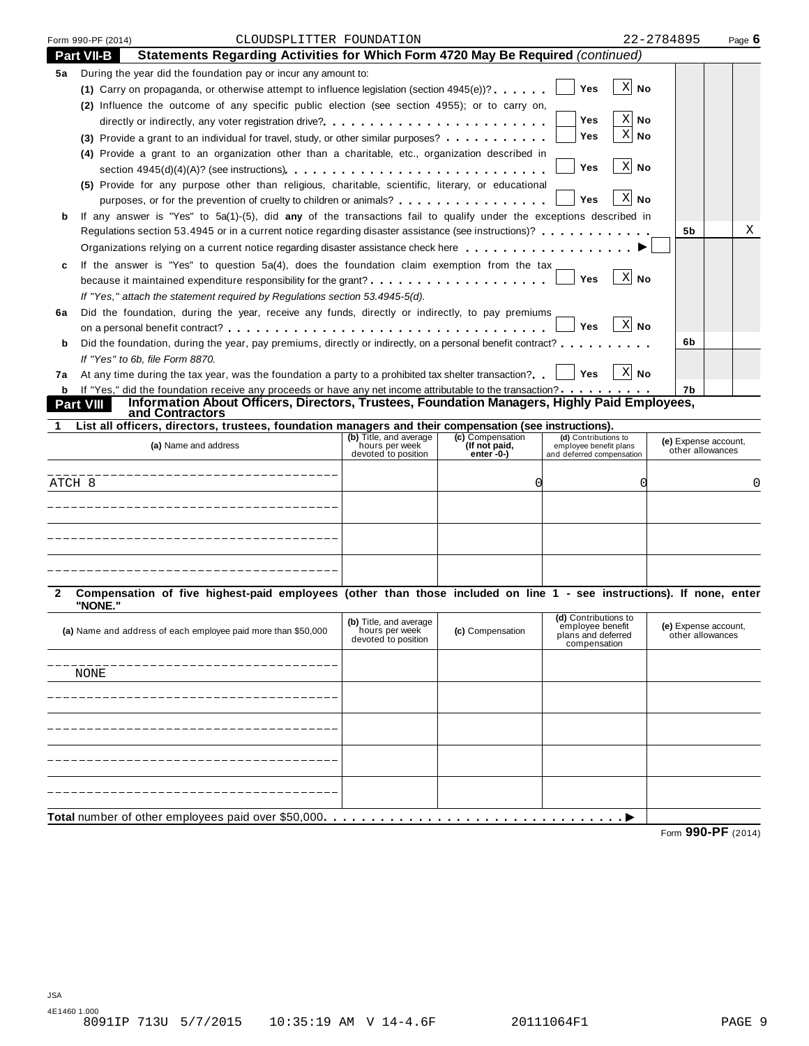|             | Form 990-PF (2014) | CLOUDSPLITTER FOUNDATION                                                                                                       |                                                                 |                                                       |                                                                             | 22-2784895         |                                          | Page $6$ |
|-------------|--------------------|--------------------------------------------------------------------------------------------------------------------------------|-----------------------------------------------------------------|-------------------------------------------------------|-----------------------------------------------------------------------------|--------------------|------------------------------------------|----------|
|             | <b>Part VII-B</b>  | Statements Regarding Activities for Which Form 4720 May Be Required (continued)                                                |                                                                 |                                                       |                                                                             |                    |                                          |          |
| 5а          |                    | During the year did the foundation pay or incur any amount to:                                                                 |                                                                 |                                                       |                                                                             |                    |                                          |          |
|             |                    | (1) Carry on propaganda, or otherwise attempt to influence legislation (section $4945(e)$ )?                                   |                                                                 |                                                       | Yes                                                                         | $X$ No             |                                          |          |
|             |                    | (2) Influence the outcome of any specific public election (see section 4955); or to carry on,                                  |                                                                 |                                                       |                                                                             |                    |                                          |          |
|             |                    | directly or indirectly, any voter registration drive?                                                                          |                                                                 |                                                       | Yes                                                                         | $X$ No             |                                          |          |
|             |                    | (3) Provide a grant to an individual for travel, study, or other similar purposes?                                             |                                                                 |                                                       | Yes                                                                         | $\mathbf{X}$<br>No |                                          |          |
|             |                    | (4) Provide a grant to an organization other than a charitable, etc., organization described in                                |                                                                 |                                                       |                                                                             |                    |                                          |          |
|             |                    |                                                                                                                                |                                                                 |                                                       | Yes                                                                         | $X$ No             |                                          |          |
|             |                    | (5) Provide for any purpose other than religious, charitable, scientific, literary, or educational                             |                                                                 |                                                       |                                                                             |                    |                                          |          |
|             |                    | purposes, or for the prevention of cruelty to children or animals?                                                             |                                                                 |                                                       | Yes                                                                         | $X$ No             |                                          |          |
| b           |                    | If any answer is "Yes" to 5a(1)-(5), did any of the transactions fail to qualify under the exceptions described in             |                                                                 |                                                       |                                                                             |                    |                                          |          |
|             |                    | Regulations section 53.4945 or in a current notice regarding disaster assistance (see instructions)?                           |                                                                 |                                                       |                                                                             |                    | 5b                                       | Χ        |
|             |                    | Organizations relying on a current notice regarding disaster assistance check here                                             |                                                                 |                                                       |                                                                             |                    |                                          |          |
| c           |                    | If the answer is "Yes" to question $5a(4)$ , does the foundation claim exemption from the tax                                  |                                                                 |                                                       |                                                                             |                    |                                          |          |
|             |                    |                                                                                                                                |                                                                 |                                                       | Yes                                                                         | X No               |                                          |          |
|             |                    | If "Yes," attach the statement required by Regulations section 53.4945-5(d).                                                   |                                                                 |                                                       |                                                                             |                    |                                          |          |
| 6а          |                    | Did the foundation, during the year, receive any funds, directly or indirectly, to pay premiums                                |                                                                 |                                                       |                                                                             |                    |                                          |          |
|             |                    |                                                                                                                                |                                                                 |                                                       | <b>Yes</b>                                                                  | X No               |                                          |          |
| b           |                    | Did the foundation, during the year, pay premiums, directly or indirectly, on a personal benefit contract?                     |                                                                 |                                                       |                                                                             |                    | 6b                                       |          |
|             |                    | If "Yes" to 6b, file Form 8870.                                                                                                |                                                                 |                                                       |                                                                             |                    |                                          |          |
| 7а          |                    | At any time during the tax year, was the foundation a party to a prohibited tax shelter transaction?                           |                                                                 |                                                       | ∣ Yes                                                                       | ∑ No               |                                          |          |
|             |                    | <b>b</b> If "Yes," did the foundation receive any proceeds or have any net income attributable to the transaction?             |                                                                 |                                                       |                                                                             |                    | 7b                                       |          |
|             | <b>Part VIII</b>   | Information About Officers, Directors, Trustees, Foundation Managers, Highly Paid Employees,<br>and Contractors                |                                                                 |                                                       |                                                                             |                    |                                          |          |
|             |                    |                                                                                                                                |                                                                 |                                                       |                                                                             |                    |                                          |          |
|             |                    |                                                                                                                                |                                                                 |                                                       |                                                                             |                    |                                          |          |
|             |                    | List all officers, directors, trustees, foundation managers and their compensation (see instructions).<br>(a) Name and address | (b) Title, and average<br>hours per week<br>devoted to position | (c) Compensation<br>(If not paid,<br>enter $-0$ - $)$ | (d) Contributions to<br>employee benefit plans<br>and deferred compensation |                    | (e) Expense account,<br>other allowances |          |
|             |                    |                                                                                                                                |                                                                 |                                                       |                                                                             |                    |                                          |          |
|             |                    |                                                                                                                                |                                                                 |                                                       |                                                                             |                    |                                          | 0        |
|             |                    |                                                                                                                                |                                                                 |                                                       |                                                                             |                    |                                          |          |
|             |                    |                                                                                                                                |                                                                 |                                                       |                                                                             |                    |                                          |          |
|             |                    |                                                                                                                                |                                                                 |                                                       |                                                                             |                    |                                          |          |
|             |                    |                                                                                                                                |                                                                 |                                                       |                                                                             |                    |                                          |          |
|             |                    |                                                                                                                                |                                                                 |                                                       |                                                                             |                    |                                          |          |
|             |                    |                                                                                                                                |                                                                 |                                                       |                                                                             |                    |                                          |          |
|             |                    | Compensation of five highest-paid employees (other than those included on line 1 - see instructions). If none, enter           |                                                                 |                                                       |                                                                             |                    |                                          |          |
|             | "NONE."            |                                                                                                                                |                                                                 |                                                       | (d) Contributions to                                                        |                    |                                          |          |
|             |                    | (a) Name and address of each employee paid more than \$50,000                                                                  | (b) Title, and average<br>hours per week                        | (c) Compensation                                      | employee benefit                                                            |                    | (e) Expense account,                     |          |
|             |                    |                                                                                                                                | devoted to position                                             |                                                       | plans and deferred<br>compensation                                          |                    | other allowances                         |          |
|             |                    |                                                                                                                                |                                                                 |                                                       |                                                                             |                    |                                          |          |
|             | NONE               |                                                                                                                                |                                                                 |                                                       |                                                                             |                    |                                          |          |
|             |                    |                                                                                                                                |                                                                 |                                                       |                                                                             |                    |                                          |          |
|             |                    |                                                                                                                                |                                                                 |                                                       |                                                                             |                    |                                          |          |
|             |                    |                                                                                                                                |                                                                 |                                                       |                                                                             |                    |                                          |          |
|             |                    |                                                                                                                                |                                                                 |                                                       |                                                                             |                    |                                          |          |
| ATCH 8<br>2 |                    |                                                                                                                                |                                                                 |                                                       |                                                                             |                    |                                          |          |
|             |                    |                                                                                                                                |                                                                 |                                                       |                                                                             |                    |                                          |          |
|             |                    |                                                                                                                                |                                                                 |                                                       |                                                                             |                    |                                          |          |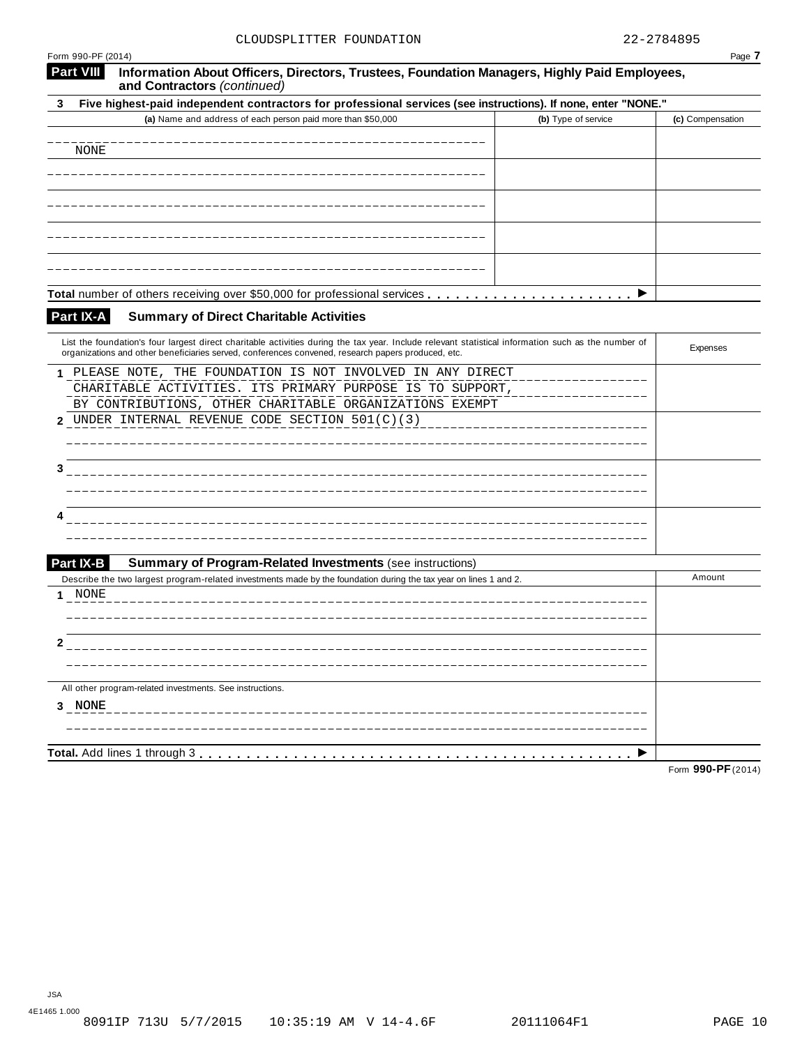| Form 990-PF (2014) |                                                                                                                                                                                       |                     | Page 7           |
|--------------------|---------------------------------------------------------------------------------------------------------------------------------------------------------------------------------------|---------------------|------------------|
| <b>Part VIII</b>   | Information About Officers, Directors, Trustees, Foundation Managers, Highly Paid Employees,<br>and Contractors (continued)                                                           |                     |                  |
| 3                  | Five highest-paid independent contractors for professional services (see instructions). If none, enter "NONE."                                                                        |                     |                  |
|                    | (a) Name and address of each person paid more than \$50,000                                                                                                                           | (b) Type of service | (c) Compensation |
|                    |                                                                                                                                                                                       |                     |                  |
| NONE               |                                                                                                                                                                                       |                     |                  |
|                    |                                                                                                                                                                                       |                     |                  |
|                    |                                                                                                                                                                                       |                     |                  |
|                    |                                                                                                                                                                                       |                     |                  |
|                    |                                                                                                                                                                                       |                     |                  |
|                    |                                                                                                                                                                                       |                     |                  |
|                    |                                                                                                                                                                                       |                     |                  |
|                    |                                                                                                                                                                                       |                     |                  |
| Part IX-A          | <b>Summary of Direct Charitable Activities</b>                                                                                                                                        |                     |                  |
|                    | List the foundation's four largest direct charitable activities during the tax year. Include relevant statistical information such as the number of                                   |                     |                  |
|                    | organizations and other beneficiaries served, conferences convened, research papers produced, etc.                                                                                    |                     | Expenses         |
| 1.                 | PLEASE NOTE, THE FOUNDATION IS NOT INVOLVED IN ANY DIRECT                                                                                                                             |                     |                  |
|                    | CHARITABLE ACTIVITIES. ITS PRIMARY PURPOSE IS TO SUPPORT,                                                                                                                             |                     |                  |
|                    | BY CONTRIBUTIONS, OTHER CHARITABLE ORGANIZATIONS EXEMPT                                                                                                                               |                     |                  |
| 2                  | UNDER INTERNAL REVENUE CODE SECTION 501(C)(3)                                                                                                                                         |                     |                  |
|                    |                                                                                                                                                                                       |                     |                  |
| 3                  |                                                                                                                                                                                       |                     |                  |
|                    |                                                                                                                                                                                       |                     |                  |
|                    |                                                                                                                                                                                       |                     |                  |
| 4                  |                                                                                                                                                                                       |                     |                  |
|                    |                                                                                                                                                                                       |                     |                  |
|                    |                                                                                                                                                                                       |                     |                  |
| Part IX-B          | <b>Summary of Program-Related Investments (see instructions)</b><br>Describe the two largest program-related investments made by the foundation during the tax year on lines 1 and 2. |                     | Amount           |
| NONE<br>1          |                                                                                                                                                                                       |                     |                  |
|                    |                                                                                                                                                                                       |                     |                  |
|                    |                                                                                                                                                                                       |                     |                  |
| 2                  |                                                                                                                                                                                       |                     |                  |
|                    |                                                                                                                                                                                       |                     |                  |
|                    | All other program-related investments. See instructions.                                                                                                                              |                     |                  |
| 3 NONE             |                                                                                                                                                                                       |                     |                  |
|                    |                                                                                                                                                                                       |                     |                  |
|                    |                                                                                                                                                                                       |                     |                  |
|                    |                                                                                                                                                                                       |                     |                  |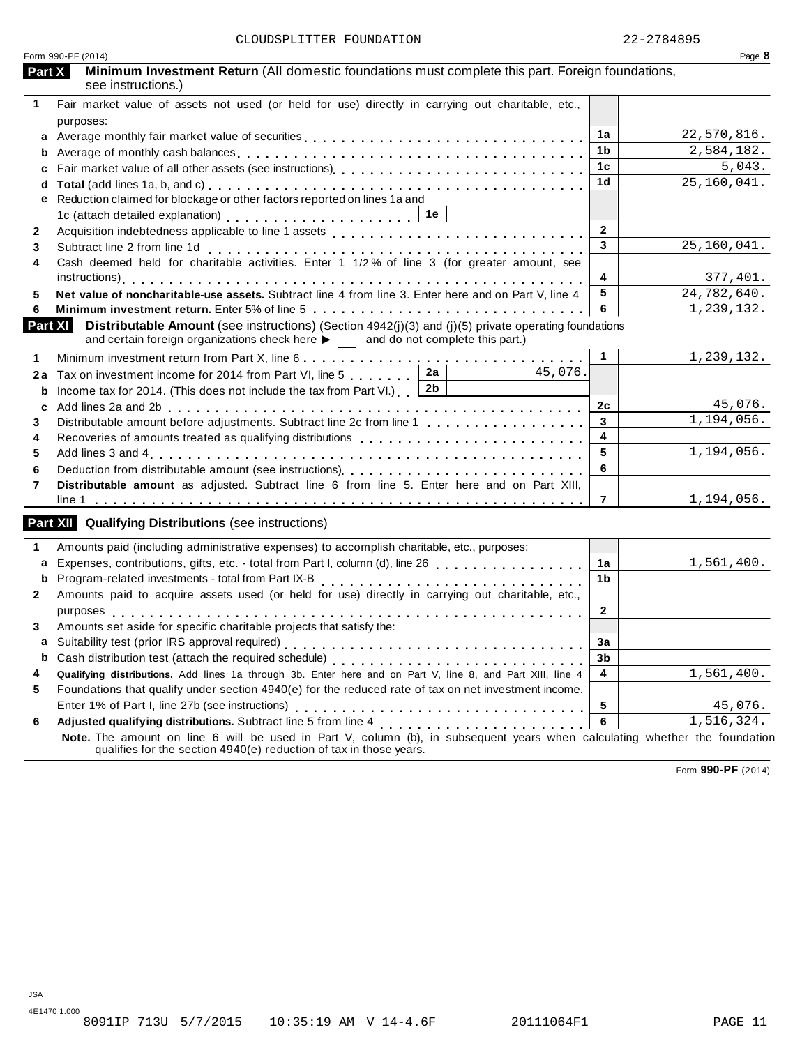| Form 990-PF (2014)                                                                                                                                                                                                                    |                         | Page 8                    |
|---------------------------------------------------------------------------------------------------------------------------------------------------------------------------------------------------------------------------------------|-------------------------|---------------------------|
| Minimum Investment Return (All domestic foundations must complete this part. Foreign foundations,<br>Part X<br>see instructions.)                                                                                                     |                         |                           |
| Fair market value of assets not used (or held for use) directly in carrying out charitable, etc.,<br>$\mathbf 1$<br>purposes:                                                                                                         |                         |                           |
| a                                                                                                                                                                                                                                     | 1a                      | 22,570,816.               |
|                                                                                                                                                                                                                                       | 1b                      | 2,584,182.                |
| C                                                                                                                                                                                                                                     | 1 <sub>c</sub>          | 5,043.                    |
| d                                                                                                                                                                                                                                     | 1d                      | $\overline{25,160,041}$ . |
| Reduction claimed for blockage or other factors reported on lines 1a and<br>е<br>1c (attach detailed explanation) $\ldots \ldots \ldots \ldots \ldots \ldots$                                                                         |                         |                           |
| $\mathbf{2}$                                                                                                                                                                                                                          | $\overline{2}$          |                           |
| 3                                                                                                                                                                                                                                     | 3                       | 25,160,041.               |
| Subtract line 2 from line 1d<br>Cash deemed held for charitable activities. Enter 1 1/2% of line 3 (for greater amount, see<br>4                                                                                                      | 4                       | 377,401.                  |
| Net value of noncharitable-use assets. Subtract line 4 from line 3. Enter here and on Part V, line 4                                                                                                                                  | 5                       | 24,782,640.               |
|                                                                                                                                                                                                                                       | 6                       | 1,239,132.                |
| <b>Part XI</b><br><b>Distributable Amount</b> (see instructions) (Section $4942(j)(3)$ and (j)(5) private operating foundations<br>and certain foreign organizations check here $\blacktriangleright$ and do not complete this part.) |                         |                           |
|                                                                                                                                                                                                                                       | $\mathbf 1$             | 1,239,132.                |
| 2a<br>45,076.<br>Tax on investment income for 2014 from Part VI, line 5<br>2a<br>2b<br>Income tax for 2014. (This does not include the tax from Part VI.) $\begin{bmatrix} \end{bmatrix}$<br>b                                        |                         |                           |
| c                                                                                                                                                                                                                                     | 2c                      | 45,076.                   |
| Distributable amount before adjustments. Subtract line 2c from line 1                                                                                                                                                                 | $\mathbf{3}$            | 1, 194, 056.              |
|                                                                                                                                                                                                                                       | $\overline{\mathbf{4}}$ |                           |
|                                                                                                                                                                                                                                       | $5\phantom{.0}$         | 1,194,056.                |
|                                                                                                                                                                                                                                       | 6                       |                           |
| Distributable amount as adjusted. Subtract line 6 from line 5. Enter here and on Part XIII,                                                                                                                                           |                         |                           |
|                                                                                                                                                                                                                                       | $\overline{7}$          | 1,194,056.                |
| <b>Part XII</b> Qualifying Distributions (see instructions)                                                                                                                                                                           |                         |                           |
| Amounts paid (including administrative expenses) to accomplish charitable, etc., purposes:                                                                                                                                            |                         |                           |
| Expenses, contributions, gifts, etc. - total from Part I, column (d), line 26<br>a                                                                                                                                                    | 1a                      | 1,561,400.                |
| b                                                                                                                                                                                                                                     | 1 <sub>b</sub>          |                           |
| Amounts paid to acquire assets used (or held for use) directly in carrying out charitable, etc.,                                                                                                                                      |                         |                           |
|                                                                                                                                                                                                                                       | $\mathbf{2}$            |                           |
| Amounts set aside for specific charitable projects that satisfy the:                                                                                                                                                                  |                         |                           |
|                                                                                                                                                                                                                                       | 3a                      |                           |
| b                                                                                                                                                                                                                                     | 3 <sub>b</sub>          |                           |
| Qualifying distributions. Add lines 1a through 3b. Enter here and on Part V, line 8, and Part XIII, line 4                                                                                                                            | 4                       | 1,561,400.                |
| Foundations that qualify under section 4940(e) for the reduced rate of tax on net investment income.                                                                                                                                  |                         |                           |
|                                                                                                                                                                                                                                       | 5                       | 45,076.                   |
| Adjusted qualifying distributions. Subtract line 5 from line 4 [1]<br>6                                                                                                                                                               | 6                       | 1,516,324.                |
| Note. The amount on line 6 will be used in Part V, column (b), in subsequent years when calculating whether the foundation<br>qualifies for the section 4940(e) reduction of tax in those years.                                      |                         |                           |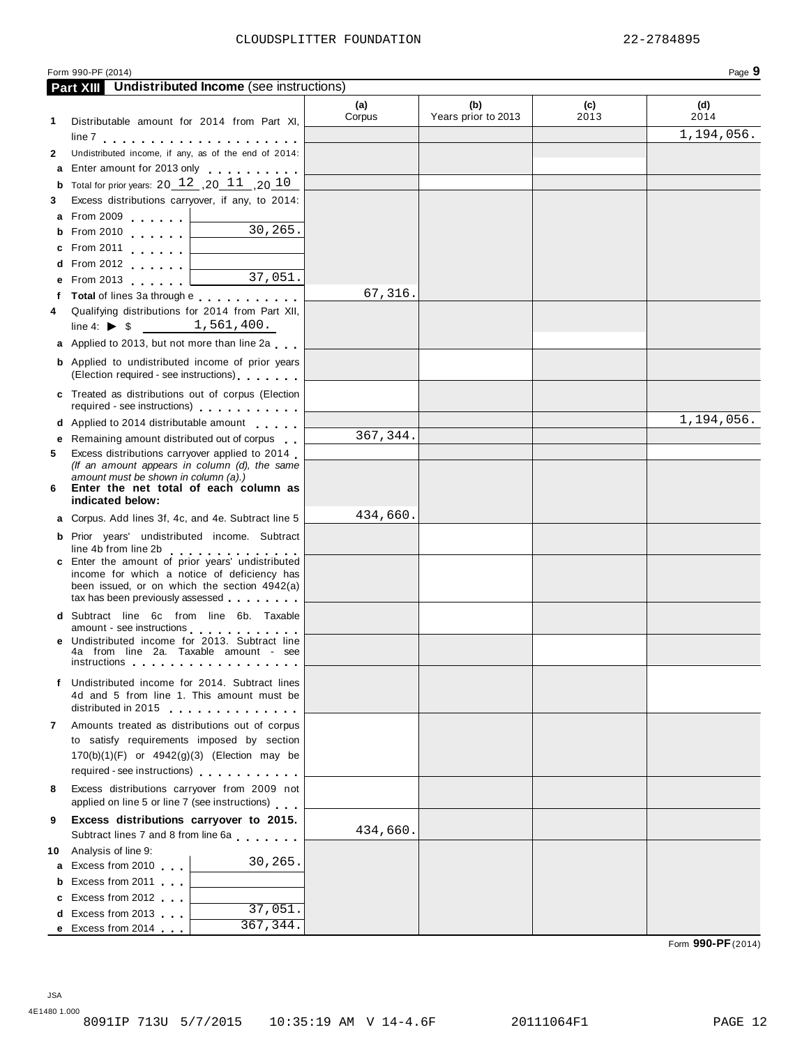30,265.

37,051.

|    | $f$ required - see instructions)               |  |
|----|------------------------------------------------|--|
|    | d Applied to 2014 distributable amount         |  |
|    | e Remaining amount distributed out of corpus   |  |
| 5. | Excess distributions carryover applied to 2014 |  |
|    | (If an amount appears in column (d), the same  |  |
|    | amount must be shown in column $(a)$ )         |  |

**<sup>f</sup> Total** of lines 3a through <sup>e</sup> m m m m m m m m m m m **<sup>4</sup>** Qualifying distributions for <sup>2014</sup> from Part XII, Qualifying distributions for 2014 from Paradine 4:  $\triangleright$  \$  $\frac{1,561,400}{\cdots}$ **a** Applied to 2013, but not more than line 2a **b** Applied to undistributed income of prior years (Election required - see instructions) m m m m m m m **c** Treated as distributions out of corpus (Election required - see instructions) m m m m m m m m m m m

**Part XIII Undistributed Income** (see instructions)

**1** Distributable amount for 2014 from Part XI, line <sup>7</sup> m m m m m m m m m m m m m m m m m m m m m **2** Undistributed income, if any, as of the end of 2014: **a** Enter amount for 2013 only  $\ldots$   $\ldots$ **b** Total for prior years:  $20$   $12$  ,  $20$   $11$  ,  $20$   $10$ **3** Excess distributions carryover, if any, to 2014:

**<sup>a</sup>** From <sup>2009</sup> <sup>m</sup> <sup>m</sup> <sup>m</sup> <sup>m</sup> <sup>m</sup> <sup>m</sup> **<sup>b</sup>** From <sup>2010</sup> <sup>m</sup> <sup>m</sup> <sup>m</sup> <sup>m</sup> <sup>m</sup> <sup>m</sup> **<sup>c</sup>** From <sup>2011</sup> <sup>m</sup> <sup>m</sup> <sup>m</sup> <sup>m</sup> <sup>m</sup> <sup>m</sup> **<sup>d</sup>** From <sup>2012</sup> <sup>m</sup> <sup>m</sup> <sup>m</sup> <sup>m</sup> <sup>m</sup> <sup>m</sup> **<sup>e</sup>** From <sup>2013</sup> <sup>m</sup> <sup>m</sup> <sup>m</sup> <sup>m</sup> <sup>m</sup> <sup>m</sup>

| 6 |                  |  |  | anivant mast be shown in column (a). | Enter the net total of each column as |  |
|---|------------------|--|--|--------------------------------------|---------------------------------------|--|
|   | indicated below: |  |  |                                      |                                       |  |

|  |                      | <b>a</b> Corpus. Add lines 3f, 4c, and 4e. Subtract line 5 $\Box$ |  |
|--|----------------------|-------------------------------------------------------------------|--|
|  |                      | <b>b</b> Prior years' undistributed income. Subtract              |  |
|  | ling 1h from ling 2h |                                                                   |  |

|                                                  |  |  | . |  |
|--------------------------------------------------|--|--|---|--|
| c Enter the amount of prior years' undistributed |  |  |   |  |
| income for which a notice of deficiency has      |  |  |   |  |
| been issued, or on which the section $4942(a)$   |  |  |   |  |
| tax has been previously assessed $\Box$          |  |  |   |  |
| d Subtract line 6c from line 6b Taxable          |  |  |   |  |

**7** Amounts treated as distributions out of corpus to satisfy requirements imposed by section 170(b)(1)(F) or 4942(g)(3) (Election may be required - see instructions)  $\ldots$   $\ldots$   $\ldots$  . **8** Excess distributions carryover from 2009 not Excess distributions carryover from 2009 not<br>applied on line 5 or line 7 (see instructions) **9 Excess distributions carryover to 2015.** Subtract lines 7 and 8 from line 6a **10** Analysis of line 9:

**a** Excess from 2010 **b** Excess from 2011 **c** Excess from 2012 **d** Excess from 2013 **e** Excess from 2014

| Enter the net total of each column as<br>indicated below:                                                                                                                                                        |          |  |
|------------------------------------------------------------------------------------------------------------------------------------------------------------------------------------------------------------------|----------|--|
| <b>a</b> Corpus. Add lines 3f, 4c, and 4e. Subtract line 5                                                                                                                                                       | 434,660. |  |
| <b>b</b> Prior years' undistributed income. Subtract<br>line 4b from line 2b<br>.                                                                                                                                |          |  |
| c Enter the amount of prior years' undistributed<br>income for which a notice of deficiency has<br>been issued, or on which the section 4942(a)<br>tax has been previously assessed                              |          |  |
| <b>d</b> Subtract line 6c from line 6b. Taxable<br>amount - see instructions                                                                                                                                     |          |  |
| e Undistributed income for 2013. Subtract line<br>4a from line 2a. Taxable amount - see<br>instructions <b>interventions</b> in the second service of the service of the service of the service of the service o |          |  |
| f Undistributed income for 2014. Subtract lines<br>4d and 5 from line 1. This amount must be<br>distributed in 2015                                                                                              |          |  |
|                                                                                                                                                                                                                  |          |  |

**(a)** Corpus

67,316.

367,344.

434,660.

**(b)** Years prior to 2013

**(c)** 2013

30,265.

37,051. 367,344.

Form 990-PF (2014) Page **9**

**(d)** 2014

 $\overline{1}$ , 194, 056.

1,194,056.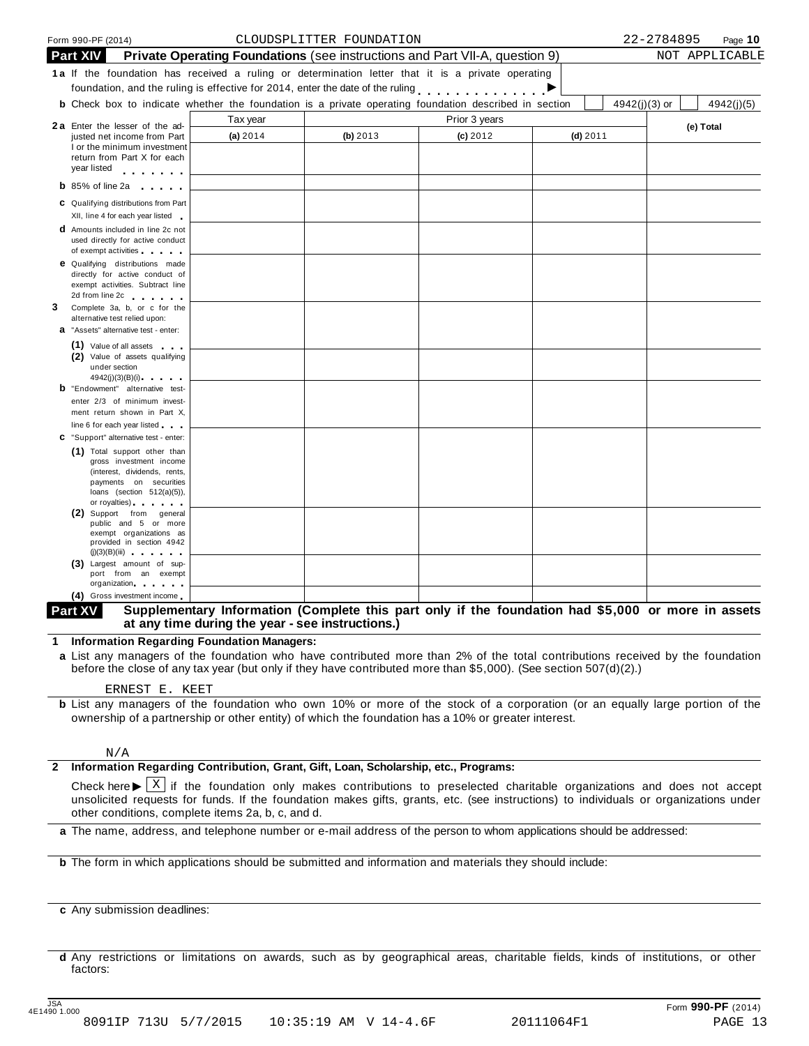|   |                 | Form 990-PF (2014)                                                                                                                                                                          |          | CLOUDSPLITTER FOUNDATION |                                                                                                              |            |               | 22-2784895 | Page 10        |
|---|-----------------|---------------------------------------------------------------------------------------------------------------------------------------------------------------------------------------------|----------|--------------------------|--------------------------------------------------------------------------------------------------------------|------------|---------------|------------|----------------|
|   | <b>Part XIV</b> |                                                                                                                                                                                             |          |                          | <b>Private Operating Foundations</b> (see instructions and Part VII-A, question 9)                           |            |               |            | NOT APPLICABLE |
|   |                 |                                                                                                                                                                                             |          |                          | 1a If the foundation has received a ruling or determination letter that it is a private operating            |            |               |            |                |
|   |                 |                                                                                                                                                                                             |          |                          | foundation, and the ruling is effective for 2014, enter the date of the ruling                               |            |               |            |                |
|   |                 |                                                                                                                                                                                             |          |                          | <b>b</b> Check box to indicate whether the foundation is a private operating foundation described in section |            | 4942(j)(3) or |            | 4942(j)(5)     |
|   |                 | 2a Enter the lesser of the ad-                                                                                                                                                              | Tax year |                          | Prior 3 years                                                                                                |            |               |            |                |
|   |                 | justed net income from Part                                                                                                                                                                 | (a) 2014 | (b) 2013                 | $(c)$ 2012                                                                                                   | $(d)$ 2011 |               |            | (e) Total      |
|   |                 | I or the minimum investment                                                                                                                                                                 |          |                          |                                                                                                              |            |               |            |                |
|   |                 | return from Part X for each<br>year listed<br>$\begin{array}{cccccccccccccc} \bullet & \bullet & \bullet & \bullet & \bullet & \bullet & \bullet & \bullet & \bullet & \bullet \end{array}$ |          |                          |                                                                                                              |            |               |            |                |
|   |                 | <b>b</b> 85% of line 2a $\blacksquare$                                                                                                                                                      |          |                          |                                                                                                              |            |               |            |                |
|   |                 |                                                                                                                                                                                             |          |                          |                                                                                                              |            |               |            |                |
|   |                 | C Qualifying distributions from Part<br>XII, line 4 for each year listed                                                                                                                    |          |                          |                                                                                                              |            |               |            |                |
|   |                 | <b>d</b> Amounts included in line 2c not                                                                                                                                                    |          |                          |                                                                                                              |            |               |            |                |
|   |                 | used directly for active conduct                                                                                                                                                            |          |                          |                                                                                                              |            |               |            |                |
|   |                 | of exempt activities<br><b>e</b> Qualifying distributions made                                                                                                                              |          |                          |                                                                                                              |            |               |            |                |
|   |                 | directly for active conduct of                                                                                                                                                              |          |                          |                                                                                                              |            |               |            |                |
|   |                 | exempt activities. Subtract line                                                                                                                                                            |          |                          |                                                                                                              |            |               |            |                |
| 3 |                 | 2d from line 2c and the state of the state of the state of the state of the state of the state of the state of<br>Complete 3a, b, or c for the                                              |          |                          |                                                                                                              |            |               |            |                |
|   |                 | alternative test relied upon:                                                                                                                                                               |          |                          |                                                                                                              |            |               |            |                |
|   |                 | <b>a</b> "Assets" alternative test - enter:                                                                                                                                                 |          |                          |                                                                                                              |            |               |            |                |
|   |                 | (1) Value of all assets                                                                                                                                                                     |          |                          |                                                                                                              |            |               |            |                |
|   |                 | (2) Value of assets qualifying<br>under section                                                                                                                                             |          |                          |                                                                                                              |            |               |            |                |
|   |                 | 4942(j)(3)(B)(i)                                                                                                                                                                            |          |                          |                                                                                                              |            |               |            |                |
|   |                 | <b>b</b> "Endowment" alternative test-<br>enter 2/3 of minimum invest-                                                                                                                      |          |                          |                                                                                                              |            |               |            |                |
|   |                 | ment return shown in Part X,                                                                                                                                                                |          |                          |                                                                                                              |            |               |            |                |
|   |                 | line 6 for each year listed                                                                                                                                                                 |          |                          |                                                                                                              |            |               |            |                |
|   |                 | C "Support" alternative test - enter:                                                                                                                                                       |          |                          |                                                                                                              |            |               |            |                |
|   |                 | (1) Total support other than<br>gross investment income                                                                                                                                     |          |                          |                                                                                                              |            |               |            |                |
|   |                 | (interest, dividends, rents,                                                                                                                                                                |          |                          |                                                                                                              |            |               |            |                |
|   |                 | payments on securities<br>loans (section $512(a)(5)$ ),                                                                                                                                     |          |                          |                                                                                                              |            |               |            |                |
|   |                 | or royalties) and the control of                                                                                                                                                            |          |                          |                                                                                                              |            |               |            |                |
|   |                 | (2) Support from general<br>public and 5 or more                                                                                                                                            |          |                          |                                                                                                              |            |               |            |                |
|   |                 | exempt organizations as                                                                                                                                                                     |          |                          |                                                                                                              |            |               |            |                |
|   |                 | provided in section 4942<br>$(j)(3)(B)(iii)$                                                                                                                                                |          |                          |                                                                                                              |            |               |            |                |
|   |                 | (3) Largest amount of sup-                                                                                                                                                                  |          |                          |                                                                                                              |            |               |            |                |
|   |                 | port from an exempt<br>organization.                                                                                                                                                        |          |                          |                                                                                                              |            |               |            |                |
|   |                 | (4) Gross investment income                                                                                                                                                                 |          |                          |                                                                                                              |            |               |            |                |

#### Supplementary Information (Complete this part only if the foundation had \$5,000 or more in assets **at any time during the year - see instructions.) Part XV**

**1 Information Regarding Foundation Managers:**

**a** List any managers of the foundation who have contributed more than 2% of the total contributions received by the foundation before the close of any tax year (but only if they have contributed more than \$5,000). (See section 507(d)(2).)

#### ERNEST E. KEET

**b** List any managers of the foundation who own 10% or more of the stock of a corporation (or an equally large portion of the ownership of a partnership or other entity) of which the foundation has a 10% or greater interest.

#### N/A

#### **2 Information Regarding Contribution, Grant, Gift, Loan, Scholarship, etc., Programs:**

Check here  $\blacktriangleright \overline{X}$  if the foundation only makes contributions to preselected charitable organizations and does not accept unsolicited requests for funds if the foundation makes gifts graphs at  $\zeta$  (see instruction unsolicited requests for funds. If the foundation makes gifts, grants, etc. (see instructions) to individuals or organizations under other conditions, complete items 2a, b, c, and d.

**a** The name, address, and telephone number or e-mail address of the person to whom applications should be addressed:

**b** The form in which applications should be submitted and information and materials they should include:

**c** Any submission deadlines:

**d** Any restrictions or limitations on awards, such as by geographical areas, charitable fields, kinds of institutions, or other factors: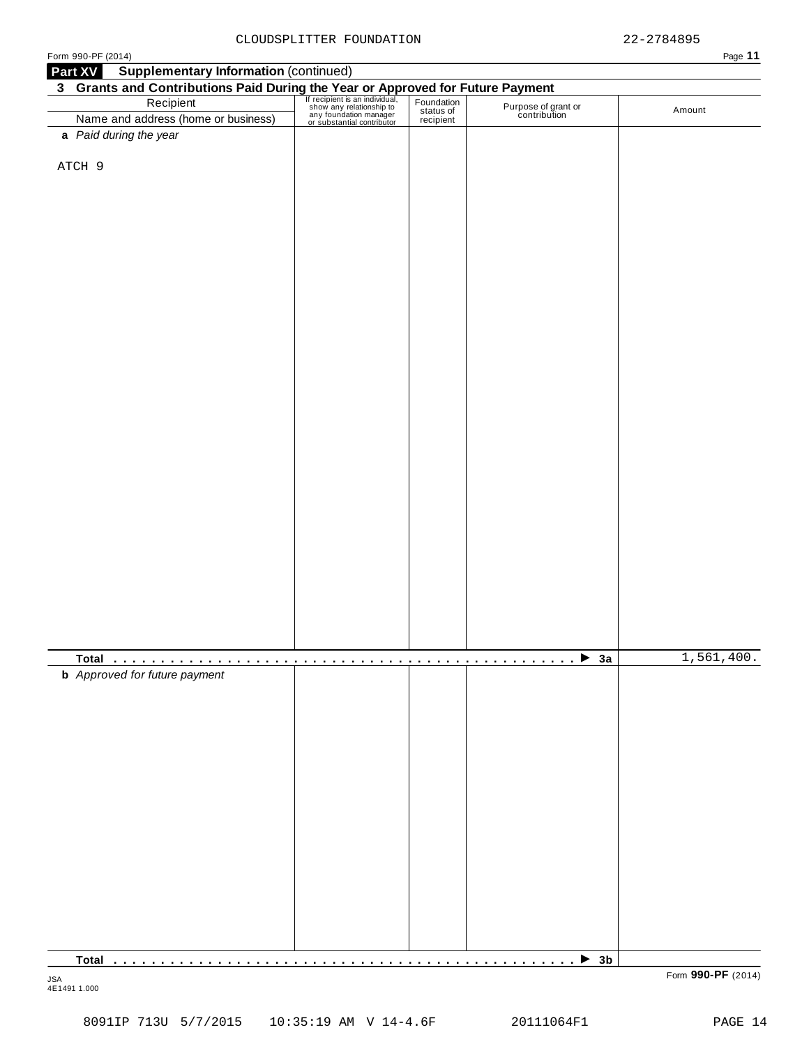| an P |  |  |
|------|--|--|

| <b>Supplementary Information (continued)</b><br>Part XV<br><b>3 Grants and Contributions Paid During the Year or Approved for Future Payment</b><br>Recipient Fecipient Stan individual, Foundation<br>Name and address (home or business) any foundation manager<br>or substantial contributor |  |                                     |            |
|-------------------------------------------------------------------------------------------------------------------------------------------------------------------------------------------------------------------------------------------------------------------------------------------------|--|-------------------------------------|------------|
|                                                                                                                                                                                                                                                                                                 |  |                                     |            |
|                                                                                                                                                                                                                                                                                                 |  | Purpose of grant or<br>contribution | Amount     |
| a Paid during the year                                                                                                                                                                                                                                                                          |  |                                     |            |
|                                                                                                                                                                                                                                                                                                 |  |                                     |            |
| ATCH 9                                                                                                                                                                                                                                                                                          |  |                                     |            |
|                                                                                                                                                                                                                                                                                                 |  |                                     |            |
|                                                                                                                                                                                                                                                                                                 |  |                                     |            |
|                                                                                                                                                                                                                                                                                                 |  |                                     |            |
|                                                                                                                                                                                                                                                                                                 |  |                                     |            |
|                                                                                                                                                                                                                                                                                                 |  |                                     |            |
|                                                                                                                                                                                                                                                                                                 |  |                                     |            |
|                                                                                                                                                                                                                                                                                                 |  |                                     |            |
|                                                                                                                                                                                                                                                                                                 |  |                                     |            |
|                                                                                                                                                                                                                                                                                                 |  |                                     |            |
|                                                                                                                                                                                                                                                                                                 |  |                                     |            |
|                                                                                                                                                                                                                                                                                                 |  |                                     |            |
|                                                                                                                                                                                                                                                                                                 |  |                                     |            |
|                                                                                                                                                                                                                                                                                                 |  |                                     |            |
|                                                                                                                                                                                                                                                                                                 |  |                                     |            |
|                                                                                                                                                                                                                                                                                                 |  |                                     |            |
|                                                                                                                                                                                                                                                                                                 |  |                                     |            |
|                                                                                                                                                                                                                                                                                                 |  |                                     |            |
|                                                                                                                                                                                                                                                                                                 |  |                                     |            |
|                                                                                                                                                                                                                                                                                                 |  |                                     |            |
|                                                                                                                                                                                                                                                                                                 |  |                                     |            |
|                                                                                                                                                                                                                                                                                                 |  |                                     |            |
|                                                                                                                                                                                                                                                                                                 |  |                                     |            |
|                                                                                                                                                                                                                                                                                                 |  |                                     |            |
|                                                                                                                                                                                                                                                                                                 |  |                                     |            |
|                                                                                                                                                                                                                                                                                                 |  |                                     |            |
|                                                                                                                                                                                                                                                                                                 |  |                                     |            |
|                                                                                                                                                                                                                                                                                                 |  |                                     |            |
|                                                                                                                                                                                                                                                                                                 |  |                                     |            |
|                                                                                                                                                                                                                                                                                                 |  |                                     |            |
|                                                                                                                                                                                                                                                                                                 |  |                                     |            |
|                                                                                                                                                                                                                                                                                                 |  |                                     |            |
|                                                                                                                                                                                                                                                                                                 |  |                                     |            |
|                                                                                                                                                                                                                                                                                                 |  | $\rightarrow$ 3a<br>.               | 1,561,400. |
| <b>b</b> Approved for future payment                                                                                                                                                                                                                                                            |  |                                     |            |
|                                                                                                                                                                                                                                                                                                 |  |                                     |            |
|                                                                                                                                                                                                                                                                                                 |  |                                     |            |
|                                                                                                                                                                                                                                                                                                 |  |                                     |            |
|                                                                                                                                                                                                                                                                                                 |  |                                     |            |
|                                                                                                                                                                                                                                                                                                 |  |                                     |            |
|                                                                                                                                                                                                                                                                                                 |  |                                     |            |
|                                                                                                                                                                                                                                                                                                 |  |                                     |            |
|                                                                                                                                                                                                                                                                                                 |  |                                     |            |
|                                                                                                                                                                                                                                                                                                 |  |                                     |            |
|                                                                                                                                                                                                                                                                                                 |  |                                     |            |
|                                                                                                                                                                                                                                                                                                 |  |                                     |            |
|                                                                                                                                                                                                                                                                                                 |  |                                     |            |
|                                                                                                                                                                                                                                                                                                 |  |                                     |            |
|                                                                                                                                                                                                                                                                                                 |  |                                     |            |
|                                                                                                                                                                                                                                                                                                 |  |                                     |            |
|                                                                                                                                                                                                                                                                                                 |  |                                     |            |
|                                                                                                                                                                                                                                                                                                 |  |                                     |            |
|                                                                                                                                                                                                                                                                                                 |  |                                     |            |
|                                                                                                                                                                                                                                                                                                 |  |                                     |            |

4E1491 1.000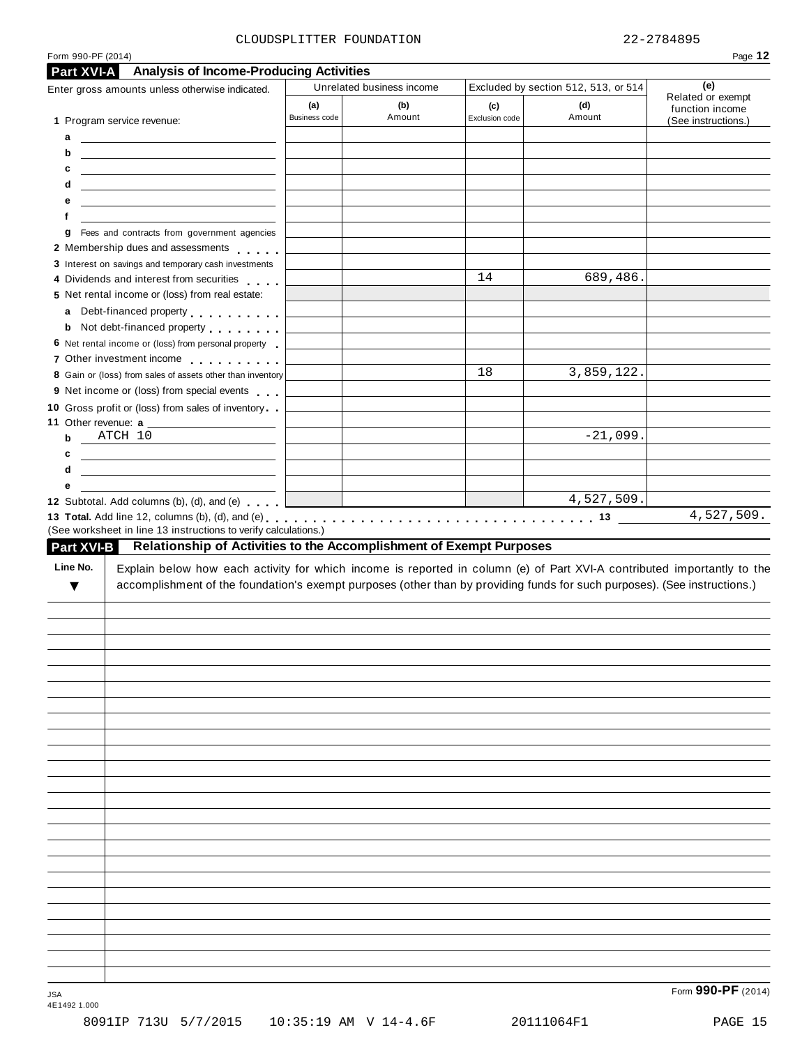| ÷<br>r.<br>٠ |  |
|--------------|--|
|              |  |

| <b>Analysis of Income-Producing Activities</b><br>Part XVI-A                                                                                                                                                                                                                                                                                                                                                |               |                           |                |                                      |                          |
|-------------------------------------------------------------------------------------------------------------------------------------------------------------------------------------------------------------------------------------------------------------------------------------------------------------------------------------------------------------------------------------------------------------|---------------|---------------------------|----------------|--------------------------------------|--------------------------|
| Enter gross amounts unless otherwise indicated.                                                                                                                                                                                                                                                                                                                                                             |               | Unrelated business income |                | Excluded by section 512, 513, or 514 | (e)<br>Related or exempt |
|                                                                                                                                                                                                                                                                                                                                                                                                             | (a)           | (b)                       | (c)            | (d)                                  | function income          |
| 1 Program service revenue:                                                                                                                                                                                                                                                                                                                                                                                  | Business code | Amount                    | Exclusion code | Amount                               | (See instructions.)      |
| а<br><u> The Common State Common State Common</u>                                                                                                                                                                                                                                                                                                                                                           |               |                           |                |                                      |                          |
| <u> 1989 - Johann Barn, mars ann an t-Amhainn an t-A</u><br>b                                                                                                                                                                                                                                                                                                                                               |               |                           |                |                                      |                          |
| c<br><u> 1989 - Andrea Stadt Britain, amerikansk politik (</u>                                                                                                                                                                                                                                                                                                                                              |               |                           |                |                                      |                          |
| d<br><u> 1989 - Johann Barn, mars ann an t-Amhainn an t-A</u>                                                                                                                                                                                                                                                                                                                                               |               |                           |                |                                      |                          |
| е<br><u> 1989 - Johann Harry Harry Harry Harry Harry Harry Harry Harry Harry Harry Harry Harry Harry Harry Harry Harry</u>                                                                                                                                                                                                                                                                                  |               |                           |                |                                      |                          |
| f                                                                                                                                                                                                                                                                                                                                                                                                           |               |                           |                |                                      |                          |
| Fees and contracts from government agencies<br>g                                                                                                                                                                                                                                                                                                                                                            |               |                           |                |                                      |                          |
| 2 Membership dues and assessments                                                                                                                                                                                                                                                                                                                                                                           |               |                           |                |                                      |                          |
| 3 Interest on savings and temporary cash investments                                                                                                                                                                                                                                                                                                                                                        |               |                           |                |                                      |                          |
| 4 Dividends and interest from securities                                                                                                                                                                                                                                                                                                                                                                    |               |                           | 14             | 689,486.                             |                          |
| 5 Net rental income or (loss) from real estate:                                                                                                                                                                                                                                                                                                                                                             |               |                           |                |                                      |                          |
| Debt-financed property entertainment<br>a                                                                                                                                                                                                                                                                                                                                                                   |               |                           |                |                                      |                          |
| <b>b</b> Not debt-financed property <b>contains the State of Australian</b>                                                                                                                                                                                                                                                                                                                                 |               |                           |                |                                      |                          |
| 6 Net rental income or (loss) from personal property                                                                                                                                                                                                                                                                                                                                                        |               |                           |                |                                      |                          |
| 7 Other investment income                                                                                                                                                                                                                                                                                                                                                                                   |               |                           |                |                                      |                          |
| 8 Gain or (loss) from sales of assets other than inventory                                                                                                                                                                                                                                                                                                                                                  |               |                           | 18             | 3,859,122.                           |                          |
| 9 Net income or (loss) from special events                                                                                                                                                                                                                                                                                                                                                                  |               |                           |                |                                      |                          |
| 10 Gross profit or (loss) from sales of inventory                                                                                                                                                                                                                                                                                                                                                           |               |                           |                |                                      |                          |
| ATCH 10                                                                                                                                                                                                                                                                                                                                                                                                     |               |                           |                |                                      |                          |
| b                                                                                                                                                                                                                                                                                                                                                                                                           |               |                           |                | $-21,099.$                           |                          |
| <u> 1989 - Johann Harry Harry Harry Harry Harry Harry Harry Harry Harry Harry Harry Harry Harry Harry Harry Harry Harry Harry Harry Harry Harry Harry Harry Harry Harry Harry Harry Harry Harry Harry Harry Harry Harry Harry Ha</u><br>c                                                                                                                                                                   |               |                           |                |                                      |                          |
| <u> 1989 - Andrea Barbara, poeta esperanto-</u><br>d                                                                                                                                                                                                                                                                                                                                                        |               |                           |                |                                      |                          |
|                                                                                                                                                                                                                                                                                                                                                                                                             |               |                           |                |                                      |                          |
| е<br>Relationship of Activities to the Accomplishment of Exempt Purposes                                                                                                                                                                                                                                                                                                                                    |               |                           |                | 4,527,509.                           |                          |
| 12 Subtotal. Add columns (b), (d), and (e)<br>(See worksheet in line 13 instructions to verify calculations.)<br><b>Part XVI-B</b><br>Line No.<br>Explain below how each activity for which income is reported in column (e) of Part XVI-A contributed importantly to the<br>accomplishment of the foundation's exempt purposes (other than by providing funds for such purposes). (See instructions.)<br>▼ |               |                           |                |                                      |                          |
|                                                                                                                                                                                                                                                                                                                                                                                                             |               |                           |                |                                      | 4,527,509.               |
|                                                                                                                                                                                                                                                                                                                                                                                                             |               |                           |                |                                      |                          |
|                                                                                                                                                                                                                                                                                                                                                                                                             |               |                           |                |                                      |                          |
|                                                                                                                                                                                                                                                                                                                                                                                                             |               |                           |                |                                      |                          |
|                                                                                                                                                                                                                                                                                                                                                                                                             |               |                           |                |                                      |                          |
|                                                                                                                                                                                                                                                                                                                                                                                                             |               |                           |                |                                      |                          |
|                                                                                                                                                                                                                                                                                                                                                                                                             |               |                           |                |                                      |                          |
|                                                                                                                                                                                                                                                                                                                                                                                                             |               |                           |                |                                      |                          |
|                                                                                                                                                                                                                                                                                                                                                                                                             |               |                           |                |                                      |                          |
|                                                                                                                                                                                                                                                                                                                                                                                                             |               |                           |                |                                      |                          |
|                                                                                                                                                                                                                                                                                                                                                                                                             |               |                           |                |                                      |                          |
|                                                                                                                                                                                                                                                                                                                                                                                                             |               |                           |                |                                      |                          |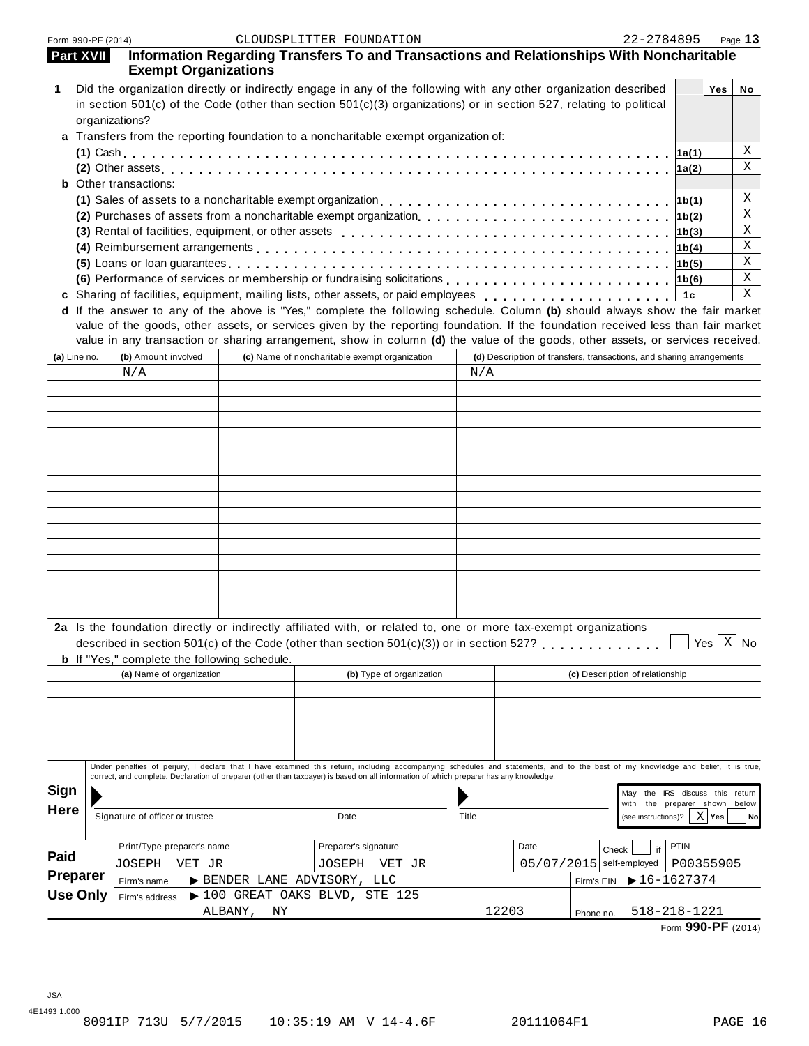| Part XVII       | <b>Exempt Organizations</b>                         |               | Information Regarding Transfers To and Transactions and Relationships With Noncharitable                                                                                                                                                                                                                                        |        |       |      |                                                                      |             |            |           |
|-----------------|-----------------------------------------------------|---------------|---------------------------------------------------------------------------------------------------------------------------------------------------------------------------------------------------------------------------------------------------------------------------------------------------------------------------------|--------|-------|------|----------------------------------------------------------------------|-------------|------------|-----------|
| 1               | organizations?                                      |               | Did the organization directly or indirectly engage in any of the following with any other organization described<br>in section 501(c) of the Code (other than section 501(c)(3) organizations) or in section 527, relating to political<br>a Transfers from the reporting foundation to a noncharitable exempt organization of: |        |       |      |                                                                      |             | <b>Yes</b> | No        |
|                 |                                                     |               |                                                                                                                                                                                                                                                                                                                                 |        |       |      |                                                                      | ∣1a(1)      |            | Χ         |
|                 |                                                     |               |                                                                                                                                                                                                                                                                                                                                 |        |       |      |                                                                      | 1a(2)       |            | X         |
|                 | <b>b</b> Other transactions:                        |               |                                                                                                                                                                                                                                                                                                                                 |        |       |      |                                                                      |             |            |           |
|                 |                                                     |               |                                                                                                                                                                                                                                                                                                                                 |        |       |      |                                                                      | 1b(1)       |            | Χ         |
|                 |                                                     |               |                                                                                                                                                                                                                                                                                                                                 |        |       |      |                                                                      | 1b(2)       |            | Χ         |
|                 |                                                     |               |                                                                                                                                                                                                                                                                                                                                 |        |       |      |                                                                      | 1b(3)       |            | Χ         |
|                 |                                                     |               |                                                                                                                                                                                                                                                                                                                                 |        |       |      |                                                                      | 1b(4)       |            | Χ         |
|                 |                                                     |               | (5) Loans or loan guarantees enterpreteration of the state of the state of the state of the state of the state of the state of the state of the state of the state of the state of the state of the state of the state of the                                                                                                   |        |       |      |                                                                      |             |            | Χ         |
|                 |                                                     |               |                                                                                                                                                                                                                                                                                                                                 |        |       |      |                                                                      |             |            | Χ<br>Χ    |
|                 |                                                     |               | c Sharing of facilities, equipment, mailing lists, other assets, or paid employees                                                                                                                                                                                                                                              |        |       |      |                                                                      | 1c          |            |           |
|                 |                                                     |               | d If the answer to any of the above is "Yes," complete the following schedule. Column (b) should always show the fair market<br>value of the goods, other assets, or services given by the reporting foundation. If the foundation received less than fair market                                                               |        |       |      |                                                                      |             |            |           |
|                 |                                                     |               | value in any transaction or sharing arrangement, show in column (d) the value of the goods, other assets, or services received.                                                                                                                                                                                                 |        |       |      |                                                                      |             |            |           |
| (a) Line no.    | (b) Amount involved                                 |               | (c) Name of noncharitable exempt organization                                                                                                                                                                                                                                                                                   |        |       |      | (d) Description of transfers, transactions, and sharing arrangements |             |            |           |
|                 | N/A                                                 |               |                                                                                                                                                                                                                                                                                                                                 |        | N/A   |      |                                                                      |             |            |           |
|                 |                                                     |               |                                                                                                                                                                                                                                                                                                                                 |        |       |      |                                                                      |             |            |           |
|                 |                                                     |               |                                                                                                                                                                                                                                                                                                                                 |        |       |      |                                                                      |             |            |           |
|                 |                                                     |               |                                                                                                                                                                                                                                                                                                                                 |        |       |      |                                                                      |             |            |           |
|                 |                                                     |               |                                                                                                                                                                                                                                                                                                                                 |        |       |      |                                                                      |             |            |           |
|                 |                                                     |               |                                                                                                                                                                                                                                                                                                                                 |        |       |      |                                                                      |             |            |           |
|                 |                                                     |               |                                                                                                                                                                                                                                                                                                                                 |        |       |      |                                                                      |             |            |           |
|                 |                                                     |               |                                                                                                                                                                                                                                                                                                                                 |        |       |      |                                                                      |             |            |           |
|                 |                                                     |               |                                                                                                                                                                                                                                                                                                                                 |        |       |      |                                                                      |             |            |           |
|                 |                                                     |               |                                                                                                                                                                                                                                                                                                                                 |        |       |      |                                                                      |             |            |           |
|                 |                                                     |               |                                                                                                                                                                                                                                                                                                                                 |        |       |      |                                                                      |             |            |           |
|                 |                                                     |               |                                                                                                                                                                                                                                                                                                                                 |        |       |      |                                                                      |             |            |           |
|                 |                                                     |               |                                                                                                                                                                                                                                                                                                                                 |        |       |      |                                                                      |             |            |           |
|                 |                                                     |               |                                                                                                                                                                                                                                                                                                                                 |        |       |      |                                                                      |             |            |           |
|                 |                                                     |               |                                                                                                                                                                                                                                                                                                                                 |        |       |      |                                                                      |             |            |           |
|                 | <b>b</b> If "Yes," complete the following schedule. |               | 2a Is the foundation directly or indirectly affiliated with, or related to, one or more tax-exempt organizations<br>described in section 501(c) of the Code (other than section 501(c)(3)) or in section 527?                                                                                                                   |        |       |      |                                                                      |             | Yes $X$ No |           |
|                 | (a) Name of organization                            |               | (b) Type of organization                                                                                                                                                                                                                                                                                                        |        |       |      | (c) Description of relationship                                      |             |            |           |
|                 |                                                     |               |                                                                                                                                                                                                                                                                                                                                 |        |       |      |                                                                      |             |            |           |
|                 |                                                     |               |                                                                                                                                                                                                                                                                                                                                 |        |       |      |                                                                      |             |            |           |
|                 |                                                     |               |                                                                                                                                                                                                                                                                                                                                 |        |       |      |                                                                      |             |            |           |
|                 |                                                     |               |                                                                                                                                                                                                                                                                                                                                 |        |       |      |                                                                      |             |            |           |
|                 |                                                     |               |                                                                                                                                                                                                                                                                                                                                 |        |       |      |                                                                      |             |            |           |
|                 |                                                     |               | Under penalties of perjury, I declare that I have examined this return, including accompanying schedules and statements, and to the best of my knowledge and belief, it is true,<br>correct, and complete. Declaration of preparer (other than taxpayer) is based on all information of which preparer has any knowledge.       |        |       |      |                                                                      |             |            |           |
| Sign            |                                                     |               |                                                                                                                                                                                                                                                                                                                                 |        |       |      | May the IRS discuss this return                                      |             |            |           |
| <b>Here</b>     |                                                     |               |                                                                                                                                                                                                                                                                                                                                 |        |       |      | the preparer shown below<br>with                                     |             |            |           |
|                 | Signature of officer or trustee                     |               | Date                                                                                                                                                                                                                                                                                                                            |        | Title |      | (see instructions)?                                                  |             | $X$ Yes    | <b>No</b> |
|                 | Print/Type preparer's name                          |               | Preparer's signature                                                                                                                                                                                                                                                                                                            |        |       | Date | if                                                                   | <b>PTIN</b> |            |           |
| Paid            | JOSEPH<br>VET JR                                    |               | JOSEPH                                                                                                                                                                                                                                                                                                                          | VET JR |       |      | Check<br>05/07/2015 self-employed                                    | P00355905   |            |           |
| Preparer        | Firm's name                                         |               | > BENDER LANE ADVISORY, LLC                                                                                                                                                                                                                                                                                                     |        |       |      | $\blacktriangleright$ 16-1627374<br>Firm's EIN                       |             |            |           |
| <b>Use Only</b> | Firm's address                                      |               | $\blacktriangleright$ 100 GREAT OAKS BLVD, STE 125                                                                                                                                                                                                                                                                              |        |       |      |                                                                      |             |            |           |
|                 |                                                     | ALBANY,<br>ΝY |                                                                                                                                                                                                                                                                                                                                 |        | 12203 |      | 518-218-1221<br>Phone no.                                            |             |            |           |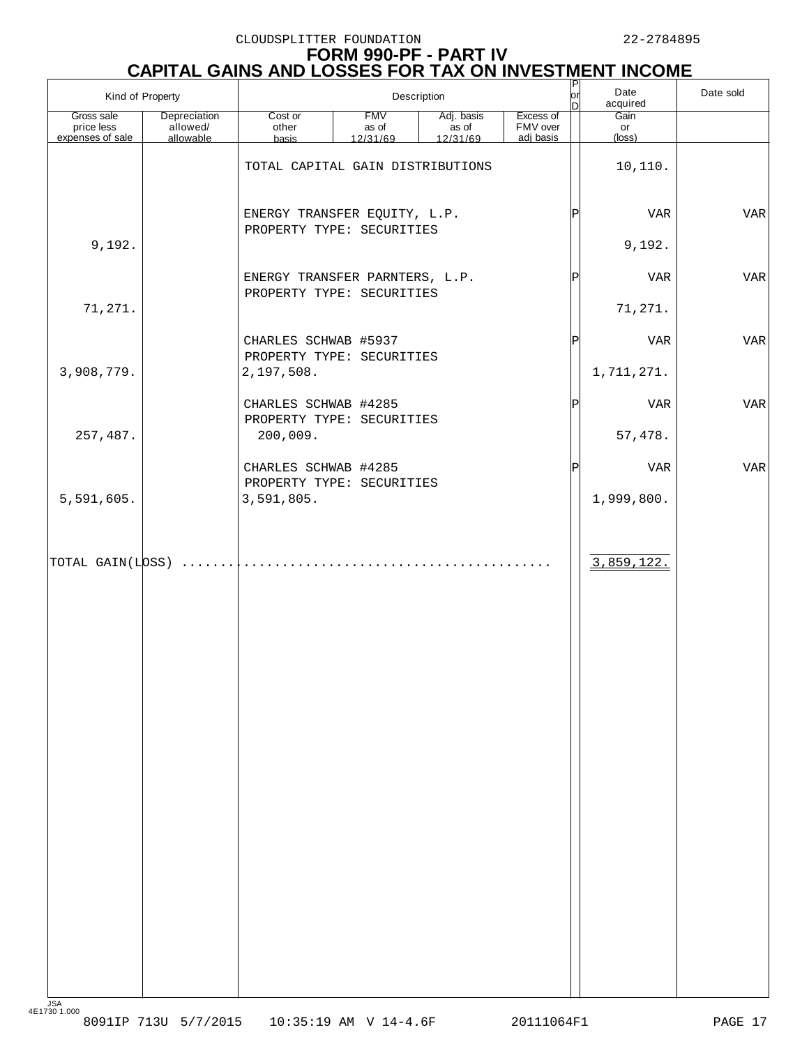# **FORM 990-PF - PART IV CAPITAL GAINS AND LOSSES FOR TAX ON INVESTMENT INCOME**

|                                              | Kind of Property                      |                                                             | Description                     |                                 |                                    | юr<br>n     | Date<br>acquired              | Date sold  |
|----------------------------------------------|---------------------------------------|-------------------------------------------------------------|---------------------------------|---------------------------------|------------------------------------|-------------|-------------------------------|------------|
| Gross sale<br>price less<br>expenses of sale | Depreciation<br>allowed/<br>allowable | Cost or<br>other<br>basis                                   | <b>FMV</b><br>as of<br>12/31/69 | Adj. basis<br>as of<br>12/31/69 | Excess of<br>FMV over<br>adj basis |             | Gain<br>or<br>$(\text{loss})$ |            |
|                                              |                                       | TOTAL CAPITAL GAIN DISTRIBUTIONS                            |                                 |                                 |                                    |             | 10,110.                       |            |
|                                              |                                       | ENERGY TRANSFER EQUITY, L.P.<br>PROPERTY TYPE: SECURITIES   |                                 |                                 |                                    | Þ           | <b>VAR</b>                    | <b>VAR</b> |
| 9,192.                                       |                                       |                                                             |                                 |                                 |                                    |             | 9,192.                        |            |
|                                              |                                       | ENERGY TRANSFER PARNTERS, L.P.<br>PROPERTY TYPE: SECURITIES |                                 |                                 |                                    | Þ           | <b>VAR</b>                    | <b>VAR</b> |
| 71,271.                                      |                                       |                                                             |                                 |                                 |                                    |             | 71,271.                       |            |
|                                              |                                       | CHARLES SCHWAB #5937<br>PROPERTY TYPE: SECURITIES           |                                 |                                 |                                    | $\mathbf P$ | <b>VAR</b>                    | <b>VAR</b> |
| 3,908,779.                                   |                                       | 2,197,508.                                                  |                                 |                                 |                                    |             | 1,711,271.                    |            |
|                                              |                                       | CHARLES SCHWAB #4285<br>PROPERTY TYPE: SECURITIES           |                                 |                                 |                                    | Þ           | <b>VAR</b>                    | <b>VAR</b> |
| 257,487.                                     |                                       | 200,009.                                                    |                                 |                                 |                                    |             | 57,478.                       |            |
|                                              |                                       | CHARLES SCHWAB #4285<br>PROPERTY TYPE: SECURITIES           |                                 |                                 |                                    | Þ           | <b>VAR</b>                    | <b>VAR</b> |
| 5,591,605.                                   |                                       | 3,591,805.                                                  |                                 |                                 |                                    |             | 1,999,800.                    |            |
| $ $ TOTAL GAIN(L $ $ DSS)                    |                                       |                                                             |                                 |                                 |                                    |             | 3,859,122.                    |            |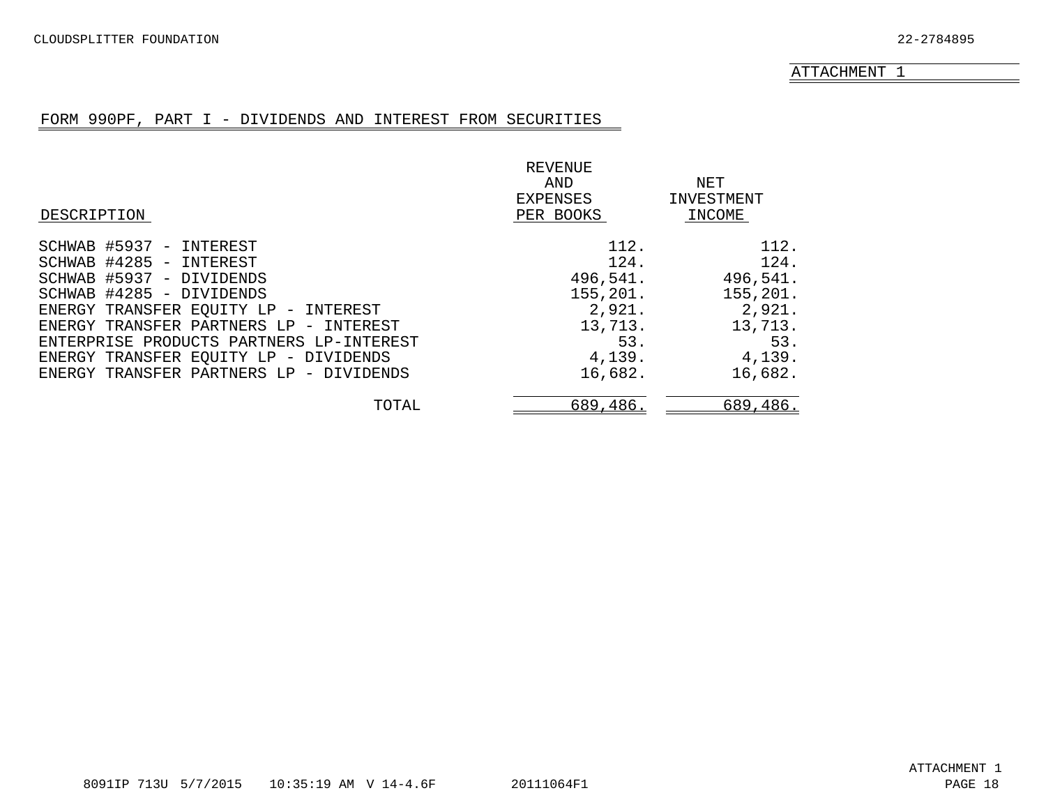### FORM 990PF, PART I - DIVIDENDS AND INTEREST FROM SECURITIES

<span id="page-14-0"></span>

|                                          | REVENUE   |            |
|------------------------------------------|-----------|------------|
|                                          | AND       | NET        |
|                                          | EXPENSES  | INVESTMENT |
| DESCRIPTION                              | PER BOOKS | INCOME     |
| SCHWAB #5937 - INTEREST                  | 112.      | 112.       |
| SCHWAB #4285 - INTEREST                  | 124.      | 124.       |
| SCHWAB #5937 - DIVIDENDS                 | 496,541.  | 496,541.   |
| SCHWAB #4285 - DIVIDENDS                 | 155,201.  | 155,201.   |
| ENERGY TRANSFER EQUITY LP - INTEREST     | 2,921.    | 2,921.     |
| ENERGY TRANSFER PARTNERS LP - INTEREST   | 13,713.   | 13,713.    |
| ENTERPRISE PRODUCTS PARTNERS LP-INTEREST | 53.       | 53.        |
| ENERGY TRANSFER EQUITY LP - DIVIDENDS    | 4,139.    | 4,139.     |
| ENERGY TRANSFER PARTNERS LP - DIVIDENDS  | 16,682.   | 16,682.    |
| TOTAL                                    | 689,486.  | 689,486.   |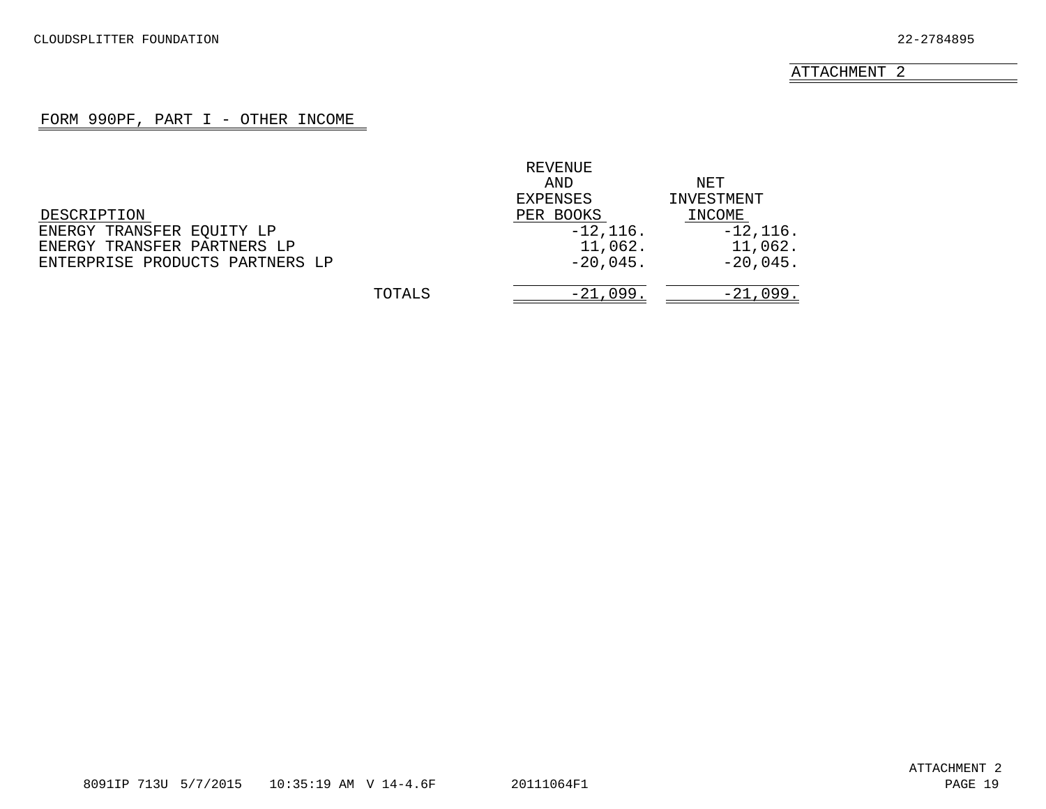### FORM 990PF, PART I - OTHER INCOME

<span id="page-15-0"></span>

|                                 |        | REVENUE     |            |
|---------------------------------|--------|-------------|------------|
|                                 |        | AND         | NET        |
|                                 |        | EXPENSES    | INVESTMENT |
| DESCRIPTION                     |        | PER BOOKS   | INCOME     |
| ENERGY TRANSFER EQUITY LP       |        | $-12, 116.$ | $-12,116.$ |
| ENERGY TRANSFER PARTNERS LP     |        | 11,062.     | 11,062.    |
| ENTERPRISE PRODUCTS PARTNERS LP |        | $-20,045.$  | $-20,045.$ |
|                                 | TOTALS | $-21,099.$  | $-21,099.$ |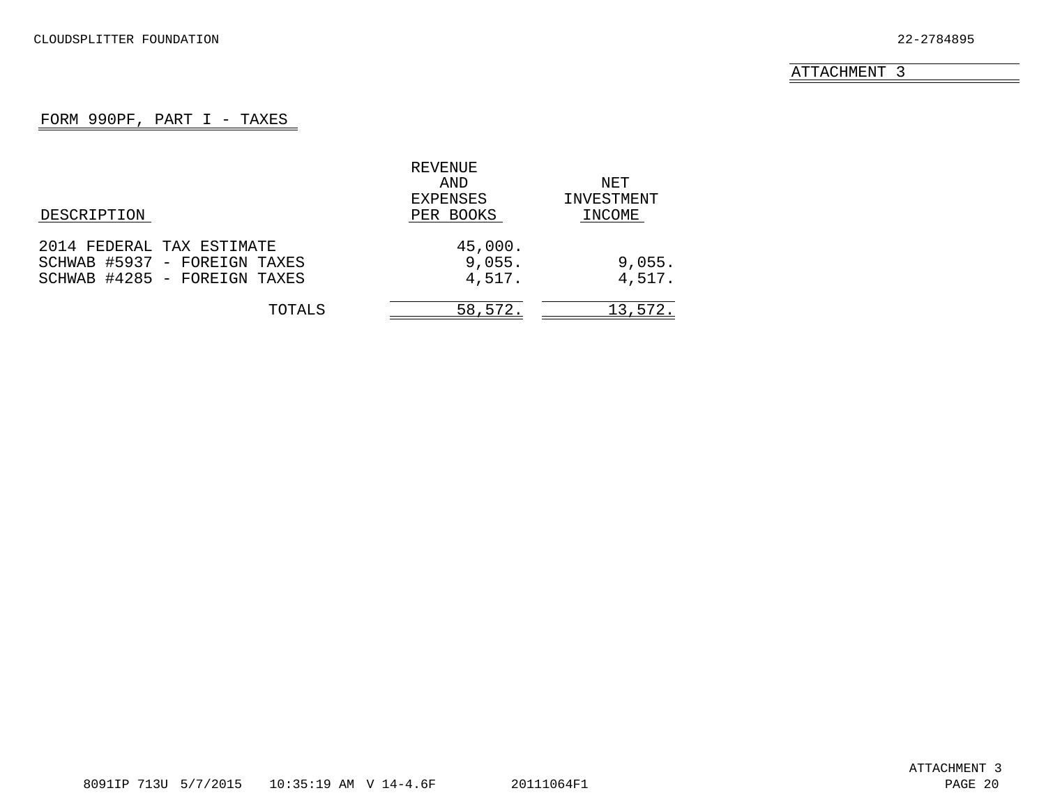### FORM 990PF, PART I - TAXES

<span id="page-16-0"></span>

|                              | REVENUE   |            |
|------------------------------|-----------|------------|
|                              | AND       | NET        |
|                              | EXPENSES  | INVESTMENT |
| DESCRIPTION                  | PER BOOKS | INCOME     |
| 2014 FEDERAL TAX ESTIMATE    | 45,000.   |            |
| SCHWAB #5937 - FOREIGN TAXES | 9,055.    | 9,055.     |
| SCHWAB #4285 - FOREIGN TAXES | 4,517.    | 4,517.     |
| TOTALS                       | 58,572.   | 13,572.    |
|                              |           |            |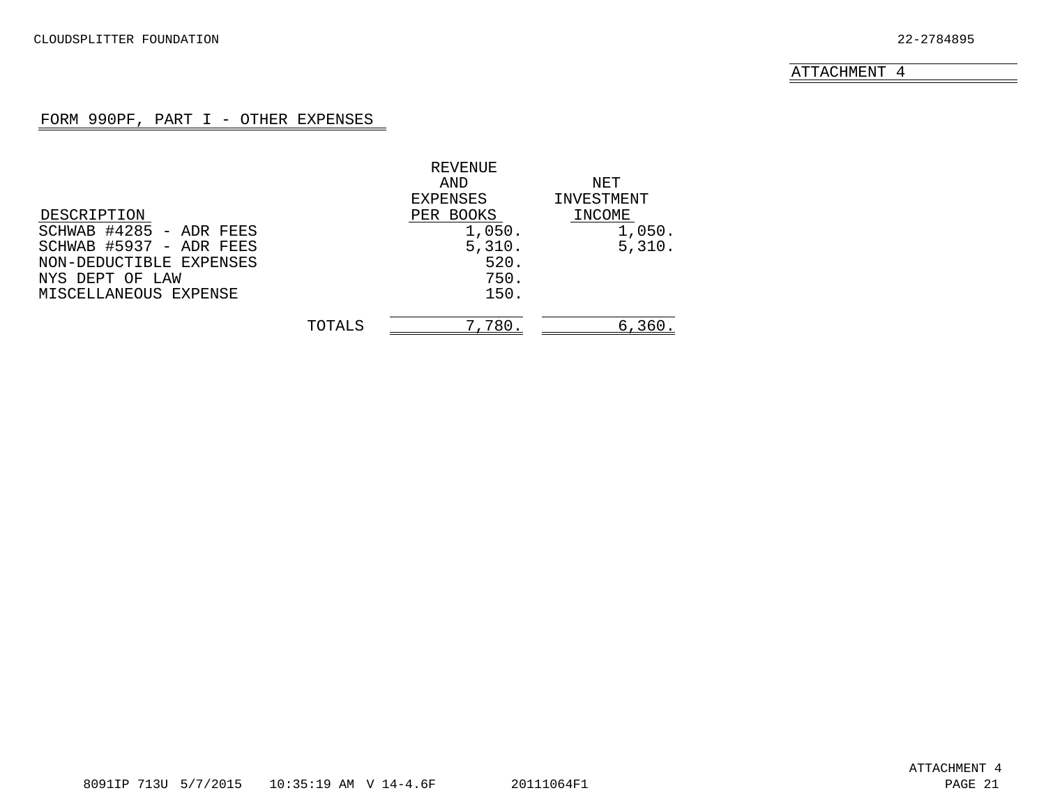## FORM 990PF, PART I - OTHER EXPENSES

<span id="page-17-0"></span>

|        | REVENUE   |            |
|--------|-----------|------------|
|        | AND       | NET        |
|        | EXPENSES  | INVESTMENT |
|        | PER BOOKS | INCOME     |
|        | 1,050.    | 1,050.     |
|        | 5,310.    | 5,310.     |
|        | 520.      |            |
|        | 750.      |            |
|        | 150.      |            |
| TOTALS | 7,780     | 6,360.     |
|        |           |            |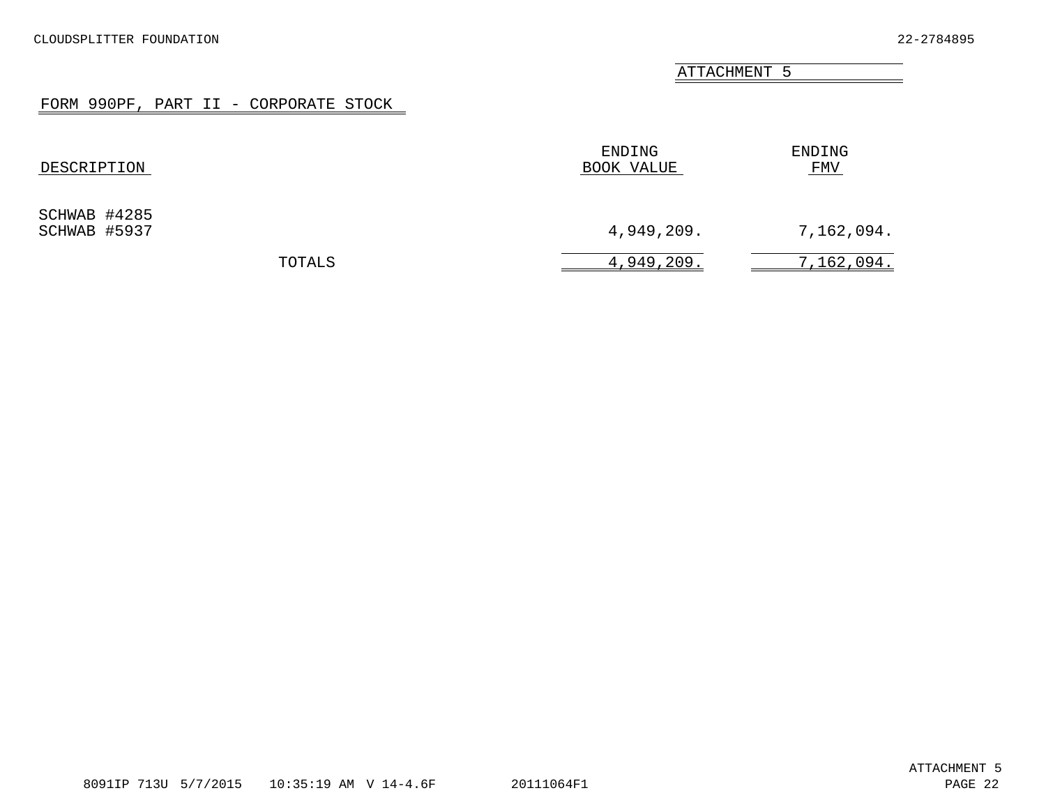# FORM 990PF, PART II - CORPORATE STOCK

<span id="page-18-0"></span>

| DESCRIPTION                  | ENDING<br>BOOK VALUE | ENDING<br>FMV |
|------------------------------|----------------------|---------------|
| SCHWAB #4285<br>SCHWAB #5937 | 4,949,209.           | 7,162,094.    |
| TOTALS                       | 4,949,209.           | 7,162,094.    |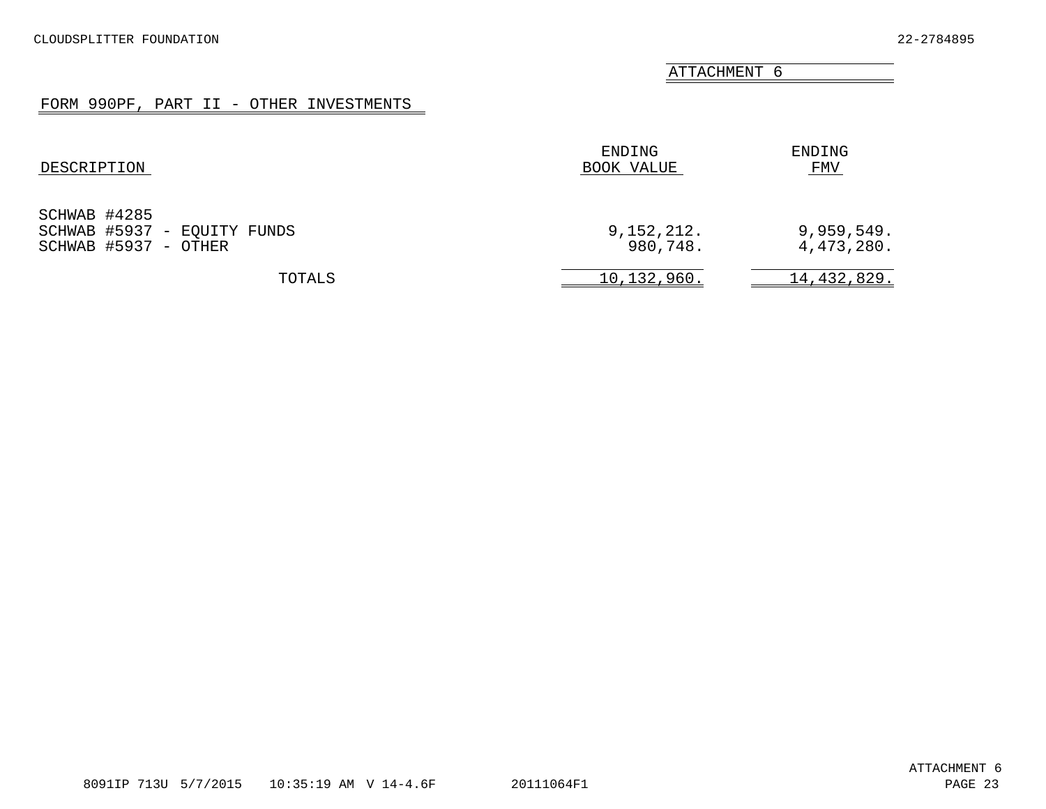# FORM 990PF, PART II - OTHER INVESTMENTS

<span id="page-19-0"></span>

| DESCRIPTION                                                         | ENDING<br>BOOK VALUE   | ENDING<br><b>FMV</b>     |
|---------------------------------------------------------------------|------------------------|--------------------------|
| SCHWAB #4285<br>SCHWAB #5937 - EQUITY FUNDS<br>SCHWAB #5937 - OTHER | 9,152,212.<br>980,748. | 9,959,549.<br>4,473,280. |
| TOTALS                                                              | 10,132,960.            | 14,432,829.              |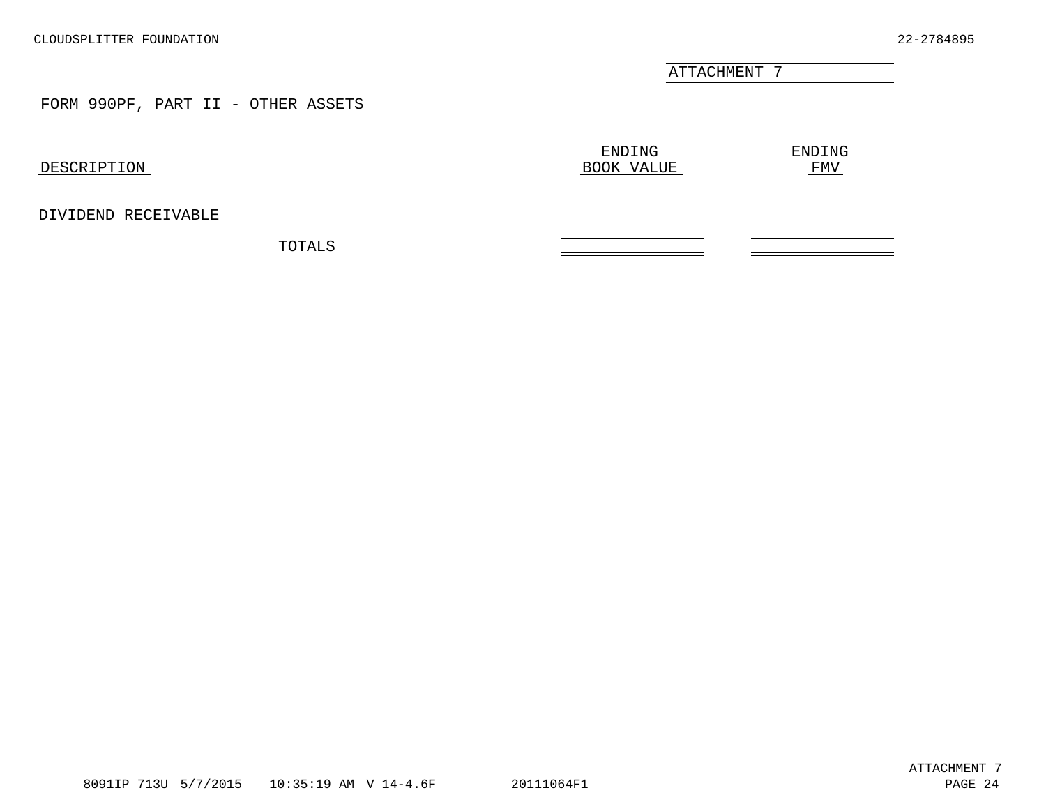<u> The Communication of the Communication of</u>

#### FORM 990PF, PART II - OTHER ASSETS

<span id="page-20-0"></span>

| DESCRIPTION         | ENDING<br>BOOK VALUE | ENDING<br><b>FMV</b> |
|---------------------|----------------------|----------------------|
| DIVIDEND RECEIVABLE |                      |                      |
| TOTALS              |                      |                      |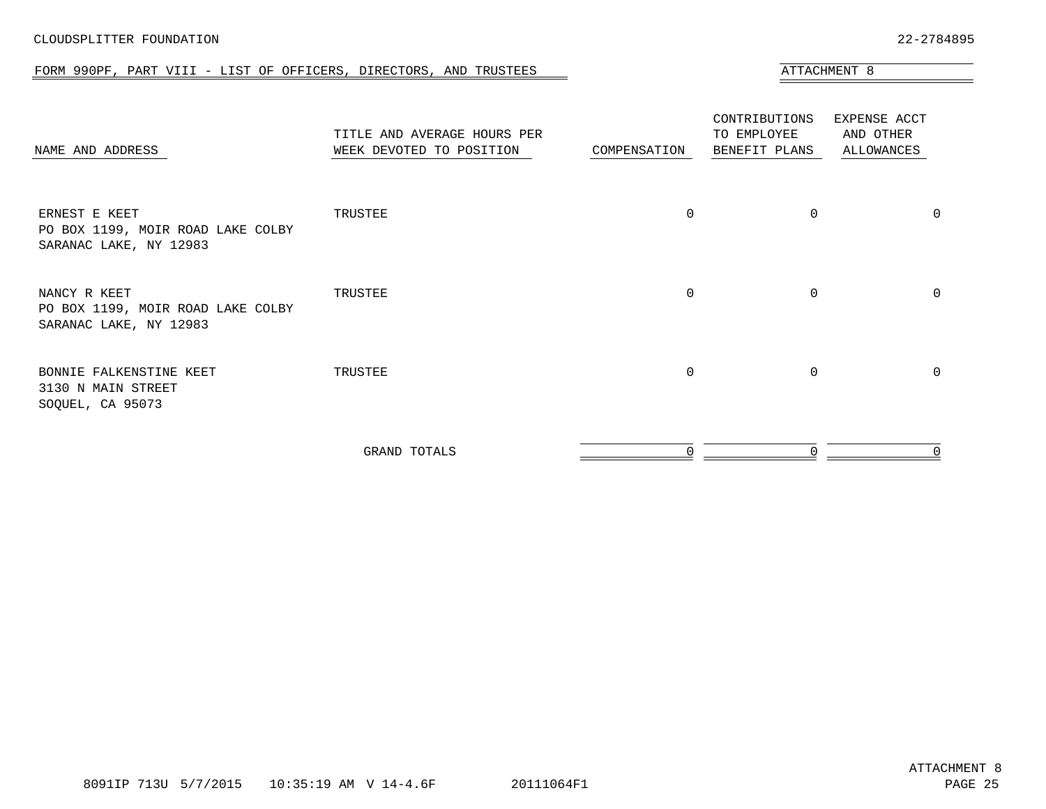#### FORM 990PF, PART VIII - LIST OF OFFICERS, DIRECTORS, AND TRUSTEES ATTACHMENT 8

<span id="page-21-0"></span>

| NAME AND ADDRESS                                                             | TITLE AND AVERAGE HOURS PER<br>WEEK DEVOTED TO POSITION | COMPENSATION | CONTRIBUTIONS<br>TO EMPLOYEE<br>BENEFIT PLANS | EXPENSE ACCT<br>AND OTHER<br>ALLOWANCES |
|------------------------------------------------------------------------------|---------------------------------------------------------|--------------|-----------------------------------------------|-----------------------------------------|
| ERNEST E KEET<br>PO BOX 1199, MOIR ROAD LAKE COLBY<br>SARANAC LAKE, NY 12983 | TRUSTEE                                                 | $\Omega$     | 0                                             | 0                                       |
| NANCY R KEET<br>PO BOX 1199, MOIR ROAD LAKE COLBY<br>SARANAC LAKE, NY 12983  | TRUSTEE                                                 | $\Omega$     | 0                                             | 0                                       |
| BONNIE FALKENSTINE KEET<br>3130 N MAIN STREET<br>SOQUEL, CA 95073            | TRUSTEE                                                 | $\Omega$     | $\Omega$                                      | 0                                       |
|                                                                              | GRAND TOTALS                                            |              | 0                                             |                                         |

8091IP 713U 5/7/2015 10:35:19 AM V 14-4.6F 20111064F1 PAGE 25

#### CLOUDSPLITTER FOUNDATION 22-2784895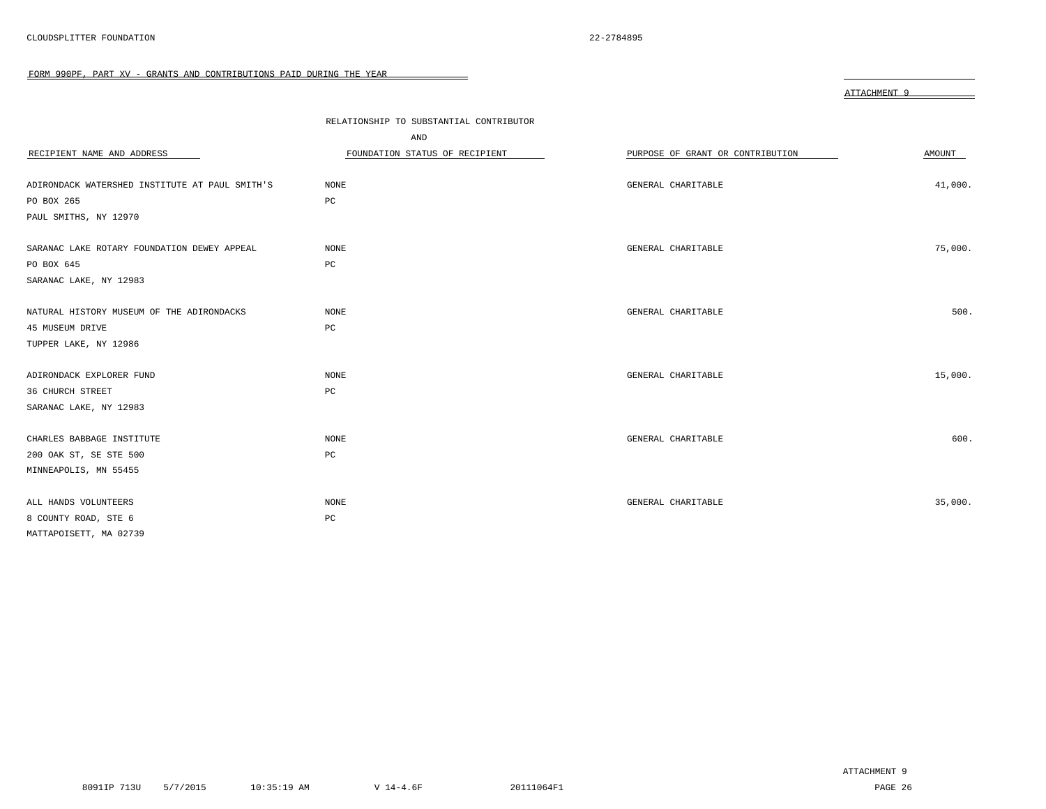<span id="page-22-0"></span>

|                                                | RELATIONSHIP TO SUBSTANTIAL CONTRIBUTOR |                                  |         |
|------------------------------------------------|-----------------------------------------|----------------------------------|---------|
|                                                | AND                                     |                                  |         |
| RECIPIENT NAME AND ADDRESS                     | FOUNDATION STATUS OF RECIPIENT          | PURPOSE OF GRANT OR CONTRIBUTION | AMOUNT  |
|                                                |                                         |                                  |         |
| ADIRONDACK WATERSHED INSTITUTE AT PAUL SMITH'S | NONE                                    | GENERAL CHARITABLE               | 41,000. |
| PO BOX 265                                     | PC                                      |                                  |         |
| PAUL SMITHS, NY 12970                          |                                         |                                  |         |
|                                                |                                         |                                  |         |
| SARANAC LAKE ROTARY FOUNDATION DEWEY APPEAL    | NONE                                    | GENERAL CHARITABLE               | 75,000. |
| PO BOX 645                                     | PC                                      |                                  |         |
| SARANAC LAKE, NY 12983                         |                                         |                                  |         |
|                                                |                                         |                                  |         |
| NATURAL HISTORY MUSEUM OF THE ADIRONDACKS      | <b>NONE</b>                             | GENERAL CHARITABLE               | 500.    |
| 45 MUSEUM DRIVE                                | PC                                      |                                  |         |
| TUPPER LAKE, NY 12986                          |                                         |                                  |         |
|                                                |                                         |                                  |         |
| ADIRONDACK EXPLORER FUND                       | <b>NONE</b>                             | GENERAL CHARITABLE               | 15,000. |
| 36 CHURCH STREET                               | PC                                      |                                  |         |
| SARANAC LAKE, NY 12983                         |                                         |                                  |         |
|                                                |                                         |                                  |         |
| CHARLES BABBAGE INSTITUTE                      | <b>NONE</b>                             | GENERAL CHARITABLE               | 600.    |
| 200 OAK ST, SE STE 500                         | PC                                      |                                  |         |
| MINNEAPOLIS, MN 55455                          |                                         |                                  |         |
|                                                |                                         |                                  |         |
| ALL HANDS VOLUNTEERS                           | NONE                                    | GENERAL CHARITABLE               | 35,000. |
| 8 COUNTY ROAD, STE 6                           | PC                                      |                                  |         |
| MATTAPOISETT, MA 02739                         |                                         |                                  |         |

ATTACHMENT 9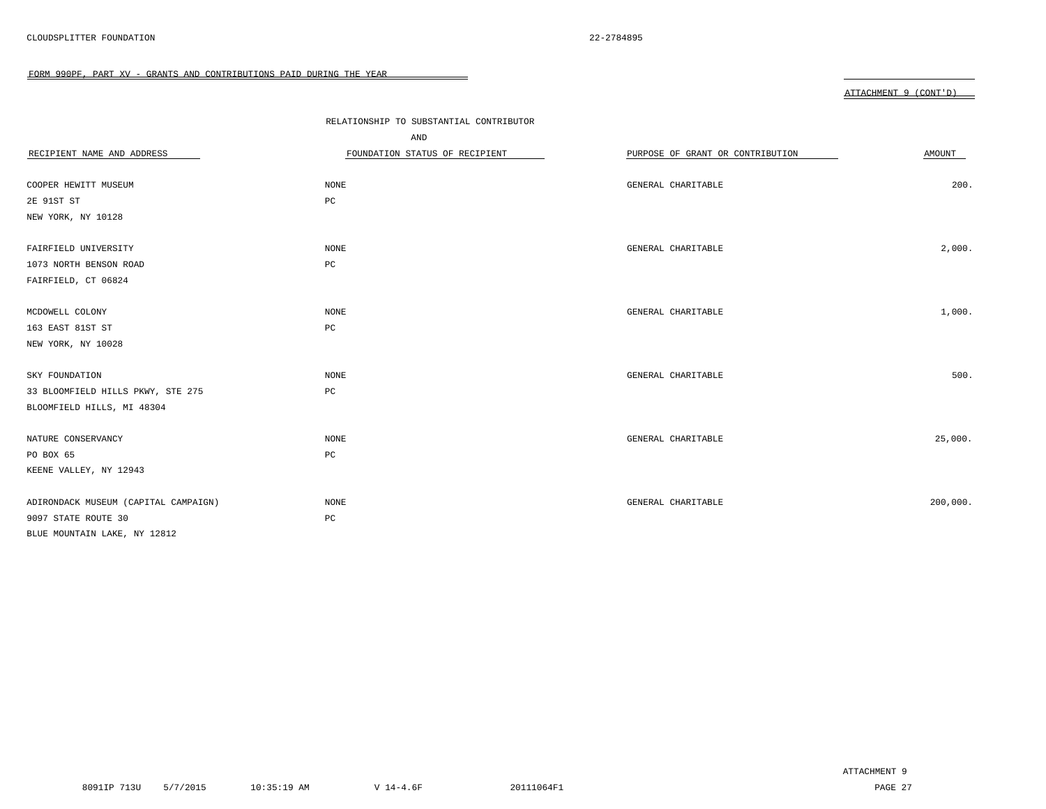|                                      | RELATIONSHIP TO SUBSTANTIAL CONTRIBUTOR<br>AND |                                  |          |
|--------------------------------------|------------------------------------------------|----------------------------------|----------|
| RECIPIENT NAME AND ADDRESS           | FOUNDATION STATUS OF RECIPIENT                 | PURPOSE OF GRANT OR CONTRIBUTION | AMOUNT   |
| COOPER HEWITT MUSEUM                 | NONE                                           | GENERAL CHARITABLE               | 200.     |
| 2E 91ST ST                           | PC                                             |                                  |          |
| NEW YORK, NY 10128                   |                                                |                                  |          |
|                                      |                                                |                                  |          |
| FAIRFIELD UNIVERSITY                 | NONE                                           | GENERAL CHARITABLE               | 2,000.   |
| 1073 NORTH BENSON ROAD               | $_{\rm PC}$                                    |                                  |          |
| FAIRFIELD, CT 06824                  |                                                |                                  |          |
|                                      |                                                |                                  |          |
| MCDOWELL COLONY                      | NONE                                           | GENERAL CHARITABLE               | 1,000.   |
| 163 EAST 81ST ST                     | PC                                             |                                  |          |
| NEW YORK, NY 10028                   |                                                |                                  |          |
|                                      |                                                |                                  |          |
| SKY FOUNDATION                       | NONE                                           | GENERAL CHARITABLE               | 500.     |
| 33 BLOOMFIELD HILLS PKWY, STE 275    | $_{\rm PC}$                                    |                                  |          |
| BLOOMFIELD HILLS, MI 48304           |                                                |                                  |          |
|                                      |                                                |                                  |          |
| NATURE CONSERVANCY                   | NONE                                           | GENERAL CHARITABLE               | 25,000.  |
| PO BOX 65                            | $_{\rm PC}$                                    |                                  |          |
| KEENE VALLEY, NY 12943               |                                                |                                  |          |
|                                      |                                                |                                  |          |
| ADIRONDACK MUSEUM (CAPITAL CAMPAIGN) | NONE                                           | GENERAL CHARITABLE               | 200,000. |
| 9097 STATE ROUTE 30                  | PC                                             |                                  |          |
| BLUE MOUNTAIN LAKE, NY 12812         |                                                |                                  |          |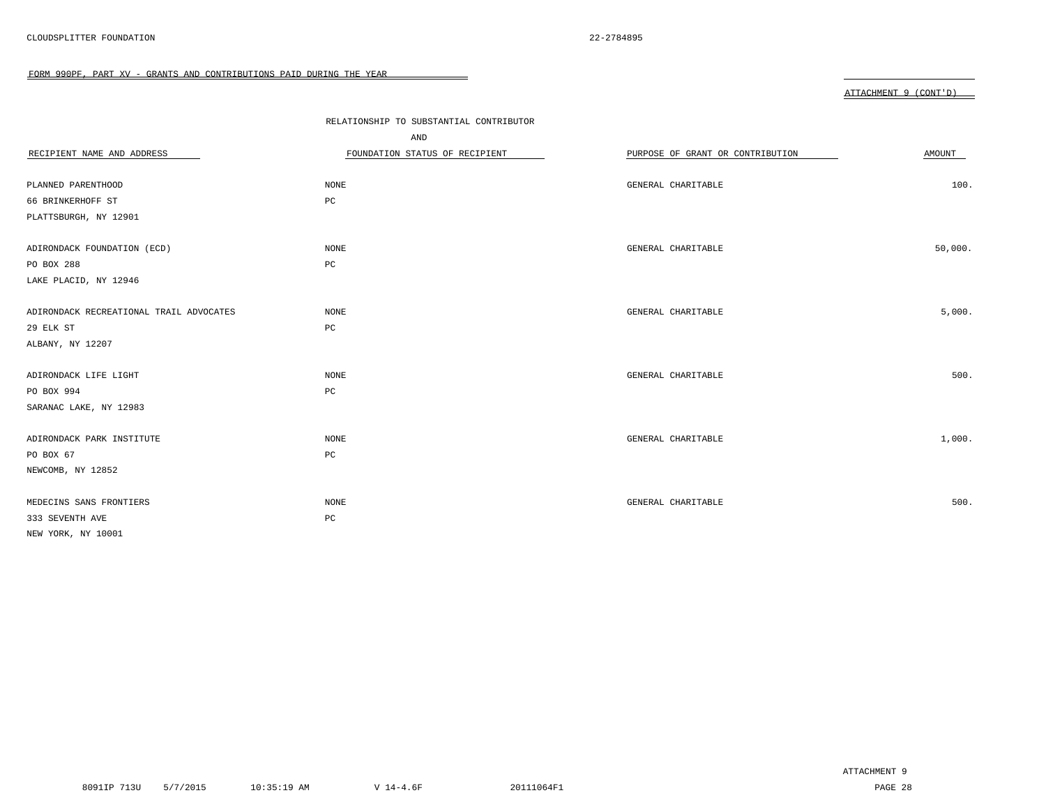|--|

| RECIPIENT NAME AND ADDRESS              | RELATIONSHIP TO SUBSTANTIAL CONTRIBUTOR<br>AND<br>FOUNDATION STATUS OF RECIPIENT | PURPOSE OF GRANT OR CONTRIBUTION | AMOUNT  |
|-----------------------------------------|----------------------------------------------------------------------------------|----------------------------------|---------|
| PLANNED PARENTHOOD                      | NONE                                                                             | GENERAL CHARITABLE               | 100.    |
| 66 BRINKERHOFF ST                       | PC                                                                               |                                  |         |
| PLATTSBURGH, NY 12901                   |                                                                                  |                                  |         |
| ADIRONDACK FOUNDATION (ECD)             | $\rm{NONE}$                                                                      | GENERAL CHARITABLE               | 50,000. |
| PO BOX 288                              | $_{\rm PC}$                                                                      |                                  |         |
| LAKE PLACID, NY 12946                   |                                                                                  |                                  |         |
| ADIRONDACK RECREATIONAL TRAIL ADVOCATES | <b>NONE</b>                                                                      | GENERAL CHARITABLE               | 5,000.  |
| 29 ELK ST                               | PC                                                                               |                                  |         |
| ALBANY, NY 12207                        |                                                                                  |                                  |         |
| ADIRONDACK LIFE LIGHT                   | $\rm{NONE}$                                                                      | GENERAL CHARITABLE               | 500.    |
| PO BOX 994                              | $_{\rm PC}$                                                                      |                                  |         |
| SARANAC LAKE, NY 12983                  |                                                                                  |                                  |         |
| ADIRONDACK PARK INSTITUTE               | $\rm{NONE}$                                                                      | GENERAL CHARITABLE               | 1,000.  |
| PO BOX 67                               | PC                                                                               |                                  |         |
| NEWCOMB, NY 12852                       |                                                                                  |                                  |         |
| MEDECINS SANS FRONTIERS                 | <b>NONE</b>                                                                      | GENERAL CHARITABLE               | 500.    |
| 333 SEVENTH AVE                         | $_{\rm PC}$                                                                      |                                  |         |
| NEW YORK, NY 10001                      |                                                                                  |                                  |         |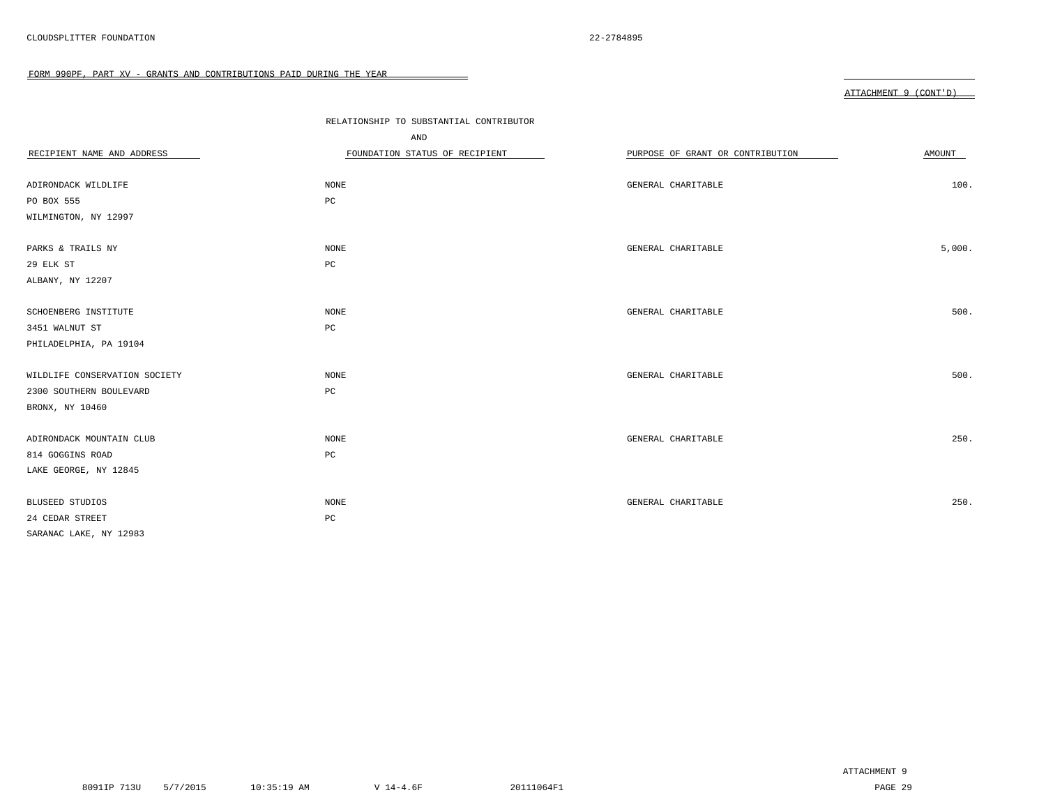|                               | RELATIONSHIP TO SUBSTANTIAL CONTRIBUTOR<br>AND |                                  |        |
|-------------------------------|------------------------------------------------|----------------------------------|--------|
| RECIPIENT NAME AND ADDRESS    | FOUNDATION STATUS OF RECIPIENT                 | PURPOSE OF GRANT OR CONTRIBUTION | AMOUNT |
|                               |                                                |                                  |        |
| ADIRONDACK WILDLIFE           | NONE                                           | GENERAL CHARITABLE               | 100.   |
| PO BOX 555                    | PC                                             |                                  |        |
| WILMINGTON, NY 12997          |                                                |                                  |        |
|                               |                                                |                                  |        |
| PARKS & TRAILS NY             | NONE                                           | GENERAL CHARITABLE               | 5,000. |
| 29 ELK ST                     | $_{\rm PC}$                                    |                                  |        |
| ALBANY, NY 12207              |                                                |                                  |        |
|                               |                                                |                                  |        |
| SCHOENBERG INSTITUTE          | NONE                                           | GENERAL CHARITABLE               | 500.   |
| 3451 WALNUT ST                | PC                                             |                                  |        |
| PHILADELPHIA, PA 19104        |                                                |                                  |        |
|                               |                                                |                                  |        |
| WILDLIFE CONSERVATION SOCIETY | NONE                                           | GENERAL CHARITABLE               | 500.   |
| 2300 SOUTHERN BOULEVARD       | PC                                             |                                  |        |
| BRONX, NY 10460               |                                                |                                  |        |
|                               |                                                |                                  |        |
| ADIRONDACK MOUNTAIN CLUB      | NONE                                           | GENERAL CHARITABLE               | 250.   |
| 814 GOGGINS ROAD              | $_{\rm PC}$                                    |                                  |        |
| LAKE GEORGE, NY 12845         |                                                |                                  |        |
|                               |                                                |                                  |        |
| <b>BLUSEED STUDIOS</b>        | NONE                                           | GENERAL CHARITABLE               | 250.   |
| 24 CEDAR STREET               | PC                                             |                                  |        |
| SARANAC LAKE, NY 12983        |                                                |                                  |        |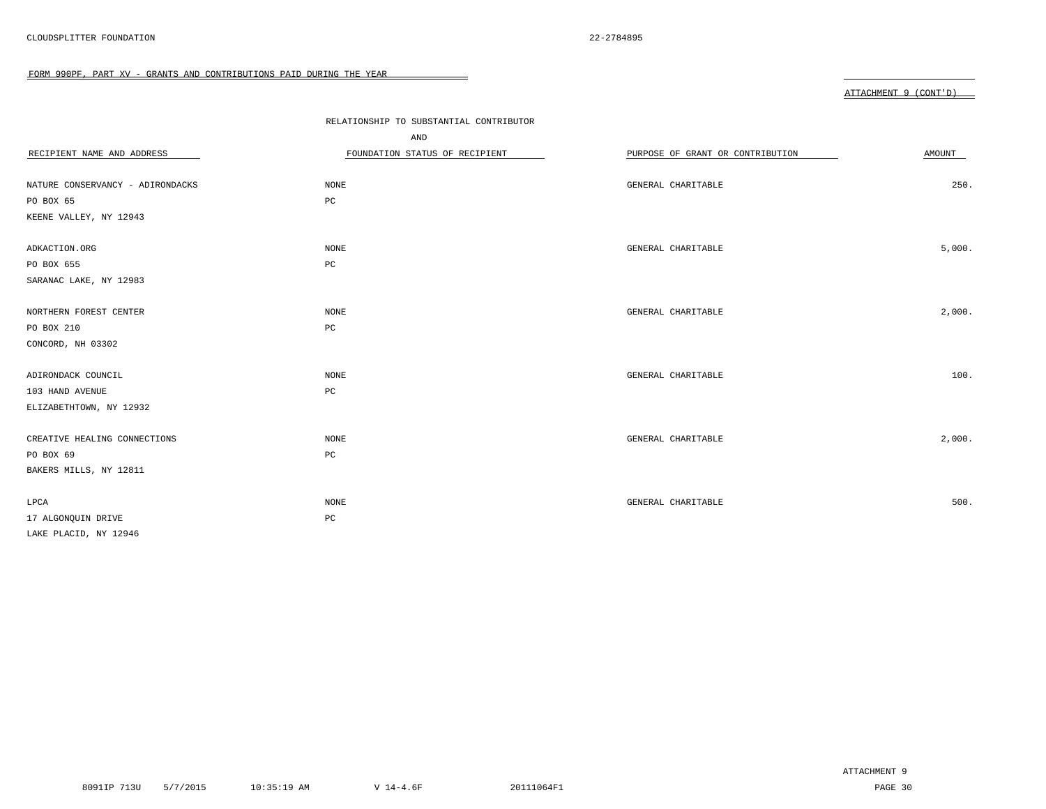|                                  | RELATIONSHIP TO SUBSTANTIAL CONTRIBUTOR<br>AND |                                  |        |
|----------------------------------|------------------------------------------------|----------------------------------|--------|
| RECIPIENT NAME AND ADDRESS       | FOUNDATION STATUS OF RECIPIENT                 | PURPOSE OF GRANT OR CONTRIBUTION | AMOUNT |
| NATURE CONSERVANCY - ADIRONDACKS | NONE                                           | GENERAL CHARITABLE               | 250.   |
| PO BOX 65                        | $_{\rm PC}$                                    |                                  |        |
| KEENE VALLEY, NY 12943           |                                                |                                  |        |
| ADKACTION.ORG                    | NONE                                           | GENERAL CHARITABLE               | 5,000. |
| PO BOX 655                       | $_{\rm PC}$                                    |                                  |        |
| SARANAC LAKE, NY 12983           |                                                |                                  |        |
| NORTHERN FOREST CENTER           | NONE                                           | GENERAL CHARITABLE               | 2,000. |
| PO BOX 210                       | PC                                             |                                  |        |
| CONCORD, NH 03302                |                                                |                                  |        |
| ADIRONDACK COUNCIL               | $\rm{NONE}$                                    | GENERAL CHARITABLE               | 100.   |
| 103 HAND AVENUE                  | $_{\rm PC}$                                    |                                  |        |
| ELIZABETHTOWN, NY 12932          |                                                |                                  |        |
| CREATIVE HEALING CONNECTIONS     | $\rm{NONE}$                                    | GENERAL CHARITABLE               | 2,000. |
| PO BOX 69                        | $_{\rm PC}$                                    |                                  |        |
| BAKERS MILLS, NY 12811           |                                                |                                  |        |
| LPCA                             | NONE                                           | GENERAL CHARITABLE               | 500.   |
| 17 ALGONQUIN DRIVE               | $_{\rm PC}$                                    |                                  |        |
| LAKE PLACID, NY 12946            |                                                |                                  |        |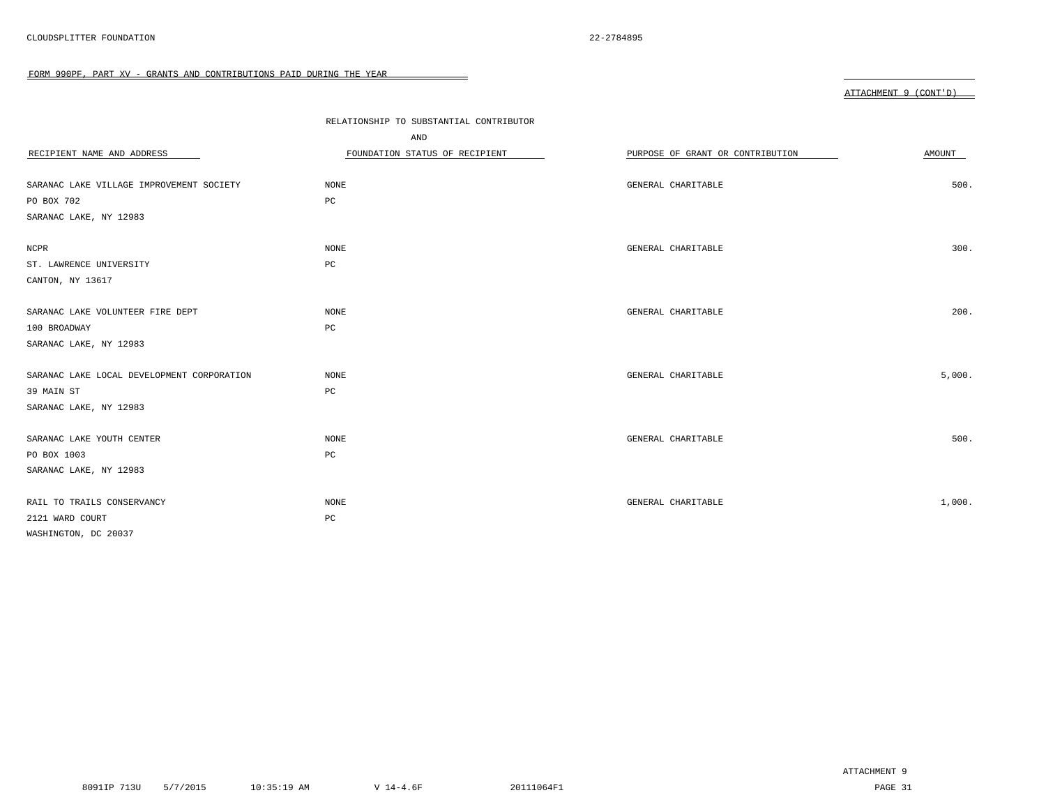|                                            | RELATIONSHIP TO SUBSTANTIAL CONTRIBUTOR |                                  |        |
|--------------------------------------------|-----------------------------------------|----------------------------------|--------|
|                                            | AND                                     |                                  |        |
| RECIPIENT NAME AND ADDRESS                 | FOUNDATION STATUS OF RECIPIENT          | PURPOSE OF GRANT OR CONTRIBUTION | AMOUNT |
| SARANAC LAKE VILLAGE IMPROVEMENT SOCIETY   | <b>NONE</b>                             | GENERAL CHARITABLE               | 500.   |
| PO BOX 702                                 | PC                                      |                                  |        |
| SARANAC LAKE, NY 12983                     |                                         |                                  |        |
|                                            |                                         |                                  |        |
| NCPR                                       | <b>NONE</b>                             | GENERAL CHARITABLE               | 300.   |
| ST. LAWRENCE UNIVERSITY                    | PC                                      |                                  |        |
| CANTON, NY 13617                           |                                         |                                  |        |
|                                            |                                         |                                  |        |
| SARANAC LAKE VOLUNTEER FIRE DEPT           | <b>NONE</b>                             | GENERAL CHARITABLE               | 200.   |
| 100 BROADWAY                               | PC                                      |                                  |        |
| SARANAC LAKE, NY 12983                     |                                         |                                  |        |
|                                            |                                         |                                  |        |
| SARANAC LAKE LOCAL DEVELOPMENT CORPORATION | NONE                                    | GENERAL CHARITABLE               | 5,000. |
| 39 MAIN ST                                 | PC                                      |                                  |        |
| SARANAC LAKE, NY 12983                     |                                         |                                  |        |
|                                            |                                         |                                  |        |
| SARANAC LAKE YOUTH CENTER                  | <b>NONE</b>                             | GENERAL CHARITABLE               | 500.   |
| PO BOX 1003                                | PC                                      |                                  |        |
| SARANAC LAKE, NY 12983                     |                                         |                                  |        |
|                                            |                                         |                                  |        |
| RAIL TO TRAILS CONSERVANCY                 | NONE                                    | GENERAL CHARITABLE               | 1,000. |
| 2121 WARD COURT                            | $_{\rm PC}$                             |                                  |        |
| WASHINGTON, DC 20037                       |                                         |                                  |        |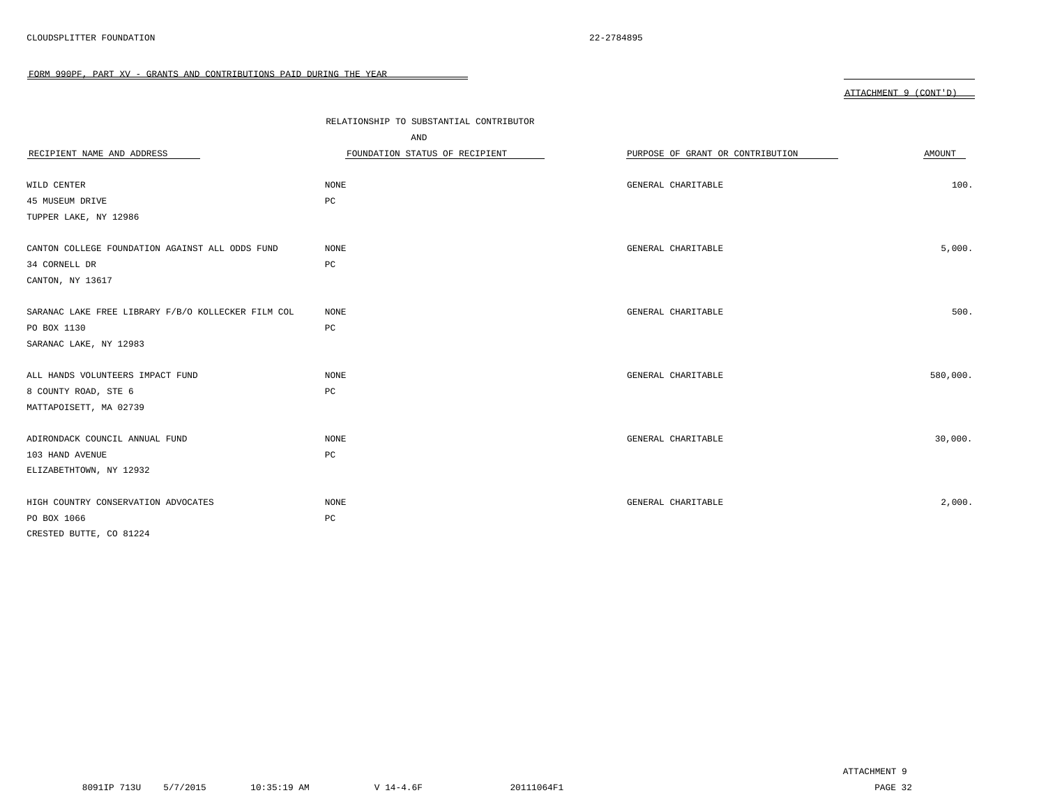|                                                    |                                         |                                  | ATTACHMENT 9 (CONT'D) |
|----------------------------------------------------|-----------------------------------------|----------------------------------|-----------------------|
|                                                    |                                         |                                  |                       |
|                                                    | RELATIONSHIP TO SUBSTANTIAL CONTRIBUTOR |                                  |                       |
|                                                    | AND                                     |                                  |                       |
| RECIPIENT NAME AND ADDRESS                         | FOUNDATION STATUS OF RECIPIENT          | PURPOSE OF GRANT OR CONTRIBUTION | AMOUNT                |
|                                                    |                                         |                                  |                       |
| WILD CENTER                                        | <b>NONE</b>                             | GENERAL CHARITABLE               | 100.                  |
| 45 MUSEUM DRIVE                                    | PC                                      |                                  |                       |
| TUPPER LAKE, NY 12986                              |                                         |                                  |                       |
|                                                    |                                         |                                  |                       |
| CANTON COLLEGE FOUNDATION AGAINST ALL ODDS FUND    | NONE                                    | GENERAL CHARITABLE               | 5,000.                |
| 34 CORNELL DR                                      | $_{\rm PC}$                             |                                  |                       |
| CANTON, NY 13617                                   |                                         |                                  |                       |
|                                                    |                                         |                                  |                       |
| SARANAC LAKE FREE LIBRARY F/B/O KOLLECKER FILM COL | NONE                                    | GENERAL CHARITABLE               | 500.                  |
| PO BOX 1130                                        | $_{\rm PC}$                             |                                  |                       |
| SARANAC LAKE, NY 12983                             |                                         |                                  |                       |
|                                                    |                                         |                                  |                       |
| ALL HANDS VOLUNTEERS IMPACT FUND                   | NONE                                    | GENERAL CHARITABLE               | 580,000.              |
| 8 COUNTY ROAD, STE 6                               | PC                                      |                                  |                       |
| MATTAPOISETT, MA 02739                             |                                         |                                  |                       |
|                                                    |                                         |                                  |                       |
| ADIRONDACK COUNCIL ANNUAL FUND                     | NONE                                    | GENERAL CHARITABLE               | 30,000.               |
| 103 HAND AVENUE                                    | $_{\rm PC}$                             |                                  |                       |
| ELIZABETHTOWN, NY 12932                            |                                         |                                  |                       |
|                                                    |                                         |                                  |                       |
| HIGH COUNTRY CONSERVATION ADVOCATES                | <b>NONE</b>                             | GENERAL CHARITABLE               | 2,000.                |
| PO BOX 1066                                        | PC                                      |                                  |                       |
| CRESTED BUTTE, CO 81224                            |                                         |                                  |                       |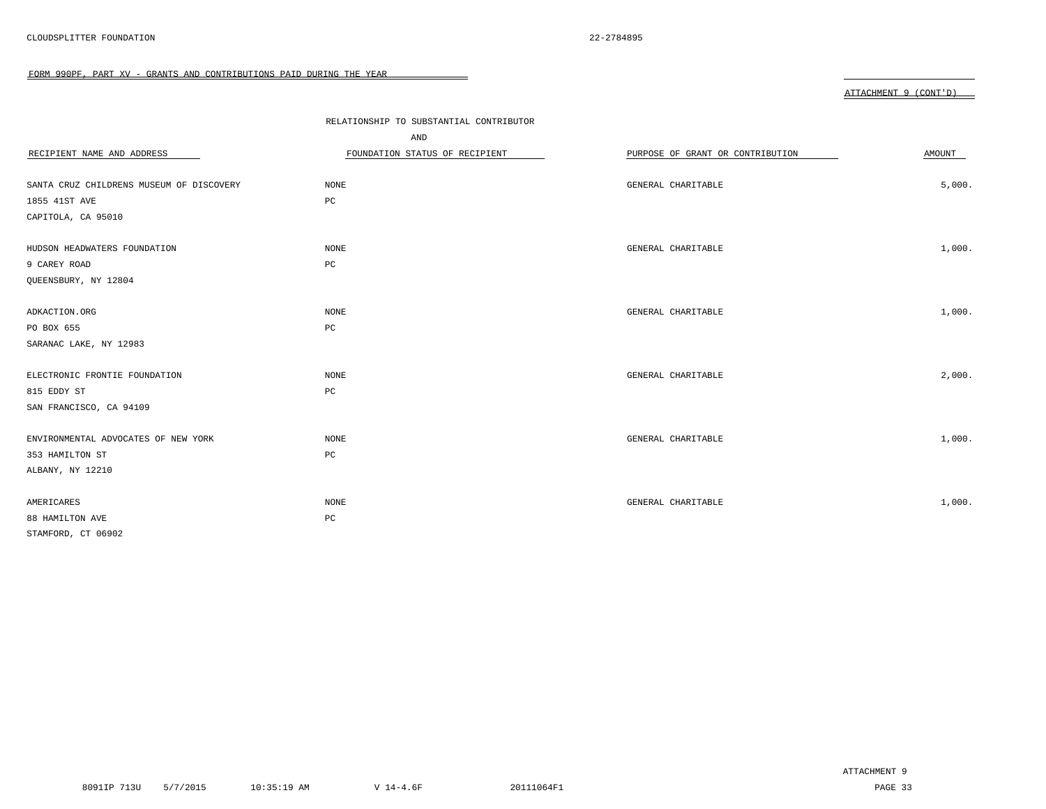|  | ΔΤΤΔCΗΜΕΝΤ |  | $($ $\cap$ $\cap$ $\cap$ $\cap$ $\cap$ |
|--|------------|--|----------------------------------------|
|--|------------|--|----------------------------------------|

|                                          | RELATIONSHIP TO SUBSTANTIAL CONTRIBUTOR<br>AND |                                  |        |
|------------------------------------------|------------------------------------------------|----------------------------------|--------|
| RECIPIENT NAME AND ADDRESS               | FOUNDATION STATUS OF RECIPIENT                 | PURPOSE OF GRANT OR CONTRIBUTION | AMOUNT |
| SANTA CRUZ CHILDRENS MUSEUM OF DISCOVERY | NONE                                           | GENERAL CHARITABLE               | 5,000. |
| 1855 41ST AVE                            | $_{\rm PC}$                                    |                                  |        |
| CAPITOLA, CA 95010                       |                                                |                                  |        |
| HUDSON HEADWATERS FOUNDATION             | NONE                                           | GENERAL CHARITABLE               | 1,000. |
| 9 CAREY ROAD                             | $_{\rm PC}$                                    |                                  |        |
| QUEENSBURY, NY 12804                     |                                                |                                  |        |
| ADKACTION.ORG                            | NONE                                           | GENERAL CHARITABLE               | 1,000. |
| PO BOX 655                               | PC                                             |                                  |        |
| SARANAC LAKE, NY 12983                   |                                                |                                  |        |
| ELECTRONIC FRONTIE FOUNDATION            | NONE                                           | GENERAL CHARITABLE               | 2,000. |
| 815 EDDY ST                              | PC                                             |                                  |        |
| SAN FRANCISCO, CA 94109                  |                                                |                                  |        |
| ENVIRONMENTAL ADVOCATES OF NEW YORK      | $\rm{NONE}$                                    | GENERAL CHARITABLE               | 1,000. |
| 353 HAMILTON ST                          | PC                                             |                                  |        |
| ALBANY, NY 12210                         |                                                |                                  |        |
| AMERICARES                               | NONE                                           | GENERAL CHARITABLE               | 1,000. |
| 88 HAMILTON AVE                          | $_{\rm PC}$                                    |                                  |        |
| STAMFORD, CT 06902                       |                                                |                                  |        |

ATTACHMENT 9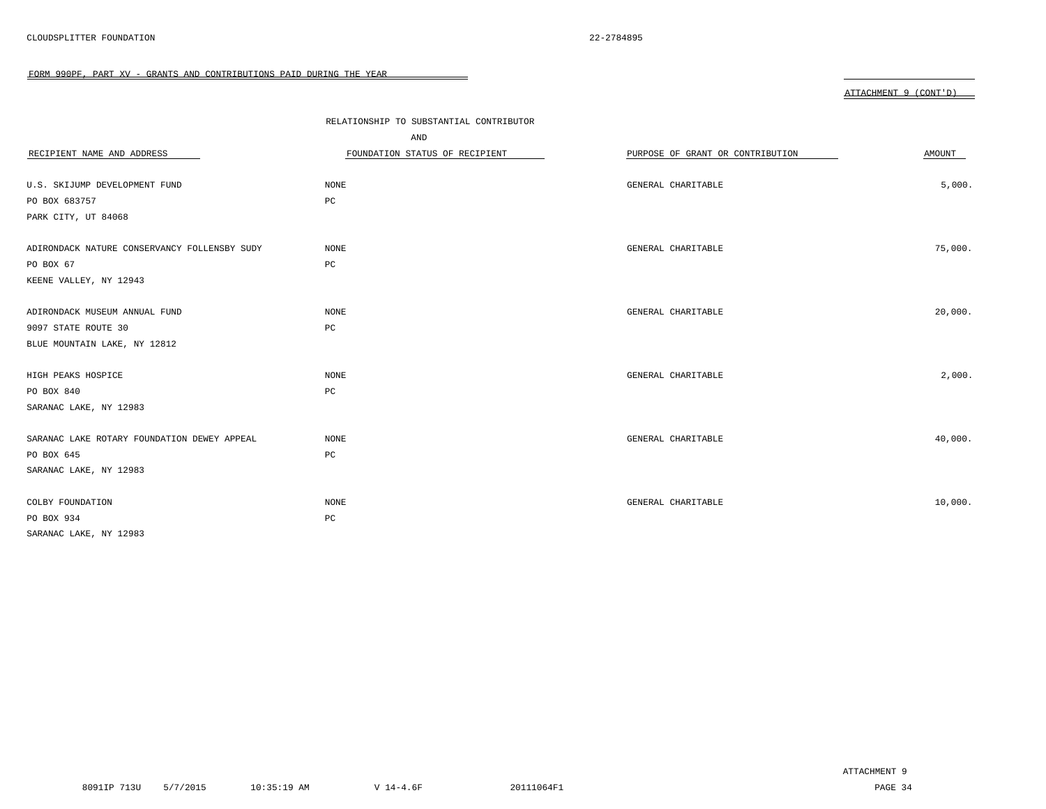FORM 990PF, PART XV - GRANTS AND CONTRIBUTIONS PAID DURING THE YEAR 

|                                              |                                         |                                  | ATTACHMENT 9 (CONT'D) |
|----------------------------------------------|-----------------------------------------|----------------------------------|-----------------------|
|                                              |                                         |                                  |                       |
|                                              | RELATIONSHIP TO SUBSTANTIAL CONTRIBUTOR |                                  |                       |
|                                              | AND                                     |                                  |                       |
| RECIPIENT NAME AND ADDRESS                   | FOUNDATION STATUS OF RECIPIENT          | PURPOSE OF GRANT OR CONTRIBUTION | AMOUNT                |
|                                              |                                         |                                  |                       |
| U.S. SKIJUMP DEVELOPMENT FUND                | NONE                                    | GENERAL CHARITABLE               | 5,000.                |
| PO BOX 683757                                | $_{\rm PC}$                             |                                  |                       |
| PARK CITY, UT 84068                          |                                         |                                  |                       |
|                                              |                                         |                                  |                       |
| ADIRONDACK NATURE CONSERVANCY FOLLENSBY SUDY | NONE                                    | GENERAL CHARITABLE               | 75,000.               |
| PO BOX 67                                    | $_{\rm PC}$                             |                                  |                       |
| KEENE VALLEY, NY 12943                       |                                         |                                  |                       |
|                                              |                                         |                                  |                       |
| ADIRONDACK MUSEUM ANNUAL FUND                | <b>NONE</b>                             | GENERAL CHARITABLE               | 20,000.               |
| 9097 STATE ROUTE 30                          | PC                                      |                                  |                       |
| BLUE MOUNTAIN LAKE, NY 12812                 |                                         |                                  |                       |
|                                              |                                         |                                  |                       |
| HIGH PEAKS HOSPICE                           | NONE                                    | GENERAL CHARITABLE               | 2,000.                |
| PO BOX 840                                   | $_{\rm PC}$                             |                                  |                       |
| SARANAC LAKE, NY 12983                       |                                         |                                  |                       |
|                                              |                                         |                                  |                       |
| SARANAC LAKE ROTARY FOUNDATION DEWEY APPEAL  | NONE                                    | GENERAL CHARITABLE               | 40,000.               |
| PO BOX 645                                   | $_{\rm PC}$                             |                                  |                       |
| SARANAC LAKE, NY 12983                       |                                         |                                  |                       |
|                                              |                                         |                                  |                       |
| COLBY FOUNDATION                             | NONE                                    | GENERAL CHARITABLE               | 10,000.               |

SARANAC LAKE, NY 12983

PO BOX 934 PC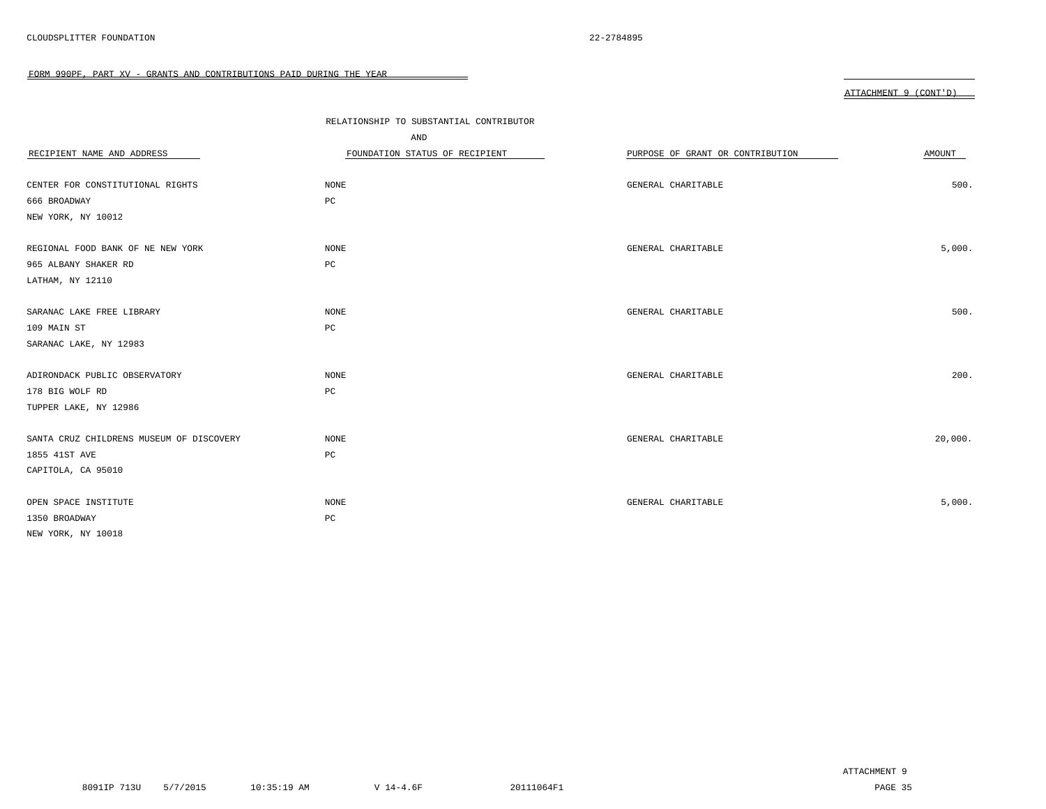|--|

| RECIPIENT NAME AND ADDRESS               | RELATIONSHIP TO SUBSTANTIAL CONTRIBUTOR<br>AND<br>FOUNDATION STATUS OF RECIPIENT | PURPOSE OF GRANT OR CONTRIBUTION | AMOUNT  |
|------------------------------------------|----------------------------------------------------------------------------------|----------------------------------|---------|
| CENTER FOR CONSTITUTIONAL RIGHTS         | $\rm{NONE}$                                                                      | GENERAL CHARITABLE               | 500.    |
| 666 BROADWAY                             | $_{\rm PC}$                                                                      |                                  |         |
| NEW YORK, NY 10012                       |                                                                                  |                                  |         |
| REGIONAL FOOD BANK OF NE NEW YORK        | NONE                                                                             | GENERAL CHARITABLE               | 5,000.  |
| 965 ALBANY SHAKER RD                     | $_{\rm PC}$                                                                      |                                  |         |
| LATHAM, NY 12110                         |                                                                                  |                                  |         |
| SARANAC LAKE FREE LIBRARY                | $\rm{NONE}$                                                                      | GENERAL CHARITABLE               | 500.    |
| 109 MAIN ST                              | PC                                                                               |                                  |         |
| SARANAC LAKE, NY 12983                   |                                                                                  |                                  |         |
| ADIRONDACK PUBLIC OBSERVATORY            | NONE                                                                             | GENERAL CHARITABLE               | 200.    |
| 178 BIG WOLF RD                          | PC                                                                               |                                  |         |
| TUPPER LAKE, NY 12986                    |                                                                                  |                                  |         |
| SANTA CRUZ CHILDRENS MUSEUM OF DISCOVERY | NONE                                                                             | GENERAL CHARITABLE               | 20,000. |
| 1855 41ST AVE                            | PC                                                                               |                                  |         |
| CAPITOLA, CA 95010                       |                                                                                  |                                  |         |
| OPEN SPACE INSTITUTE                     | NONE                                                                             | GENERAL CHARITABLE               | 5,000.  |
| 1350 BROADWAY                            | $_{\rm PC}$                                                                      |                                  |         |
| NEW YORK, NY 10018                       |                                                                                  |                                  |         |

ATTACHMENT 9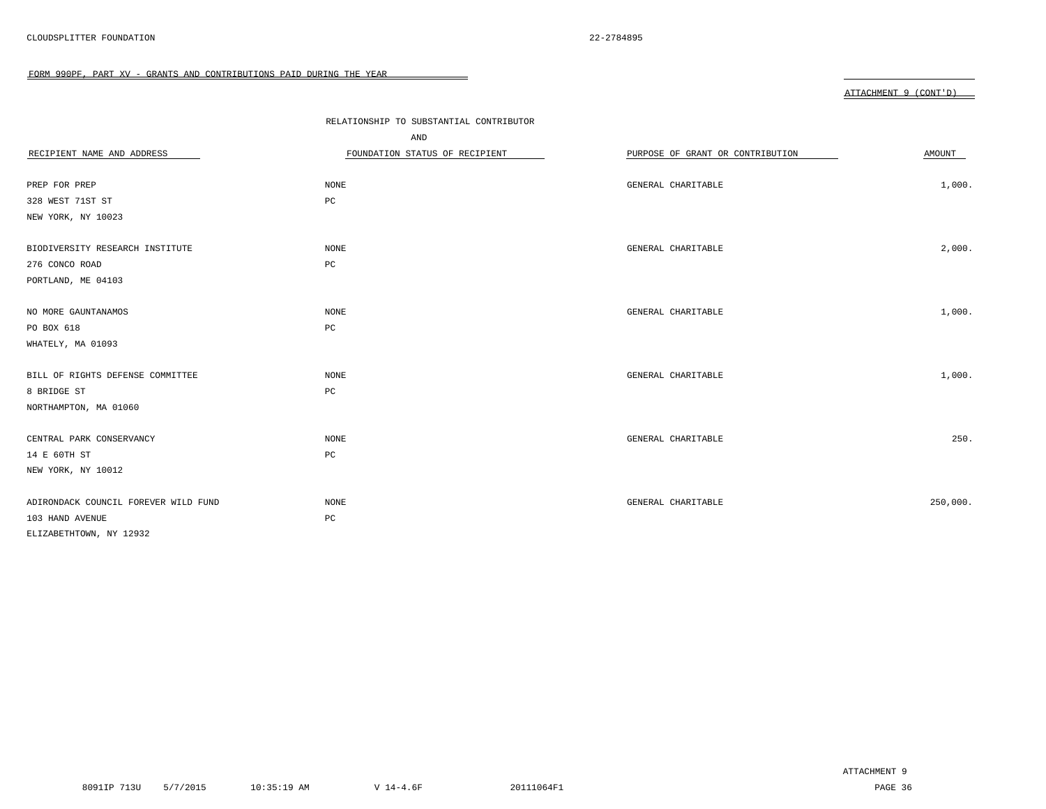|  | ΔΤΤΔCΗΜΕΝΤ |  | $($ $\cap$ $\cap$ $\cap$ $\cap$ $\cap$ |
|--|------------|--|----------------------------------------|
|--|------------|--|----------------------------------------|

| RECIPIENT NAME AND ADDRESS           | RELATIONSHIP TO SUBSTANTIAL CONTRIBUTOR<br>AND<br>FOUNDATION STATUS OF RECIPIENT | PURPOSE OF GRANT OR CONTRIBUTION | AMOUNT   |
|--------------------------------------|----------------------------------------------------------------------------------|----------------------------------|----------|
| PREP FOR PREP                        | <b>NONE</b>                                                                      | GENERAL CHARITABLE               | 1,000.   |
| 328 WEST 71ST ST                     | $_{\rm PC}$                                                                      |                                  |          |
| NEW YORK, NY 10023                   |                                                                                  |                                  |          |
| BIODIVERSITY RESEARCH INSTITUTE      | <b>NONE</b>                                                                      | GENERAL CHARITABLE               | 2,000.   |
| 276 CONCO ROAD                       | PC                                                                               |                                  |          |
| PORTLAND, ME 04103                   |                                                                                  |                                  |          |
| NO MORE GAUNTANAMOS                  | <b>NONE</b>                                                                      | GENERAL CHARITABLE               | 1,000.   |
| PO BOX 618                           | $_{\rm PC}$                                                                      |                                  |          |
| WHATELY, MA 01093                    |                                                                                  |                                  |          |
| BILL OF RIGHTS DEFENSE COMMITTEE     | NONE                                                                             | GENERAL CHARITABLE               | 1,000.   |
| 8 BRIDGE ST                          | $_{\rm PC}$                                                                      |                                  |          |
| NORTHAMPTON, MA 01060                |                                                                                  |                                  |          |
| CENTRAL PARK CONSERVANCY             | <b>NONE</b>                                                                      | GENERAL CHARITABLE               | 250.     |
| 14 E 60TH ST                         | PC                                                                               |                                  |          |
| NEW YORK, NY 10012                   |                                                                                  |                                  |          |
| ADIRONDACK COUNCIL FOREVER WILD FUND | NONE                                                                             | GENERAL CHARITABLE               | 250,000. |
| 103 HAND AVENUE                      | PC                                                                               |                                  |          |
| ELIZABETHTOWN, NY 12932              |                                                                                  |                                  |          |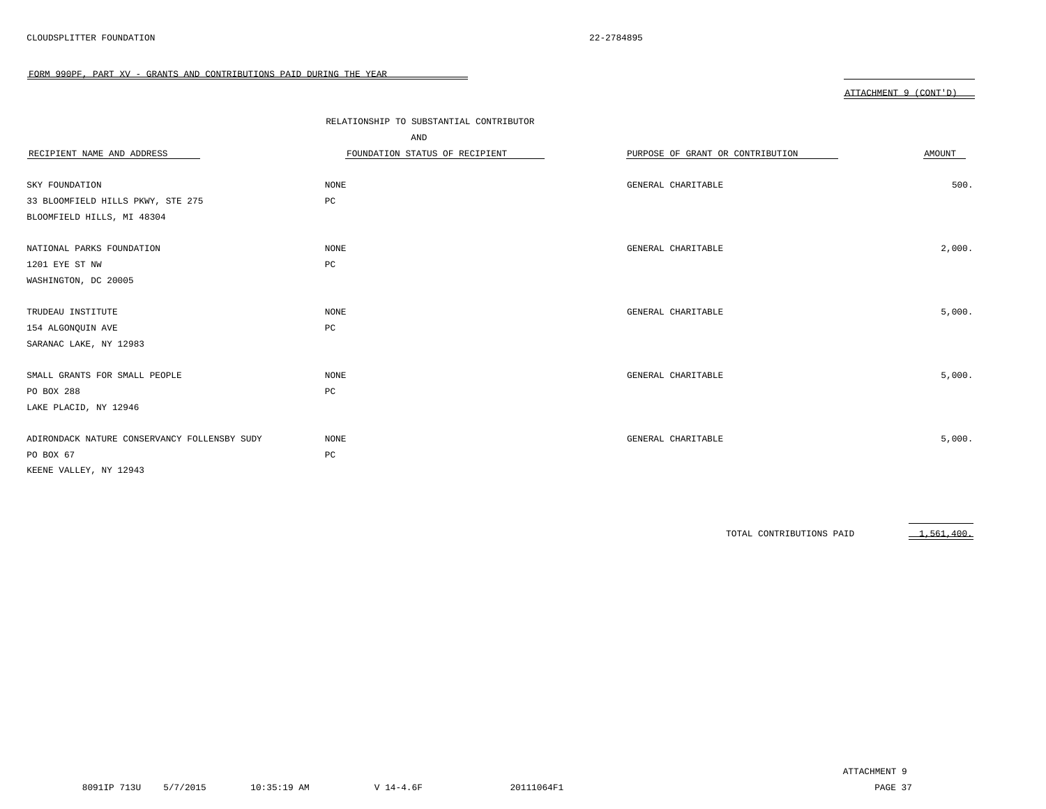ATTACHMENT 9 (CONT'D)

| RECIPIENT NAME AND ADDRESS                   | RELATIONSHIP TO SUBSTANTIAL CONTRIBUTOR<br>AND<br>FOUNDATION STATUS OF RECIPIENT | PURPOSE OF GRANT OR CONTRIBUTION | AMOUNT |
|----------------------------------------------|----------------------------------------------------------------------------------|----------------------------------|--------|
| SKY FOUNDATION                               | <b>NONE</b>                                                                      | GENERAL CHARITABLE               | 500.   |
| 33 BLOOMFIELD HILLS PKWY, STE 275            | PC                                                                               |                                  |        |
| BLOOMFIELD HILLS, MI 48304                   |                                                                                  |                                  |        |
| NATIONAL PARKS FOUNDATION                    | <b>NONE</b>                                                                      | GENERAL CHARITABLE               | 2,000. |
| 1201 EYE ST NW                               | PC                                                                               |                                  |        |
| WASHINGTON, DC 20005                         |                                                                                  |                                  |        |
|                                              |                                                                                  |                                  |        |
| TRUDEAU INSTITUTE                            | NONE                                                                             | GENERAL CHARITABLE               | 5,000. |
| 154 ALGONQUIN AVE                            | PC                                                                               |                                  |        |
| SARANAC LAKE, NY 12983                       |                                                                                  |                                  |        |
|                                              |                                                                                  |                                  |        |
| SMALL GRANTS FOR SMALL PEOPLE                | <b>NONE</b>                                                                      | GENERAL CHARITABLE               | 5,000. |
| PO BOX 288                                   | PC                                                                               |                                  |        |
| LAKE PLACID, NY 12946                        |                                                                                  |                                  |        |
|                                              |                                                                                  |                                  |        |
| ADIRONDACK NATURE CONSERVANCY FOLLENSBY SUDY | NONE                                                                             | GENERAL CHARITABLE               | 5,000. |
| PO BOX 67                                    | $_{\rm PC}$                                                                      |                                  |        |
| KEENE VALLEY, NY 12943                       |                                                                                  |                                  |        |

TOTAL CONTRIBUTIONS PAID 1,561,400.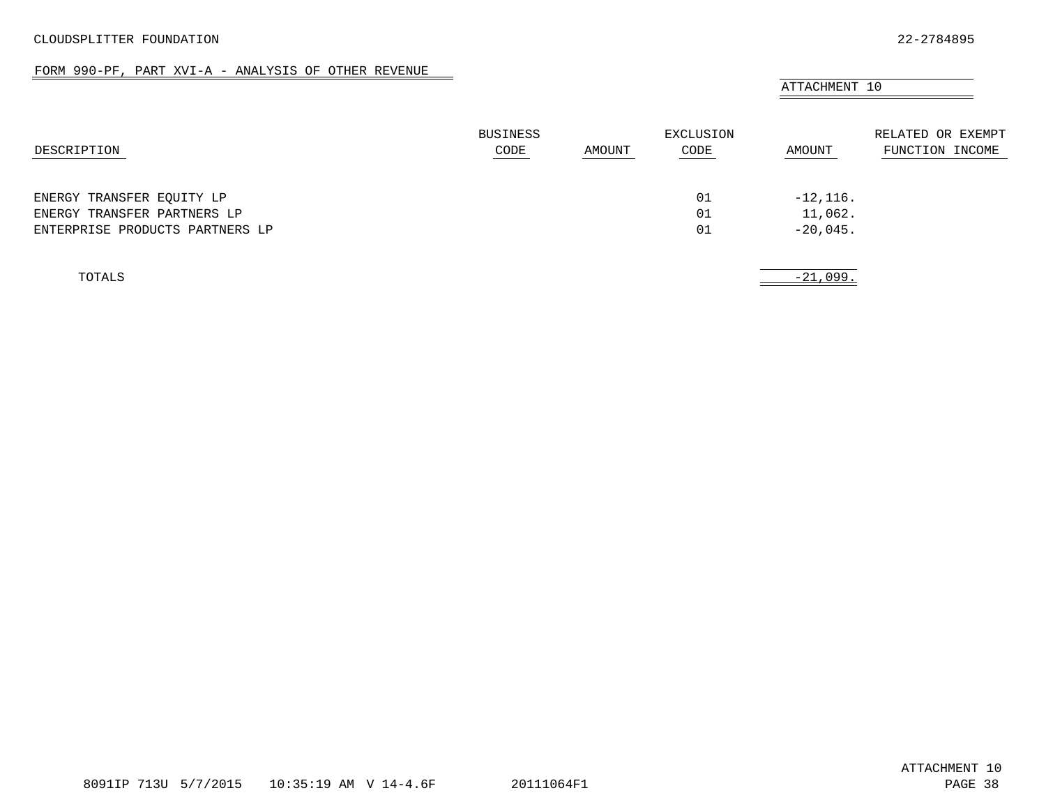### FORM 990-PF, PART XVI-A - ANALYSIS OF OTHER REVENUE

<span id="page-34-0"></span>

|                                 |                         |        |                   | ATTACHMENT 10 |                                      |
|---------------------------------|-------------------------|--------|-------------------|---------------|--------------------------------------|
| DESCRIPTION                     | <b>BUSINESS</b><br>CODE | AMOUNT | EXCLUSION<br>CODE | AMOUNT        | RELATED OR EXEMPT<br>FUNCTION INCOME |
| ENERGY TRANSFER EQUITY LP       |                         |        | 01                | $-12, 116.$   |                                      |
| ENERGY TRANSFER PARTNERS LP     |                         |        | 01                | 11,062.       |                                      |
| ENTERPRISE PRODUCTS PARTNERS LP |                         |        | 01                | $-20,045.$    |                                      |
| TOTALS                          |                         |        |                   | $-21,099.$    |                                      |

 $\overline{\phantom{a}}$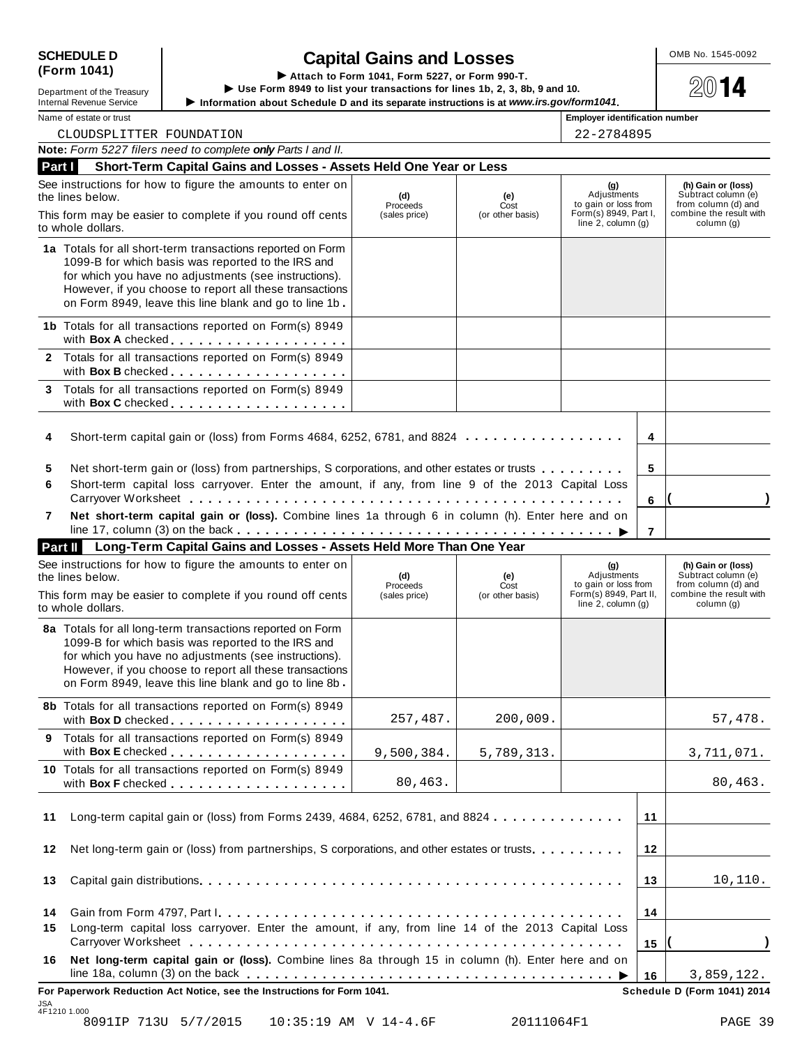| <b>SCHEDULE D</b> |  |
|-------------------|--|
| (Form 1041)       |  |

JSA 4F1210 1.000

| Department of the Treasury |
|----------------------------|
| Internal Revenue Service   |

SCHEDULE D<br>
(Form 1041)<br>
Lettach to Form 1041, Form 5227, or Form 990-T.<br>
Lettach to Form 1041, Form 5227, or Form 990-T.<br>
Lettach to Form 8949 to list your transactions for lines 1b, 2, 3, 8b, 9 and 10.<br>
Lettach to Form Department of the Treasury<br>Department of the Treasury<br>Internal Revenue Service **Department of the Treasury**<br>Information about Schedule D and its separate instructions is at *www.irs.gov/form1041*.<br>Name of estate or trust<br>

| CLOUDSPLITTER FOUNDATION                                                                                                                                                                                                                                                                       | 22-2784895                                                                              |                                                                                                           |                                                                                                 |    |                                                                                                           |
|------------------------------------------------------------------------------------------------------------------------------------------------------------------------------------------------------------------------------------------------------------------------------------------------|-----------------------------------------------------------------------------------------|-----------------------------------------------------------------------------------------------------------|-------------------------------------------------------------------------------------------------|----|-----------------------------------------------------------------------------------------------------------|
| Note: Form 5227 filers need to complete only Parts I and II.                                                                                                                                                                                                                                   |                                                                                         |                                                                                                           |                                                                                                 |    |                                                                                                           |
| Part I<br>Short-Term Capital Gains and Losses - Assets Held One Year or Less                                                                                                                                                                                                                   |                                                                                         |                                                                                                           |                                                                                                 |    |                                                                                                           |
| See instructions for how to figure the amounts to enter on<br>the lines below.<br>This form may be easier to complete if you round off cents<br>to whole dollars.                                                                                                                              | Adjustments<br>to gain or loss from<br>Form(s) 8949, Part I,<br>line $2$ , column $(g)$ | (h) Gain or (loss)<br>Subtract column (e)<br>from column (d) and<br>combine the result with<br>column (g) |                                                                                                 |    |                                                                                                           |
| 1a Totals for all short-term transactions reported on Form<br>1099-B for which basis was reported to the IRS and<br>for which you have no adjustments (see instructions).<br>However, if you choose to report all these transactions<br>on Form 8949, leave this line blank and go to line 1b. |                                                                                         |                                                                                                           |                                                                                                 |    |                                                                                                           |
| 1b Totals for all transactions reported on Form(s) 8949<br>with Box A checked                                                                                                                                                                                                                  |                                                                                         |                                                                                                           |                                                                                                 |    |                                                                                                           |
| 2 Totals for all transactions reported on Form(s) 8949<br>with Box B checked<br>Totals for all transactions reported on Form(s) 8949<br>3<br>with Box C checked                                                                                                                                |                                                                                         |                                                                                                           |                                                                                                 |    |                                                                                                           |
| Short-term capital gain or (loss) from Forms 4684, 6252, 6781, and 8824 $\dots \dots \dots$<br>4                                                                                                                                                                                               |                                                                                         |                                                                                                           |                                                                                                 | 4  |                                                                                                           |
| Net short-term gain or (loss) from partnerships, S corporations, and other estates or trusts<br>5                                                                                                                                                                                              |                                                                                         |                                                                                                           |                                                                                                 | 5  |                                                                                                           |
| Short-term capital loss carryover. Enter the amount, if any, from line 9 of the 2013 Capital Loss<br>6<br>Carryover Worksheet <b>Carryover Worksheet</b>                                                                                                                                       |                                                                                         |                                                                                                           |                                                                                                 | 6  |                                                                                                           |
| Net short-term capital gain or (loss). Combine lines 1a through 6 in column (h). Enter here and on<br>7                                                                                                                                                                                        |                                                                                         |                                                                                                           |                                                                                                 | 7  |                                                                                                           |
| Long-Term Capital Gains and Losses - Assets Held More Than One Year<br>Part II                                                                                                                                                                                                                 |                                                                                         |                                                                                                           |                                                                                                 |    |                                                                                                           |
| See instructions for how to figure the amounts to enter on<br>the lines below.<br>This form may be easier to complete if you round off cents<br>to whole dollars.                                                                                                                              | (d)<br>Proceeds<br>(sales price)                                                        | (e)<br>Cost<br>(or other basis)                                                                           | (g)<br>Adjustments<br>to gain or loss from<br>Form(s) 8949, Part II,<br>line $2$ , column $(g)$ |    | (h) Gain or (loss)<br>Subtract column (e)<br>from column (d) and<br>combine the result with<br>column (g) |
| 8a Totals for all long-term transactions reported on Form<br>1099-B for which basis was reported to the IRS and<br>for which you have no adjustments (see instructions).<br>However, if you choose to report all these transactions<br>on Form 8949, leave this line blank and go to line 8b   |                                                                                         |                                                                                                           |                                                                                                 |    |                                                                                                           |
| 8b Totals for all transactions reported on Form(s) 8949<br>with Box D checked                                                                                                                                                                                                                  | 257,487.                                                                                | 200,009.                                                                                                  |                                                                                                 |    | 57,478.                                                                                                   |
| 9 Totals for all transactions reported on Form(s) 8949                                                                                                                                                                                                                                         | 9,500,384.                                                                              | 5,789,313.                                                                                                |                                                                                                 |    | 3,711,071.                                                                                                |
| 10 Totals for all transactions reported on Form(s) 8949                                                                                                                                                                                                                                        | 80,463.                                                                                 |                                                                                                           |                                                                                                 |    | 80,463.                                                                                                   |
| Long-term capital gain or (loss) from Forms 2439, 4684, 6252, 6781, and 8824<br>11                                                                                                                                                                                                             |                                                                                         |                                                                                                           |                                                                                                 | 11 |                                                                                                           |
| Net long-term gain or (loss) from partnerships, S corporations, and other estates or trusts<br>12                                                                                                                                                                                              |                                                                                         |                                                                                                           |                                                                                                 | 12 |                                                                                                           |
| 13                                                                                                                                                                                                                                                                                             |                                                                                         |                                                                                                           |                                                                                                 | 13 | 10, 110.                                                                                                  |
| 14                                                                                                                                                                                                                                                                                             |                                                                                         |                                                                                                           |                                                                                                 | 14 |                                                                                                           |
| Long-term capital loss carryover. Enter the amount, if any, from line 14 of the 2013 Capital Loss<br>15                                                                                                                                                                                        |                                                                                         |                                                                                                           |                                                                                                 | 15 |                                                                                                           |
| Net long-term capital gain or (loss). Combine lines 8a through 15 in column (h). Enter here and on<br>16<br>line 18a, column (3) on the back $\ldots \ldots \ldots \ldots \ldots \ldots \ldots \ldots \ldots \ldots \ldots \ldots$                                                             |                                                                                         |                                                                                                           |                                                                                                 | 16 | 3,859,122.                                                                                                |
| For Paperwork Reduction Act Notice, see the Instructions for Form 1041.                                                                                                                                                                                                                        |                                                                                         |                                                                                                           |                                                                                                 |    | Schedule D (Form 1041) 2014                                                                               |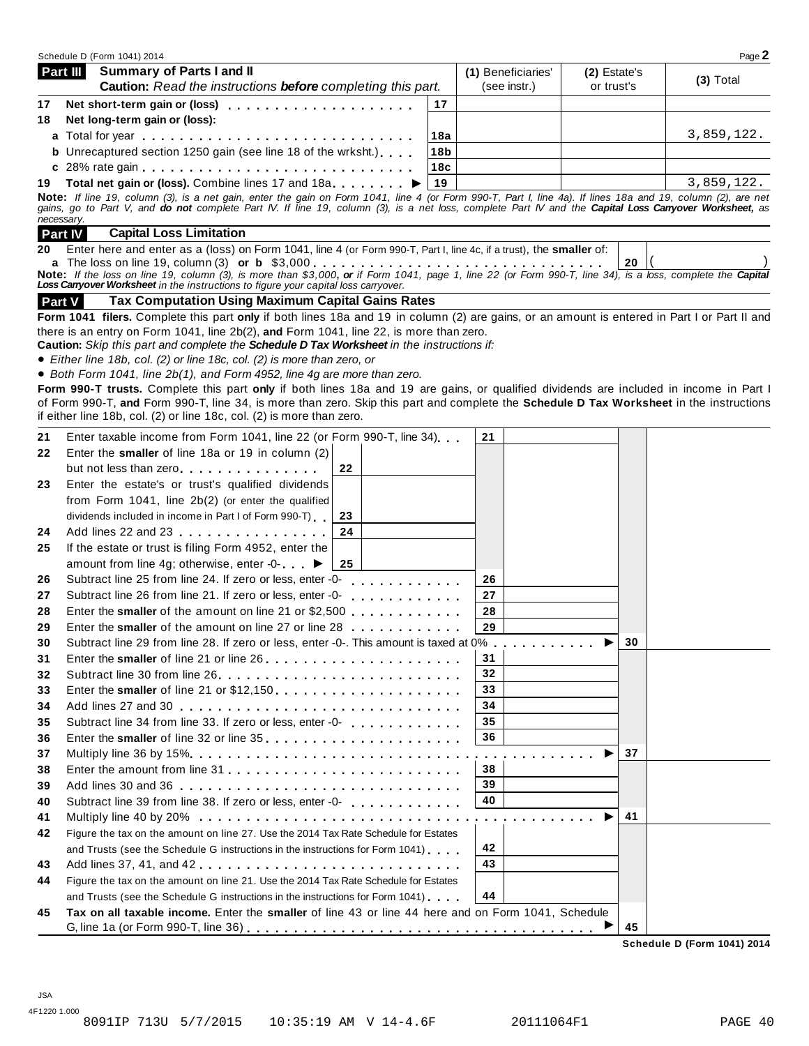|               | Schedule D (Form 1041) 2014                                                                                                                                                                                                                       |     |                    |              | Page 2      |
|---------------|---------------------------------------------------------------------------------------------------------------------------------------------------------------------------------------------------------------------------------------------------|-----|--------------------|--------------|-------------|
|               | <b>Summary of Parts I and II</b><br>Part III                                                                                                                                                                                                      |     | (1) Beneficiaries' | (2) Estate's |             |
|               | <b>Caution:</b> Read the instructions <b>before</b> completing this part.                                                                                                                                                                         |     | (see instr.)       | or trust's   | $(3)$ Total |
| 17            |                                                                                                                                                                                                                                                   | 17  |                    |              |             |
| 18            | Net long-term gain or (loss):                                                                                                                                                                                                                     |     |                    |              |             |
|               |                                                                                                                                                                                                                                                   | 18a |                    |              | 3,859,122.  |
|               | <b>b</b> Unrecaptured section 1250 gain (see line 18 of the wrksht.)                                                                                                                                                                              | 18b |                    |              |             |
|               |                                                                                                                                                                                                                                                   | 18c |                    |              |             |
| 19            | Total net gain or (loss). Combine lines 17 and 18a                                                                                                                                                                                                | 19  |                    |              | 3,859,122.  |
|               | Note: If line 19, column (3), is a net gain, enter the gain on Form 1041, line 4 (or Form 990-T, Part I, line 4a). If lines 18a and 19, column (2), are net                                                                                       |     |                    |              |             |
|               | gains, go to Part V, and do not complete Part IV. If line 19, column (3), is a net loss, complete Part IV and the Capital Loss Carryover Worksheet, as<br>necessary.                                                                              |     |                    |              |             |
|               | <b>Capital Loss Limitation</b><br><b>Part IV</b>                                                                                                                                                                                                  |     |                    |              |             |
| 20            | Enter here and enter as a (loss) on Form 1041, line 4 (or Form 990-T, Part I, line 4c, if a trust), the smaller of:                                                                                                                               |     |                    |              |             |
|               |                                                                                                                                                                                                                                                   |     |                    | 20           |             |
|               | Note: If the loss on line 19, column (3), is more than \$3,000, or if Form 1041, page 1, line 22 (or Form 990-T, line 34), is a loss, complete the Capital<br>Loss Carryover Worksheet in the instructions to figure your capital loss carryover. |     |                    |              |             |
| <b>Part V</b> | <b>Tax Computation Using Maximum Capital Gains Rates</b>                                                                                                                                                                                          |     |                    |              |             |
|               | Form 1041 filers. Complete this part only if both lines 18a and 19 in column (2) are gains, or an amount is entered in Part I or Part II and                                                                                                      |     |                    |              |             |
|               | there is an entry on Form 1041, line $2b(2)$ , and Form 1041, line 22, is more than zero.                                                                                                                                                         |     |                    |              |             |
|               | Caution: Skip this part and complete the Schedule D Tax Worksheet in the instructions if:                                                                                                                                                         |     |                    |              |             |
|               | • Either line 18b, col. (2) or line 18c, col. (2) is more than zero, or                                                                                                                                                                           |     |                    |              |             |
|               | • Both Form 1041, line 2b(1), and Form 4952, line 4g are more than zero.                                                                                                                                                                          |     |                    |              |             |
|               | Form 990-T trusts. Complete this part only if both lines 18a and 19 are gains, or qualified dividends are included in income in Part I                                                                                                            |     |                    |              |             |
|               | of Form 990-T, and Form 990-T, line 34, is more than zero. Skip this part and complete the Schedule D Tax Worksheet in the instructions                                                                                                           |     |                    |              |             |
|               | if either line 18b, col. (2) or line 18c, col. (2) is more than zero.                                                                                                                                                                             |     |                    |              |             |
| 21            | Enter taxable income from Form 1041, line 22 (or Form 990-T, line 34)                                                                                                                                                                             |     | 21                 |              |             |
| 22            | Enter the smaller of line 18a or 19 in column (2)                                                                                                                                                                                                 |     |                    |              |             |
|               | 22<br>but not less than zero                                                                                                                                                                                                                      |     |                    |              |             |
| 23            | Enter the estate's or trust's qualified dividends                                                                                                                                                                                                 |     |                    |              |             |
|               | from Form 1041, line 2b(2) (or enter the qualified                                                                                                                                                                                                |     |                    |              |             |
|               | dividends included in income in Part I of Form 990-T)<br>23                                                                                                                                                                                       |     |                    |              |             |
| 24            | 24<br>Add lines 22 and 23                                                                                                                                                                                                                         |     |                    |              |             |
| 25            | If the estate or trust is filing Form 4952, enter the                                                                                                                                                                                             |     |                    |              |             |
|               | amount from line 4g; otherwise, enter -0- ▶<br>25                                                                                                                                                                                                 |     |                    |              |             |
| 26            | Subtract line 25 from line 24. If zero or less, enter -0-<br>di di di di di di di d                                                                                                                                                               |     | 26                 |              |             |
| 27            | Subtract line 26 from line 21. If zero or less, enter -0-                                                                                                                                                                                         |     | 27                 |              |             |
| 28            | Enter the smaller of the amount on line 21 or $$2,500$                                                                                                                                                                                            |     | 28                 |              |             |
| 29            | Enter the smaller of the amount on line 27 or line 28                                                                                                                                                                                             |     | 29                 |              |             |
| 30            | Subtract line 29 from line 28. If zero or less, enter -0-. This amount is taxed at 0%.                                                                                                                                                            |     | .                  | 30           |             |
| 31            | Enter the smaller of line 21 or line 26                                                                                                                                                                                                           |     | 31                 |              |             |
| 32            |                                                                                                                                                                                                                                                   |     | 32                 |              |             |
| 33            |                                                                                                                                                                                                                                                   |     | 33                 |              |             |
| 34            |                                                                                                                                                                                                                                                   |     | 34                 |              |             |
| 35            |                                                                                                                                                                                                                                                   |     | 35                 |              |             |
| 36            |                                                                                                                                                                                                                                                   |     | 36                 |              |             |
| 37            |                                                                                                                                                                                                                                                   |     |                    | 37           |             |
| 38            |                                                                                                                                                                                                                                                   |     | 38                 |              |             |
| 39            |                                                                                                                                                                                                                                                   |     | 39                 |              |             |
| 40            | Subtract line 39 from line 38. If zero or less, enter -0-                                                                                                                                                                                         |     | 40                 |              |             |
| 41            | Multiply line 40 by 20% $\dots \dots \dots \dots \dots \dots \dots \dots \dots \dots \dots \dots$                                                                                                                                                 |     |                    | 41           |             |
| 42            | Figure the tax on the amount on line 27. Use the 2014 Tax Rate Schedule for Estates                                                                                                                                                               |     |                    |              |             |
|               | and Trusts (see the Schedule G instructions in the instructions for Form 1041)                                                                                                                                                                    |     | 42                 |              |             |
| 43            | Add lines 37, 41, and 42                                                                                                                                                                                                                          |     | 43                 |              |             |
| 44            | Figure the tax on the amount on line 21. Use the 2014 Tax Rate Schedule for Estates                                                                                                                                                               |     |                    |              |             |
|               | and Trusts (see the Schedule G instructions in the instructions for Form 1041).                                                                                                                                                                   |     | 44                 |              |             |
|               | Tax on all taxable income. Enter the smaller of line 43 or line 44 here and on Form 1041, Schedule                                                                                                                                                |     |                    |              |             |
| 45            |                                                                                                                                                                                                                                                   |     |                    |              |             |

**Schedule D (Form 1041) 2014**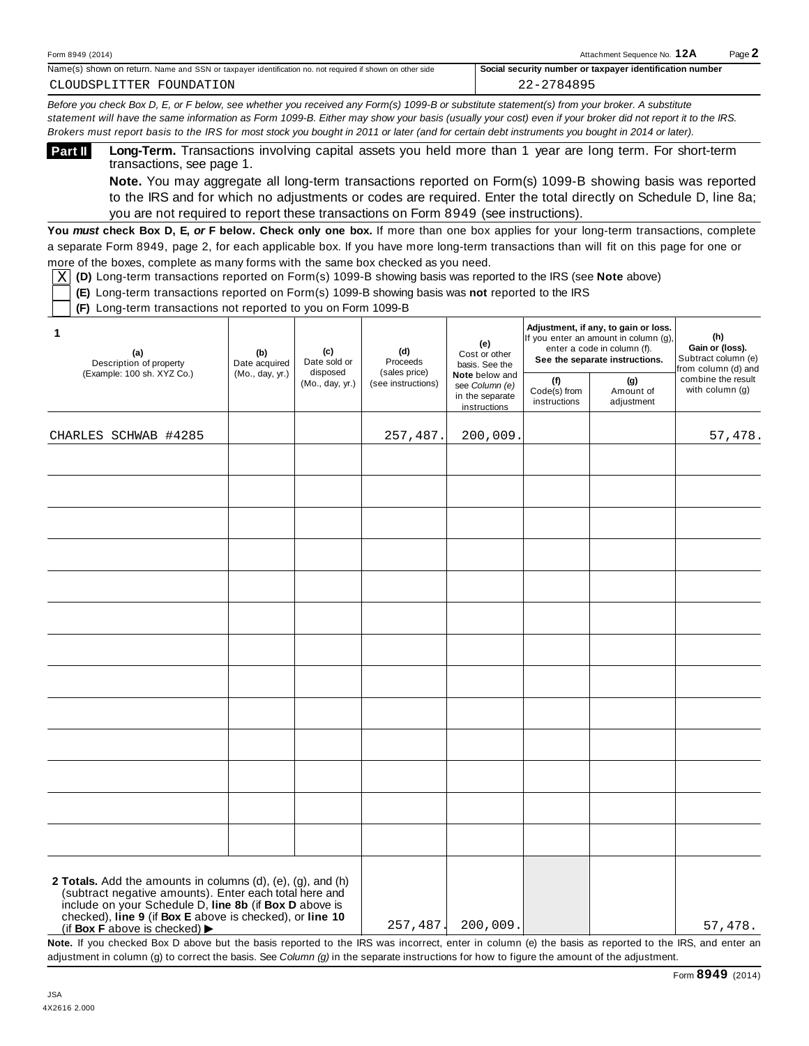| Form 8949<br>(2014)                                                                                                                    | Attachmen <sup>®</sup><br>Sequence No.                                          | $P$ age. |
|----------------------------------------------------------------------------------------------------------------------------------------|---------------------------------------------------------------------------------|----------|
| Name(s)<br>Name and SSN or taxpaver in<br>n return.<br>, shown on<br>on other side ו<br>r identification no.<br>not required if shown. | $-0.00$<br>So<br>r identification number.<br>, number or taxpaver<br>l security |          |

Before you check Box D, E, or F below, see whether you received any Form(s) 1099-B or substitute statement(s) from your broker. A substitute statement will have the same information as Form 1099-B. Either may show your basis (usually your cost) even if your broker did not report it to the IRS. Brokers must report basis to the IRS for most stock you bought in 2011 or later (and for certain debt instruments you bought in 2014 or later).

**Long-Term.** Transactions involving capital assets you held more than 1 year are long term. For short-term transactions, see page 1. **Part II**

**Note.** You may aggregate all long-term transactions reported on Form(s) 1099-B showing basis was reported to the IRS and for which no adjustments or codes are required. Enter the total directly on Schedule D, line 8a; you are not required to report these transactions on Form 8949 (see instructions).

**You** *must* **check Box D, E,** *or* **F below. Check only one box.** If more than one box applies for your long-term transactions, complete a separate Form 8949, page 2, for each applicable box. If you have more long-term transactions than will fit on this page for one or more of the boxes, complete as many forms with the same box checked as you need.

 $\underline{X}$  (**D)** Long-term transactions reported on Form(s) 1099-B showing basis was reported to the IRS (see **Note** above)

**(E)** Long-term transactions reported on Form(s) 1099-B showing basis was **not** reported to the IRS

**(F)** Long-term transactions not reported to you on Form 1099-B

| 1<br>(a)<br>Description of property                                                                                                                                                                                                                                                | (b)<br>Date acquired | (e)<br>(c)<br>(d)<br>Cost or other<br>Date sold or<br>Proceeds<br>disposed<br>(sales price)<br>(Mo., day, yr.)<br>(see instructions) |                                                                     | basis. See the                      | Adjustment, if any, to gain or loss.<br>If you enter an amount in column (g),<br>enter a code in column (f).<br>See the separate instructions. | (h)<br>Gain or (loss).<br>Subtract column (e)<br>from column (d) and<br>combine the result<br>with column (g) |         |
|------------------------------------------------------------------------------------------------------------------------------------------------------------------------------------------------------------------------------------------------------------------------------------|----------------------|--------------------------------------------------------------------------------------------------------------------------------------|---------------------------------------------------------------------|-------------------------------------|------------------------------------------------------------------------------------------------------------------------------------------------|---------------------------------------------------------------------------------------------------------------|---------|
| (Example: 100 sh. XYZ Co.)                                                                                                                                                                                                                                                         | (Mo., day, yr.)      |                                                                                                                                      | Note below and<br>see Column (e)<br>in the separate<br>instructions | (f)<br>Code(s) from<br>instructions | (g)<br>Amount of<br>adjustment                                                                                                                 |                                                                                                               |         |
| CHARLES SCHWAB #4285                                                                                                                                                                                                                                                               |                      |                                                                                                                                      | 257,487.                                                            | 200,009.                            |                                                                                                                                                |                                                                                                               | 57,478. |
|                                                                                                                                                                                                                                                                                    |                      |                                                                                                                                      |                                                                     |                                     |                                                                                                                                                |                                                                                                               |         |
|                                                                                                                                                                                                                                                                                    |                      |                                                                                                                                      |                                                                     |                                     |                                                                                                                                                |                                                                                                               |         |
|                                                                                                                                                                                                                                                                                    |                      |                                                                                                                                      |                                                                     |                                     |                                                                                                                                                |                                                                                                               |         |
|                                                                                                                                                                                                                                                                                    |                      |                                                                                                                                      |                                                                     |                                     |                                                                                                                                                |                                                                                                               |         |
|                                                                                                                                                                                                                                                                                    |                      |                                                                                                                                      |                                                                     |                                     |                                                                                                                                                |                                                                                                               |         |
|                                                                                                                                                                                                                                                                                    |                      |                                                                                                                                      |                                                                     |                                     |                                                                                                                                                |                                                                                                               |         |
|                                                                                                                                                                                                                                                                                    |                      |                                                                                                                                      |                                                                     |                                     |                                                                                                                                                |                                                                                                               |         |
|                                                                                                                                                                                                                                                                                    |                      |                                                                                                                                      |                                                                     |                                     |                                                                                                                                                |                                                                                                               |         |
|                                                                                                                                                                                                                                                                                    |                      |                                                                                                                                      |                                                                     |                                     |                                                                                                                                                |                                                                                                               |         |
|                                                                                                                                                                                                                                                                                    |                      |                                                                                                                                      |                                                                     |                                     |                                                                                                                                                |                                                                                                               |         |
|                                                                                                                                                                                                                                                                                    |                      |                                                                                                                                      |                                                                     |                                     |                                                                                                                                                |                                                                                                               |         |
| 2 Totals. Add the amounts in columns (d), (e), (g), and (h)<br>(subtract negative amounts). Enter each total here and<br>include on your Schedule D, line 8b (if Box D above is                                                                                                    |                      |                                                                                                                                      |                                                                     |                                     |                                                                                                                                                |                                                                                                               |         |
| checked), line 9 (if Box E above is checked), or line 10<br>(if Box $\overline{F}$ above is checked) $\blacktriangleright$<br>Note. If you checked Box D above but the basis reported to the IRS was incorrect, enter in column (e) the basis as reported to the IRS, and enter an |                      |                                                                                                                                      | 257,487.                                                            | 200,009.                            |                                                                                                                                                |                                                                                                               | 57,478. |

adjustment in column (g) to correct the basis. See *Column (g)* in the separate instructions for how to figure the amount of the adjustment.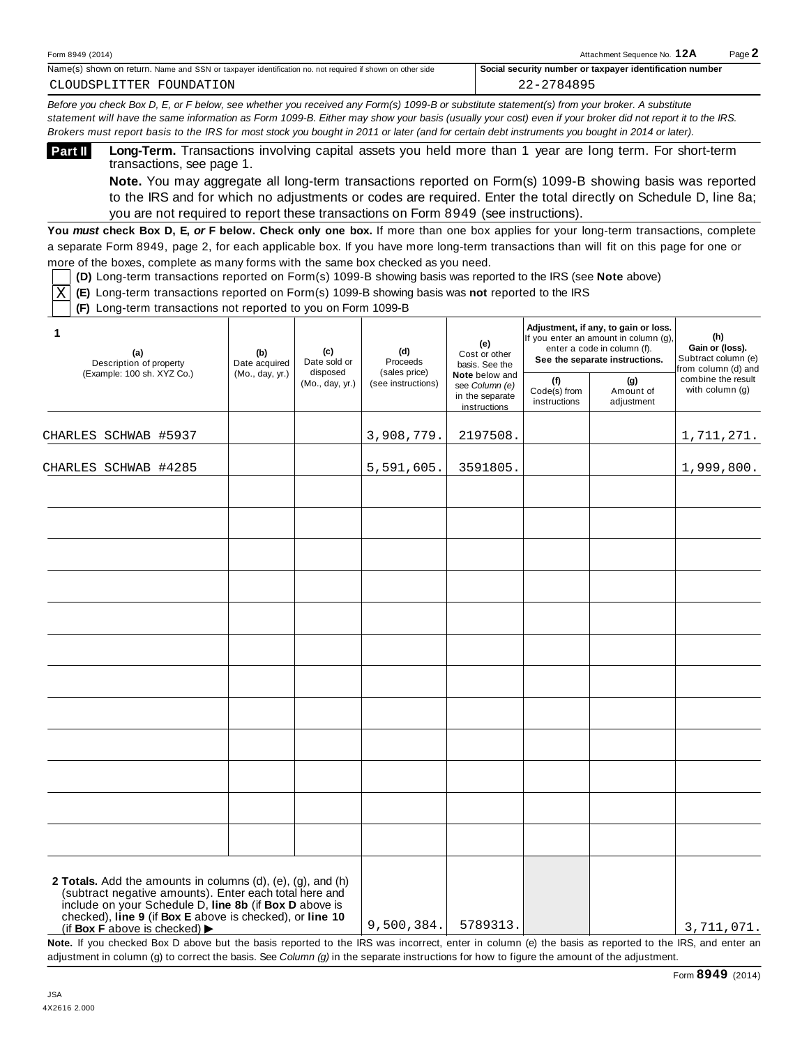| Form 8949 (2014)                                                                                                           | $Page \triangle$<br>12A<br>Attachment Sequence No.                  |  |
|----------------------------------------------------------------------------------------------------------------------------|---------------------------------------------------------------------|--|
| Name(s)<br>. Name and SSN or taxpaver<br>∩ shown on return. .<br>r identification no. not required if shown on other side. | r identification number.<br>Social<br>l security number or taxpaver |  |

Before you check Box D, E, or F below, see whether you received any Form(s) 1099-B or substitute statement(s) from your broker. A substitute statement will have the same information as Form 1099-B. Either may show your basis (usually your cost) even if your broker did not report it to the IRS. Brokers must report basis to the IRS for most stock you bought in 2011 or later (and for certain debt instruments you bought in 2014 or later).

**Long-Term.** Transactions involving capital assets you held more than 1 year are long term. For short-term transactions, see page 1. **Part II**

**Note.** You may aggregate all long-term transactions reported on Form(s) 1099-B showing basis was reported to the IRS and for which no adjustments or codes are required. Enter the total directly on Schedule D, line 8a; you are not required to report these transactions on Form 8949 (see instructions).

**You** *must* **check Box D, E,** *or* **F below. Check only one box.** If more than one box applies for your long-term transactions, complete a separate Form 8949, page 2, for each applicable box. If you have more long-term transactions than will fit on this page for one or more of the boxes, complete as many forms with the same box checked as you need.

**(D)** Long-term transactions reported on Form(s) 1099-B showing basis was reported to the IRS (see **Note** above)

**(E)** Long-term transactions reported on Form(s) 1099-B showing basis was **not** reported to the IRS X

**(F)** Long-term transactions not reported to you on Form 1099-B

| (b)<br>Date acquired | (c)<br>Date sold or | (d)<br>Proceeds                                                                                                                                                                                                                                         | (e)<br>Cost or other<br>basis. See the<br>Note below and<br>see Column (e)<br>in the separate<br>instructions | Adjustment, if any, to gain or loss. | (h)<br>Gain or (loss).<br>Subtract column (e)<br>from column (d) and |                                                                                                        |
|----------------------|---------------------|---------------------------------------------------------------------------------------------------------------------------------------------------------------------------------------------------------------------------------------------------------|---------------------------------------------------------------------------------------------------------------|--------------------------------------|----------------------------------------------------------------------|--------------------------------------------------------------------------------------------------------|
|                      | (Mo., day, yr.)     | (see instructions)                                                                                                                                                                                                                                      |                                                                                                               | (f)<br>Code(s) from<br>instructions  | (g)<br>Amount of<br>adjustment                                       | combine the result<br>with column (g)                                                                  |
|                      |                     | 3,908,779.                                                                                                                                                                                                                                              | 2197508.                                                                                                      |                                      |                                                                      | 1,711,271.                                                                                             |
|                      |                     | 5,591,605.                                                                                                                                                                                                                                              | 3591805.                                                                                                      |                                      |                                                                      | 1,999,800.                                                                                             |
|                      |                     |                                                                                                                                                                                                                                                         |                                                                                                               |                                      |                                                                      |                                                                                                        |
|                      |                     |                                                                                                                                                                                                                                                         |                                                                                                               |                                      |                                                                      |                                                                                                        |
|                      |                     |                                                                                                                                                                                                                                                         |                                                                                                               |                                      |                                                                      |                                                                                                        |
|                      |                     |                                                                                                                                                                                                                                                         |                                                                                                               |                                      |                                                                      |                                                                                                        |
|                      |                     |                                                                                                                                                                                                                                                         |                                                                                                               |                                      |                                                                      |                                                                                                        |
|                      |                     |                                                                                                                                                                                                                                                         |                                                                                                               |                                      |                                                                      |                                                                                                        |
|                      |                     |                                                                                                                                                                                                                                                         |                                                                                                               |                                      |                                                                      |                                                                                                        |
|                      |                     |                                                                                                                                                                                                                                                         |                                                                                                               |                                      |                                                                      |                                                                                                        |
|                      |                     | 9,500,384.                                                                                                                                                                                                                                              | 5789313.                                                                                                      |                                      |                                                                      | 3,711,071.                                                                                             |
|                      | (Mo., day, yr.)     | disposed<br>2 Totals. Add the amounts in columns (d), (e), (g), and (h)<br>(subtract negative amounts). Enter each total here and<br>include on your Schedule D, line 8b (if Box D above is<br>checked), line 9 (if Box E above is checked), or line 10 | (sales price)                                                                                                 |                                      |                                                                      | If you enter an amount in column (g).<br>enter a code in column (f).<br>See the separate instructions. |

adjustment in column (g) to correct the basis. See *Column (g)* in the separate instructions for how to figure the amount of the adjustment.